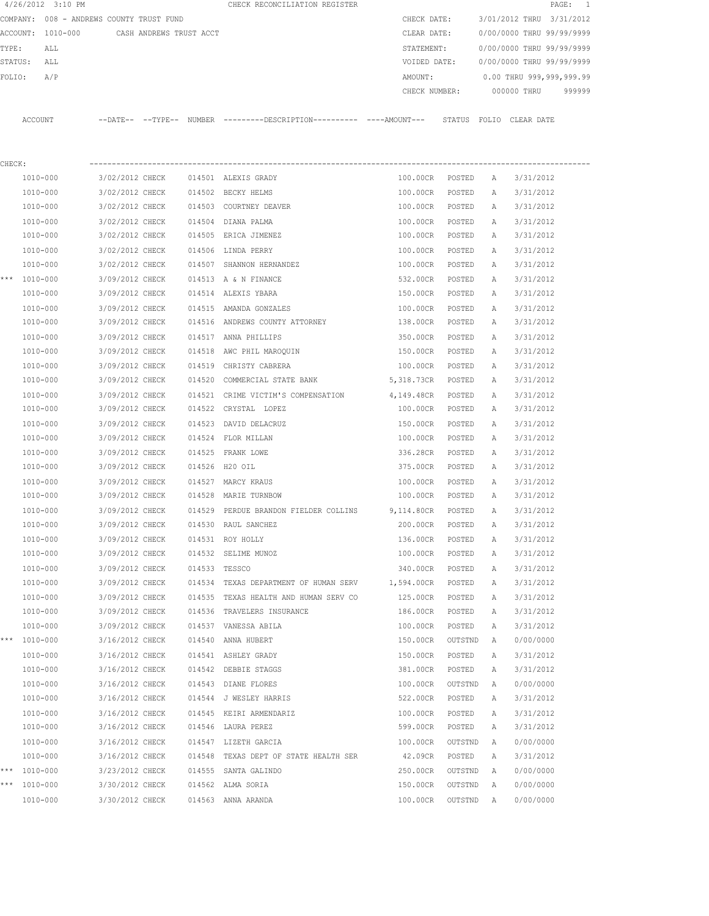|         | 4/26/2012 3:10 PM                        |                 |                         |        | CHECK RECONCILIATION REGISTER                                                               |               |         |   | $\mathtt{PAGE}$ :         | $\overline{\phantom{0}}$ |
|---------|------------------------------------------|-----------------|-------------------------|--------|---------------------------------------------------------------------------------------------|---------------|---------|---|---------------------------|--------------------------|
|         | COMPANY: 008 - ANDREWS COUNTY TRUST FUND |                 |                         |        |                                                                                             | CHECK DATE:   |         |   | 3/01/2012 THRU 3/31/2012  |                          |
|         | ACCOUNT: 1010-000                        |                 | CASH ANDREWS TRUST ACCT |        |                                                                                             | CLEAR DATE:   |         |   | 0/00/0000 THRU 99/99/9999 |                          |
| TYPE:   | ALL                                      |                 |                         |        |                                                                                             | STATEMENT:    |         |   | 0/00/0000 THRU 99/99/9999 |                          |
| STATUS: | ALL                                      |                 |                         |        |                                                                                             | VOIDED DATE:  |         |   | 0/00/0000 THRU 99/99/9999 |                          |
| FOLIO:  | A/P                                      |                 |                         |        |                                                                                             | AMOUNT:       |         |   | 0.00 THRU 999,999,999.99  |                          |
|         |                                          |                 |                         |        |                                                                                             | CHECK NUMBER: |         |   | 000000 THRU               | 999999                   |
|         | ACCOUNT                                  |                 |                         |        | --DATE-- --TYPE-- NUMBER --------DESCRIPTION---------- ---AMOUNT--- STATUS FOLIO CLEAR DATE |               |         |   |                           |                          |
| CHECK:  |                                          |                 |                         |        |                                                                                             |               |         |   |                           |                          |
|         | 1010-000                                 | 3/02/2012 CHECK |                         |        | 014501 ALEXIS GRADY                                                                         | 100.00CR      | POSTED  | A | 3/31/2012                 |                          |
|         | 1010-000                                 | 3/02/2012 CHECK |                         |        | 014502 BECKY HELMS                                                                          | 100.00CR      | POSTED  | Α | 3/31/2012                 |                          |
|         | 1010-000                                 | 3/02/2012 CHECK |                         |        | 014503 COURTNEY DEAVER                                                                      | 100.00CR      | POSTED  | Α | 3/31/2012                 |                          |
|         | 1010-000                                 | 3/02/2012 CHECK |                         |        | 014504 DIANA PALMA                                                                          | 100.00CR      | POSTED  | A | 3/31/2012                 |                          |
|         | 1010-000                                 | 3/02/2012 CHECK |                         |        | 014505 ERICA JIMENEZ                                                                        | 100.00CR      | POSTED  | A | 3/31/2012                 |                          |
|         | 1010-000                                 | 3/02/2012 CHECK |                         |        | 014506 LINDA PERRY                                                                          | 100.00CR      | POSTED  | A | 3/31/2012                 |                          |
|         | 1010-000                                 | 3/02/2012 CHECK |                         |        | 014507 SHANNON HERNANDEZ                                                                    | 100.00CR      | POSTED  | A | 3/31/2012                 |                          |
| ***     | 1010-000                                 | 3/09/2012 CHECK |                         |        | 014513 A & N FINANCE                                                                        | 532.00CR      | POSTED  | А | 3/31/2012                 |                          |
|         | 1010-000                                 | 3/09/2012 CHECK |                         |        | 014514 ALEXIS YBARA                                                                         | 150.00CR      | POSTED  | A | 3/31/2012                 |                          |
|         | 1010-000                                 | 3/09/2012 CHECK |                         |        | 014515 AMANDA GONZALES                                                                      | 100.00CR      | POSTED  | Α | 3/31/2012                 |                          |
|         | 1010-000                                 | 3/09/2012 CHECK |                         |        | 014516 ANDREWS COUNTY ATTORNEY                                                              | 138.00CR      | POSTED  | A | 3/31/2012                 |                          |
|         | 1010-000                                 | 3/09/2012 CHECK |                         |        | 014517 ANNA PHILLIPS                                                                        | 350.00CR      | POSTED  | Α | 3/31/2012                 |                          |
|         | 1010-000                                 | 3/09/2012 CHECK |                         |        | 014518 AWC PHIL MAROQUIN                                                                    | 150.00CR      | POSTED  | Α | 3/31/2012                 |                          |
|         | 1010-000                                 | 3/09/2012 CHECK |                         | 014519 | CHRISTY CABRERA                                                                             | 100.00CR      | POSTED  | Α | 3/31/2012                 |                          |
|         | 1010-000                                 | 3/09/2012 CHECK |                         | 014520 | COMMERCIAL STATE BANK                                                                       | 5,318.73CR    | POSTED  | А | 3/31/2012                 |                          |
|         | 1010-000                                 | 3/09/2012 CHECK |                         | 014521 | CRIME VICTIM'S COMPENSATION                                                                 | 4,149.48CR    | POSTED  | Α | 3/31/2012                 |                          |
|         | 1010-000                                 | 3/09/2012 CHECK |                         | 014522 | CRYSTAL LOPEZ                                                                               | 100.00CR      | POSTED  | Α | 3/31/2012                 |                          |
|         | 1010-000                                 | 3/09/2012 CHECK |                         | 014523 | DAVID DELACRUZ                                                                              | 150.00CR      | POSTED  | Α | 3/31/2012                 |                          |
|         | 1010-000                                 | 3/09/2012 CHECK |                         |        | 014524 FLOR MILLAN                                                                          | 100.00CR      | POSTED  | Α | 3/31/2012                 |                          |
|         | 1010-000                                 | 3/09/2012 CHECK |                         | 014525 | FRANK LOWE                                                                                  | 336.28CR      | POSTED  | Α | 3/31/2012                 |                          |
|         | 1010-000                                 | 3/09/2012 CHECK |                         |        | 014526 H20 OIL                                                                              | 375.00CR      | POSTED  | Α | 3/31/2012                 |                          |
|         | 1010-000                                 | 3/09/2012 CHECK |                         | 014527 | MARCY KRAUS                                                                                 | 100.00CR      | POSTED  | A | 3/31/2012                 |                          |
|         | 1010-000                                 | 3/09/2012 CHECK |                         | 014528 | MARIE TURNBOW                                                                               | 100.00CR      | POSTED  | A | 3/31/2012                 |                          |
|         | 1010-000                                 | 3/09/2012 CHECK |                         |        | 014529 PERDUE BRANDON FIELDER COLLINS                                                       | 9,114.80CR    | POSTED  | Α | 3/31/2012                 |                          |
|         | 1010-000                                 | 3/09/2012 CHECK |                         |        | 014530 RAUL SANCHEZ                                                                         | 200.00CR      | POSTED  | Α | 3/31/2012                 |                          |
|         | 1010-000                                 | 3/09/2012 CHECK |                         |        | 014531 ROY HOLLY                                                                            | 136.00CR      | POSTED  | Α | 3/31/2012                 |                          |
|         | 1010-000                                 | 3/09/2012 CHECK |                         |        | 014532 SELIME MUNOZ                                                                         | 100.00CR      | POSTED  | Α | 3/31/2012                 |                          |
|         | 1010-000                                 | 3/09/2012 CHECK |                         |        | 014533 TESSCO                                                                               | 340.00CR      | POSTED  | Α | 3/31/2012                 |                          |
|         | 1010-000                                 | 3/09/2012 CHECK |                         |        | 014534 TEXAS DEPARTMENT OF HUMAN SERV                                                       | 1,594.00CR    | POSTED  | А | 3/31/2012                 |                          |
|         | 1010-000                                 | 3/09/2012 CHECK |                         |        | 014535 TEXAS HEALTH AND HUMAN SERV CO                                                       | 125.00CR      | POSTED  | Α | 3/31/2012                 |                          |
|         | 1010-000                                 | 3/09/2012 CHECK |                         |        | 014536 TRAVELERS INSURANCE                                                                  | 186.00CR      | POSTED  | Α | 3/31/2012                 |                          |
|         | 1010-000                                 | 3/09/2012 CHECK |                         |        | 014537 VANESSA ABILA                                                                        | 100.00CR      | POSTED  | Α | 3/31/2012                 |                          |
| $***$   | $1010 - 000$                             | 3/16/2012 CHECK |                         |        | 014540 ANNA HUBERT                                                                          | 150.00CR      | OUTSTND | Α | 0/00/0000                 |                          |
|         | 1010-000                                 | 3/16/2012 CHECK |                         |        | 014541 ASHLEY GRADY                                                                         | 150.00CR      | POSTED  | Α | 3/31/2012                 |                          |
|         | 1010-000                                 | 3/16/2012 CHECK |                         |        | 014542 DEBBIE STAGGS                                                                        | 381.00CR      | POSTED  | Α | 3/31/2012                 |                          |
|         | 1010-000                                 | 3/16/2012 CHECK |                         |        | 014543 DIANE FLORES                                                                         | 100.00CR      | OUTSTND | Α | 0/00/0000                 |                          |
|         | 1010-000                                 | 3/16/2012 CHECK |                         |        | 014544 J WESLEY HARRIS                                                                      | 522.00CR      | POSTED  | Α | 3/31/2012                 |                          |
|         | 1010-000                                 | 3/16/2012 CHECK |                         |        | 014545 KEIRI ARMENDARIZ                                                                     | 100.00CR      | POSTED  | Α | 3/31/2012                 |                          |
|         | 1010-000                                 | 3/16/2012 CHECK |                         |        | 014546 LAURA PEREZ                                                                          | 599.00CR      | POSTED  | Α | 3/31/2012                 |                          |
|         | 1010-000                                 | 3/16/2012 CHECK |                         |        | 014547 LIZETH GARCIA                                                                        | 100.00CR      | OUTSTND | Α | 0/00/0000                 |                          |
|         | 1010-000                                 | 3/16/2012 CHECK |                         |        | 014548 TEXAS DEPT OF STATE HEALTH SER                                                       | 42.09CR       | POSTED  | Α | 3/31/2012                 |                          |
| ***     | 1010-000                                 | 3/23/2012 CHECK |                         |        | 014555 SANTA GALINDO                                                                        | 250.00CR      | OUTSTND | Α | 0/00/0000                 |                          |
| ***     | 1010-000                                 | 3/30/2012 CHECK |                         |        | 014562 ALMA SORIA                                                                           | 150.00CR      | OUTSTND | Α | 0/00/0000                 |                          |
|         | 1010-000                                 | 3/30/2012 CHECK |                         |        | 014563 ANNA ARANDA                                                                          | 100.00CR      | OUTSTND | A | 0/00/0000                 |                          |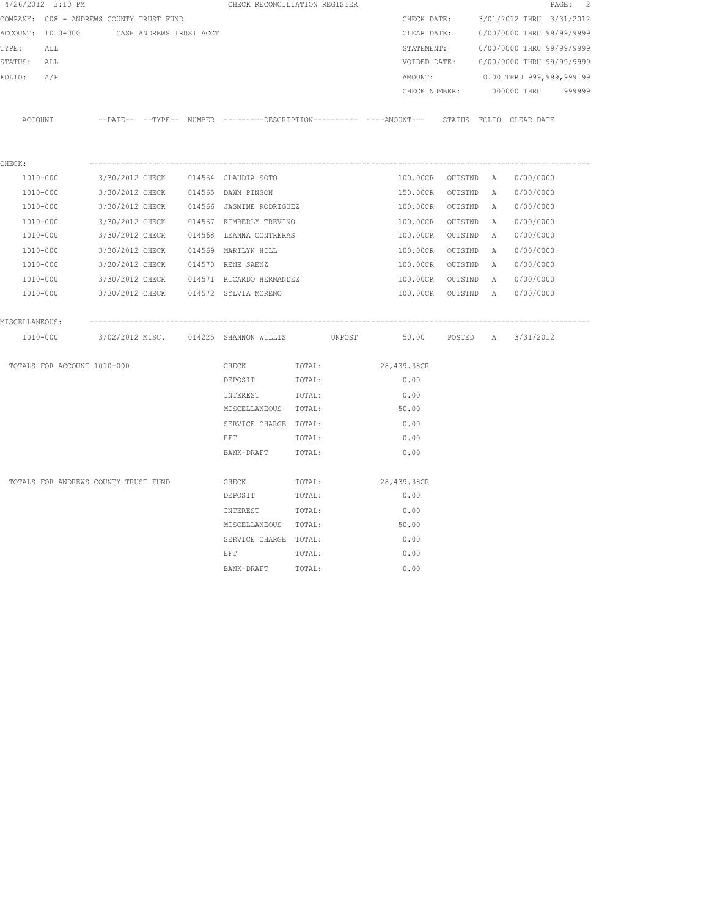| 4/26/2012 3:10 PM                                 |  | CHECK RECONCILIATION REGISTER                                                      |        |                                                                                             |  |                                                              | PAGE: 2 |
|---------------------------------------------------|--|------------------------------------------------------------------------------------|--------|---------------------------------------------------------------------------------------------|--|--------------------------------------------------------------|---------|
| COMPANY: 008 - ANDREWS COUNTY TRUST FUND          |  |                                                                                    |        |                                                                                             |  | CHECK DATE: 3/01/2012 THRU 3/31/2012                         |         |
| ACCOUNT: 1010-000 CASH ANDREWS TRUST ACCT         |  |                                                                                    |        |                                                                                             |  | CLEAR DATE: 0/00/0000 THRU 99/99/9999                        |         |
| TYPE: ALL                                         |  |                                                                                    |        |                                                                                             |  | STATEMENT: 0/00/0000 THRU 99/99/9999                         |         |
| STATUS: ALL                                       |  |                                                                                    |        |                                                                                             |  | VOIDED DATE: 0/00/0000 THRU 99/99/9999                       |         |
| FOLIO: A/P                                        |  |                                                                                    |        | AMOUNT:                                                                                     |  | 0.00 THRU 999,999,999.99                                     |         |
|                                                   |  |                                                                                    |        | CHECK NUMBER:                                                                               |  | 000000 THRU 999999                                           |         |
| ACCOUNT                                           |  |                                                                                    |        | --DATE-- --TYPE-- NUMBER --------DESCRIPTION--------- ----AMOUNT--- STATUS FOLIO CLEAR-DATE |  |                                                              |         |
|                                                   |  |                                                                                    |        |                                                                                             |  |                                                              |         |
| CHECK:                                            |  |                                                                                    |        |                                                                                             |  |                                                              |         |
| 1010-000                                          |  | 3/30/2012 CHECK 014564 CLAUDIA SOTO                                                |        |                                                                                             |  | 100.00CR OUTSTND A 0/00/0000                                 |         |
| 1010-000<br>1010-000                              |  | 3/30/2012 CHECK 014565 DAWN PINSON                                                 |        |                                                                                             |  | 150.00CR OUTSTND A 0/00/0000<br>100.00CR OUTSTND A 0/00/0000 |         |
| 1010-000                                          |  | 3/30/2012 CHECK 014566 JASMINE RODRIGUEZ                                           |        |                                                                                             |  |                                                              |         |
| 1010-000                                          |  | 3/30/2012 CHECK 014567 KIMBERLY TREVINO<br>3/30/2012 CHECK 014568 LEANNA CONTRERAS |        |                                                                                             |  | 100.00CR OUTSTND A 0/00/0000<br>100.00CR OUTSTND A 0/00/0000 |         |
| 1010-000                                          |  | 3/30/2012 CHECK 014569 MARILYN HILL                                                |        |                                                                                             |  | 100.00CR OUTSTND A 0/00/0000                                 |         |
| 1010-000                                          |  | 3/30/2012 CHECK 014570 RENE SAENZ                                                  |        |                                                                                             |  | 100.00CR OUTSTND A 0/00/0000                                 |         |
| 1010-000 3/30/2012 CHECK 014571 RICARDO HERNANDEZ |  |                                                                                    |        |                                                                                             |  | 100.00CR OUTSTND A 0/00/0000                                 |         |
| 1010-000                                          |  | 3/30/2012 CHECK 014572 SYLVIA MORENO                                               |        |                                                                                             |  | 100.00CR OUTSTND A 0/00/0000                                 |         |
| MISCELLANEOUS:                                    |  |                                                                                    |        |                                                                                             |  |                                                              |         |
| 1010-000                                          |  |                                                                                    |        | 3/02/2012 MISC. 014225 SHANNON WILLIS CONPOST 50.00 POSTED A 3/31/2012                      |  |                                                              |         |
| TOTALS FOR ACCOUNT 1010-000                       |  | CHECK                                                                              | TOTAL: | 28,439.38CR                                                                                 |  |                                                              |         |
|                                                   |  | DEPOSIT TOTAL:                                                                     |        | 0.00                                                                                        |  |                                                              |         |
|                                                   |  | INTEREST TOTAL:                                                                    |        | 0.00                                                                                        |  |                                                              |         |
|                                                   |  | MISCELLANEOUS TOTAL:                                                               |        | 50.00                                                                                       |  |                                                              |         |
|                                                   |  | SERVICE CHARGE TOTAL:                                                              |        | 0.00                                                                                        |  |                                                              |         |
|                                                   |  | EFT                                                                                | TOTAL: | 0.00                                                                                        |  |                                                              |         |
|                                                   |  | BANK-DRAFT                                                                         | TOTAL: | 0.00                                                                                        |  |                                                              |         |
| TOTALS FOR ANDREWS COUNTY TRUST FUND              |  | CHECK                                                                              | TOTAL: | 28,439.38CR                                                                                 |  |                                                              |         |
|                                                   |  | DEPOSIT                                                                            | TOTAL: | 0.00                                                                                        |  |                                                              |         |
|                                                   |  | INTEREST TOTAL:                                                                    |        | 0.00                                                                                        |  |                                                              |         |
|                                                   |  | MISCELLANEOUS TOTAL:                                                               |        | 50.00                                                                                       |  |                                                              |         |
|                                                   |  | SERVICE CHARGE TOTAL:                                                              |        | 0.00                                                                                        |  |                                                              |         |
|                                                   |  | EFT                                                                                | TOTAL: | 0.00                                                                                        |  |                                                              |         |
|                                                   |  | BANK-DRAFT                                                                         | TOTAL: | 0.00                                                                                        |  |                                                              |         |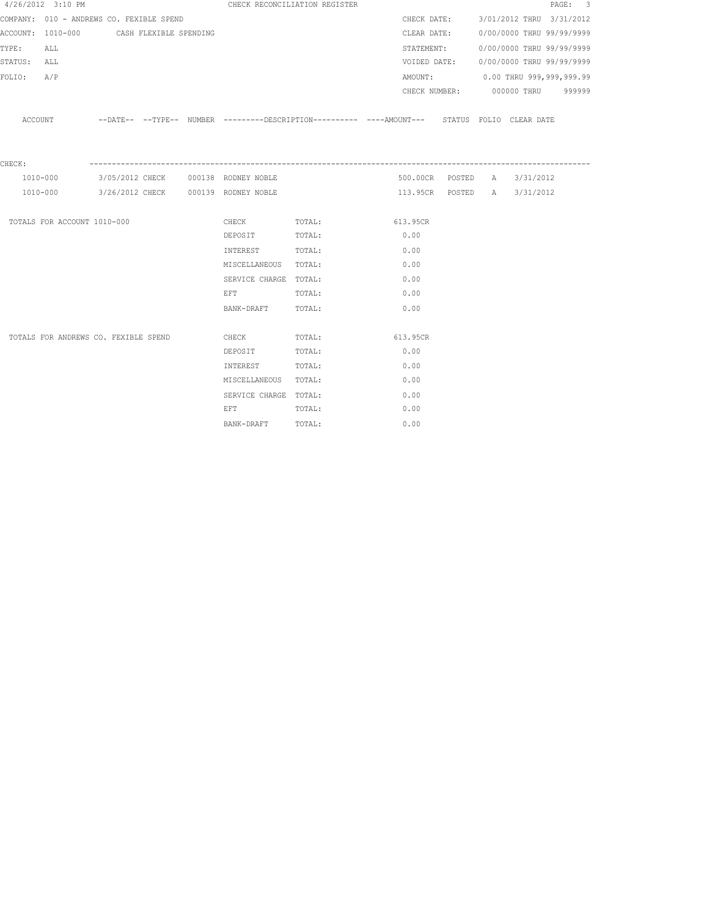|             | 4/26/2012 3:10 PM                        |  |                                                                                                                 | CHECK RECONCILIATION REGISTER                                                               |              |  |                                        | PAGE: 3 |  |
|-------------|------------------------------------------|--|-----------------------------------------------------------------------------------------------------------------|---------------------------------------------------------------------------------------------|--------------|--|----------------------------------------|---------|--|
|             | COMPANY: 010 - ANDREWS CO. FEXIBLE SPEND |  |                                                                                                                 |                                                                                             |              |  | CHECK DATE: $3/01/2012$ THRU 3/31/2012 |         |  |
|             | ACCOUNT: 1010-000 CASH FLEXIBLE SPENDING |  |                                                                                                                 |                                                                                             |              |  | CLEAR DATE: 0/00/0000 THRU 99/99/9999  |         |  |
| TYPE: ALL   |                                          |  |                                                                                                                 |                                                                                             |              |  | STATEMENT: 0/00/0000 THRU 99/99/9999   |         |  |
| STATUS: ALL |                                          |  |                                                                                                                 |                                                                                             | VOIDED DATE: |  | 0/00/0000 THRU 99/99/9999              |         |  |
| FOLIO:      | A/P                                      |  |                                                                                                                 |                                                                                             |              |  | AMOUNT: 0.00 THRU 999,999,999.99       |         |  |
|             |                                          |  |                                                                                                                 |                                                                                             |              |  | CHECK NUMBER: 000000 THRU 999999       |         |  |
|             |                                          |  |                                                                                                                 |                                                                                             |              |  |                                        |         |  |
|             | ACCOUNT                                  |  |                                                                                                                 | --DATE-- --TYPE-- NUMBER ---------DESCRIPTION--------- ----AMOUNT--- STATUS FOLIO CLEARDATE |              |  |                                        |         |  |
|             |                                          |  |                                                                                                                 |                                                                                             |              |  |                                        |         |  |
| CHECK:      |                                          |  |                                                                                                                 |                                                                                             |              |  |                                        |         |  |
|             | 1010-000                                 |  | 3/05/2012 CHECK 000138 RODNEY NOBLE                                                                             |                                                                                             |              |  | 500.00CR POSTED A 3/31/2012            |         |  |
|             |                                          |  | 1010-000 3/26/2012 CHECK 000139 RODNEY NOBLE                                                                    |                                                                                             |              |  | 113.95CR POSTED A 3/31/2012            |         |  |
|             |                                          |  |                                                                                                                 |                                                                                             |              |  |                                        |         |  |
|             | TOTALS FOR ACCOUNT 1010-000              |  |                                                                                                                 | CHECK TOTAL: 613.95CR                                                                       |              |  |                                        |         |  |
|             |                                          |  | DEPOSIT                                                                                                         | TOTAL:                                                                                      | 0.00         |  |                                        |         |  |
|             |                                          |  | INTEREST TOTAL:                                                                                                 |                                                                                             | 0.00         |  |                                        |         |  |
|             |                                          |  | MISCELLANEOUS TOTAL:                                                                                            |                                                                                             | 0.00         |  |                                        |         |  |
|             |                                          |  | SERVICE CHARGE TOTAL:                                                                                           |                                                                                             | 0.00         |  |                                        |         |  |
|             |                                          |  | EFT TOTAL:                                                                                                      |                                                                                             | 0.00         |  |                                        |         |  |
|             |                                          |  | BANK-DRAFT TOTAL:                                                                                               |                                                                                             | 0.00         |  |                                        |         |  |
|             |                                          |  |                                                                                                                 |                                                                                             |              |  |                                        |         |  |
|             | TOTALS FOR ANDREWS CO. FEXIBLE SPEND     |  | <b>CHECK</b>                                                                                                    | TOTAL:                                                                                      | 613.95CR     |  |                                        |         |  |
|             |                                          |  | DEPOSIT                                                                                                         | TOTAL:                                                                                      | 0.00         |  |                                        |         |  |
|             |                                          |  | INTEREST TOTAL:                                                                                                 |                                                                                             | 0.00         |  |                                        |         |  |
|             |                                          |  | MISCELLANEOUS TOTAL:                                                                                            |                                                                                             | 0.00         |  |                                        |         |  |
|             |                                          |  | SERVICE CHARGE TOTAL:                                                                                           |                                                                                             | 0.00         |  |                                        |         |  |
|             |                                          |  | EFT FOR THE RESIDENCE OF A STRIKE AND THE RESIDENCE OF A STRIKE AND THE RESIDENCE OF A STRIKE AND THE RESIDENCE | TOTAL:                                                                                      | 0.00         |  |                                        |         |  |
|             |                                          |  | BANK-DRAFT TOTAL:                                                                                               |                                                                                             | 0.00         |  |                                        |         |  |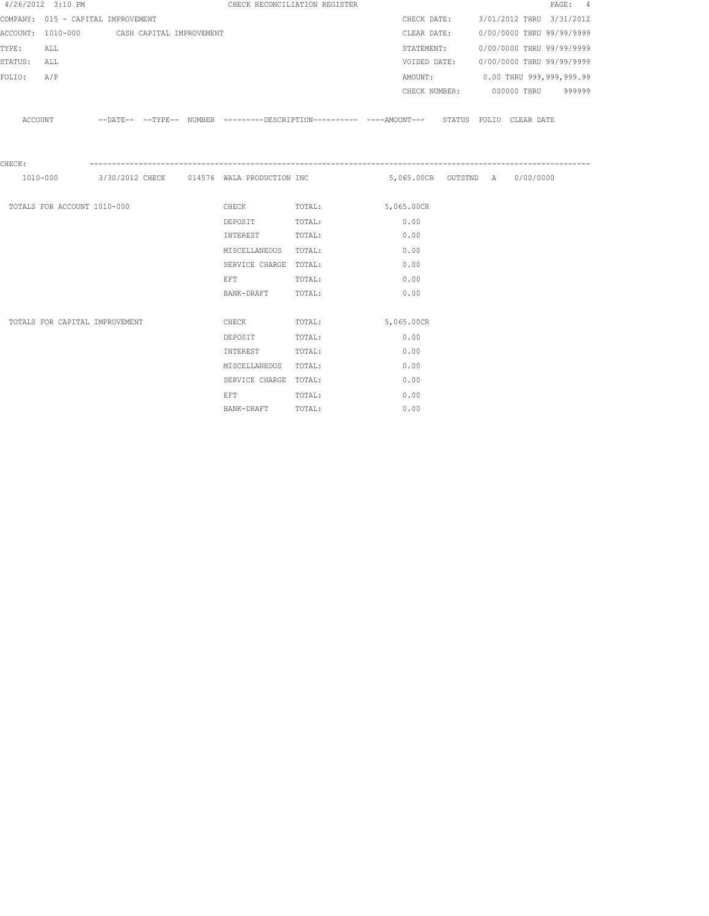|                 | 4/26/2012 3:10 PM                          |  | CHECK RECONCILIATION REGISTER                                                                                  |                         |                                                                                                     |            |                                        | PAGE: 4 |  |
|-----------------|--------------------------------------------|--|----------------------------------------------------------------------------------------------------------------|-------------------------|-----------------------------------------------------------------------------------------------------|------------|----------------------------------------|---------|--|
|                 | COMPANY: 015 - CAPITAL IMPROVEMENT         |  |                                                                                                                |                         |                                                                                                     |            | CHECK DATE: 3/01/2012 THRU 3/31/2012   |         |  |
|                 | ACCOUNT: 1010-000 CASH CAPITAL IMPROVEMENT |  |                                                                                                                |                         |                                                                                                     |            | CLEAR DATE: 0/00/0000 THRU 99/99/9999  |         |  |
| TYPE:           | ALL                                        |  |                                                                                                                |                         |                                                                                                     | STATEMENT: | 0/00/0000 THRU 99/99/9999              |         |  |
| STATUS: ALL     |                                            |  |                                                                                                                |                         |                                                                                                     |            | VOIDED DATE: 0/00/0000 THRU 99/99/9999 |         |  |
| FOLIO: A/P      |                                            |  |                                                                                                                |                         |                                                                                                     |            | AMOUNT: 0.00 THRU 999,999,999.99       |         |  |
|                 |                                            |  |                                                                                                                |                         |                                                                                                     |            | CHECK NUMBER: 000000 THRU 999999       |         |  |
|                 |                                            |  |                                                                                                                |                         | ACCOUNT -DATE-- --TYPE-- NUMBER --------DESCRIPTION---------- ----AMOUNT--- STATUS FOLIO CLEAR DATE |            |                                        |         |  |
|                 |                                            |  |                                                                                                                |                         |                                                                                                     |            |                                        |         |  |
|                 |                                            |  |                                                                                                                |                         |                                                                                                     |            |                                        |         |  |
| ${\tt CHECK}$ : |                                            |  |                                                                                                                |                         |                                                                                                     |            |                                        |         |  |
|                 |                                            |  |                                                                                                                |                         | 1010-000 3/30/2012 CHECK 014576 WALA PRODUCTION INC 5,065.00CR OUTSTND A 0/00/0000                  |            |                                        |         |  |
|                 |                                            |  |                                                                                                                |                         |                                                                                                     |            |                                        |         |  |
|                 | TOTALS FOR ACCOUNT 1010-000                |  |                                                                                                                | CHECK TOTAL: 5,065.00CR |                                                                                                     |            |                                        |         |  |
|                 |                                            |  | DEPOSIT TOTAL:                                                                                                 |                         | 0.00                                                                                                |            |                                        |         |  |
|                 |                                            |  | INTEREST                                                                                                       | TOTAL:                  | 0.00                                                                                                |            |                                        |         |  |
|                 |                                            |  | MISCELLANEOUS TOTAL:                                                                                           |                         | 0.00                                                                                                |            |                                        |         |  |
|                 |                                            |  | SERVICE CHARGE TOTAL:                                                                                          |                         | 0.00                                                                                                |            |                                        |         |  |
|                 |                                            |  | EFT FOR THE STATE OF THE STATE OF THE STATE OF THE STATE OF THE STATE OF THE STATE OF THE STATE OF THE STATE O | TOTAL:                  | 0.00                                                                                                |            |                                        |         |  |
|                 |                                            |  | BANK-DRAFT TOTAL:                                                                                              |                         | 0.00                                                                                                |            |                                        |         |  |
|                 |                                            |  |                                                                                                                |                         |                                                                                                     |            |                                        |         |  |
|                 | TOTALS FOR CAPITAL IMPROVEMENT             |  | CHECK                                                                                                          | TOTAL: 5,065.00CR       |                                                                                                     |            |                                        |         |  |
|                 |                                            |  | DEPOSIT                                                                                                        | TOTAL:                  | 0.00                                                                                                |            |                                        |         |  |
|                 |                                            |  | INTEREST                                                                                                       | TOTAL:                  | 0.00                                                                                                |            |                                        |         |  |
|                 |                                            |  | MISCELLANEOUS TOTAL:                                                                                           |                         | 0.00                                                                                                |            |                                        |         |  |
|                 |                                            |  | SERVICE CHARGE TOTAL:                                                                                          |                         | 0.00                                                                                                |            |                                        |         |  |
|                 |                                            |  | EFT FOR THE STATE OF THE STATE OF THE STATE OF THE STATE OF THE STATE OF THE STATE OF THE STATE OF THE STATE O | TOTAL:                  | 0.00                                                                                                |            |                                        |         |  |
|                 |                                            |  | BANK-DRAFT                                                                                                     | TOTAL:                  | 0.00                                                                                                |            |                                        |         |  |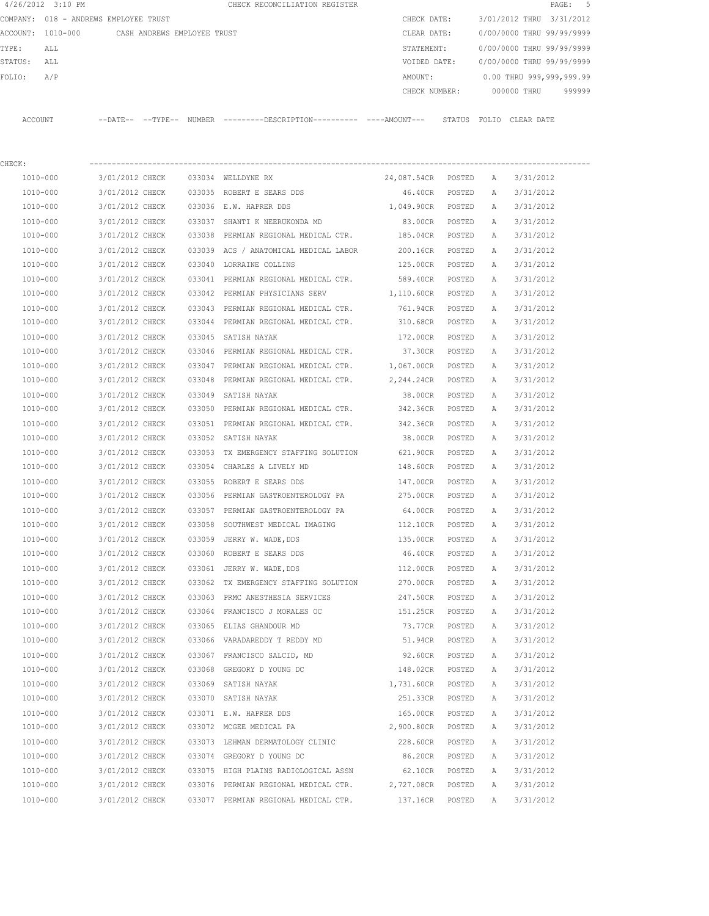|         | 4/26/2012 3:10 PM |                                       |               | CHECK RECONCILIATION REGISTER |               |        |       |             | PAGE: 5                   |  |
|---------|-------------------|---------------------------------------|---------------|-------------------------------|---------------|--------|-------|-------------|---------------------------|--|
|         |                   | COMPANY: 018 - ANDREWS EMPLOYEE TRUST |               |                               | CHECK DATE:   |        |       |             | 3/01/2012 THRU 3/31/2012  |  |
|         | ACCOUNT: 1010-000 | CASH ANDREWS EMPLOYEE TRUST           |               |                               | CLEAR DATE:   |        |       |             | 0/00/0000 THRU 99/99/9999 |  |
| TYPE:   | ALL               |                                       |               |                               | STATEMENT:    |        |       |             | 0/00/0000 THRU 99/99/9999 |  |
| STATUS: | ALL               |                                       |               |                               | VOIDED DATE:  |        |       |             | 0/00/0000 THRU 99/99/9999 |  |
| FOLIO:  | A/P               |                                       |               |                               | AMOUNT:       |        |       |             | 0.00 THRU 999,999,999.99  |  |
|         |                   |                                       |               |                               | CHECK NUMBER: |        |       | 000000 THRU | 999999                    |  |
|         |                   |                                       |               |                               |               |        |       |             |                           |  |
| ACCOUNT |                   | $--$ TYPE $--$<br>$--$ DATE $--$      | <b>NUMBER</b> |                               |               | STATUS | FOLIO | CLEAR DATE  |                           |  |

| CHECK:       |                 |        |                                                 |             |        |   |           |
|--------------|-----------------|--------|-------------------------------------------------|-------------|--------|---|-----------|
| 1010-000     | 3/01/2012 CHECK |        | 033034 WELLDYNE RX                              | 24,087.54CR | POSTED | A | 3/31/2012 |
| 1010-000     | 3/01/2012 CHECK |        | 033035 ROBERT E SEARS DDS                       | 46.40CR     | POSTED | Α | 3/31/2012 |
| 1010-000     | 3/01/2012 CHECK |        | 033036 E.W. HAPRER DDS                          | 1,049.90CR  | POSTED | Α | 3/31/2012 |
| 1010-000     | 3/01/2012 CHECK |        | 033037 SHANTI K NEERUKONDA MD                   | 83.00CR     | POSTED | Α | 3/31/2012 |
| 1010-000     | 3/01/2012 CHECK |        | 033038 PERMIAN REGIONAL MEDICAL CTR. 185.04CR   |             | POSTED | Α | 3/31/2012 |
| 1010-000     | 3/01/2012 CHECK |        | 033039 ACS / ANATOMICAL MEDICAL LABOR           | 200.16CR    | POSTED | Α | 3/31/2012 |
| 1010-000     | 3/01/2012 CHECK | 033040 | LORRAINE COLLINS                                | 125.00CR    | POSTED | Α | 3/31/2012 |
| 1010-000     | 3/01/2012 CHECK |        | 033041 PERMIAN REGIONAL MEDICAL CTR.            | 589.40CR    | POSTED | Α | 3/31/2012 |
| 1010-000     | 3/01/2012 CHECK |        | 033042 PERMIAN PHYSICIANS SERV                  | 1,110.60CR  | POSTED | Α | 3/31/2012 |
| 1010-000     | 3/01/2012 CHECK |        | 033043 PERMIAN REGIONAL MEDICAL CTR.            | 761.94CR    | POSTED | Α | 3/31/2012 |
| 1010-000     | 3/01/2012 CHECK |        | 033044 PERMIAN REGIONAL MEDICAL CTR.            | 310.68CR    | POSTED | Α | 3/31/2012 |
| 1010-000     | 3/01/2012 CHECK |        | 033045 SATISH NAYAK                             | 172.00CR    | POSTED | Α | 3/31/2012 |
| 1010-000     | 3/01/2012 CHECK |        | 033046 PERMIAN REGIONAL MEDICAL CTR. 37.30CR    |             | POSTED | Α | 3/31/2012 |
| 1010-000     | 3/01/2012 CHECK |        | 033047 PERMIAN REGIONAL MEDICAL CTR. 1,067.00CR |             | POSTED | Α | 3/31/2012 |
| 1010-000     | 3/01/2012 CHECK |        | 033048 PERMIAN REGIONAL MEDICAL CTR. 2,244.24CR |             | POSTED | Α | 3/31/2012 |
| 1010-000     | 3/01/2012 CHECK |        | 033049 SATISH NAYAK                             | 38.00CR     | POSTED | Α | 3/31/2012 |
| 1010-000     | 3/01/2012 CHECK |        | 033050 PERMIAN REGIONAL MEDICAL CTR. 342.36CR   |             | POSTED | Α | 3/31/2012 |
| 1010-000     | 3/01/2012 CHECK |        | 033051 PERMIAN REGIONAL MEDICAL CTR.            | 342.36CR    | POSTED | Α | 3/31/2012 |
| 1010-000     | 3/01/2012 CHECK |        | 033052 SATISH NAYAK                             | 38.00CR     | POSTED | Α | 3/31/2012 |
| 1010-000     | 3/01/2012 CHECK |        | 033053 TX EMERGENCY STAFFING SOLUTION           | 621.90CR    | POSTED | Α | 3/31/2012 |
| 1010-000     | 3/01/2012 CHECK |        | 033054 CHARLES A LIVELY MD                      | 148.60CR    | POSTED | Α | 3/31/2012 |
| 1010-000     | 3/01/2012 CHECK |        | 033055 ROBERT E SEARS DDS                       | 147.00CR    | POSTED | Α | 3/31/2012 |
| 1010-000     | 3/01/2012 CHECK |        | 033056 PERMIAN GASTROENTEROLOGY PA              | 275.00CR    | POSTED | Α | 3/31/2012 |
| 1010-000     | 3/01/2012 CHECK |        | 033057 PERMIAN GASTROENTEROLOGY PA              | 64.00CR     | POSTED | Α | 3/31/2012 |
| 1010-000     | 3/01/2012 CHECK |        | 033058 SOUTHWEST MEDICAL IMAGING                | 112.10CR    | POSTED | Α | 3/31/2012 |
| 1010-000     | 3/01/2012 CHECK | 033059 | JERRY W. WADE, DDS                              | 135.00CR    | POSTED | Α | 3/31/2012 |
| 1010-000     | 3/01/2012 CHECK | 033060 | ROBERT E SEARS DDS                              | 46.40CR     | POSTED | Α | 3/31/2012 |
| 1010-000     | 3/01/2012 CHECK |        | 033061 JERRY W. WADE, DDS                       | 112.00CR    | POSTED | Α | 3/31/2012 |
| 1010-000     | 3/01/2012 CHECK |        | 033062 TX EMERGENCY STAFFING SOLUTION           | 270.00CR    | POSTED | Α | 3/31/2012 |
| 1010-000     | 3/01/2012 CHECK |        | 033063 PRMC ANESTHESIA SERVICES                 | 247.50CR    | POSTED | Α | 3/31/2012 |
| 1010-000     | 3/01/2012 CHECK |        | 033064 FRANCISCO J MORALES OC                   | 151.25CR    | POSTED | Α | 3/31/2012 |
| 1010-000     | 3/01/2012 CHECK |        | 033065 ELIAS GHANDOUR MD                        | 73.77CR     | POSTED | Α | 3/31/2012 |
| 1010-000     | 3/01/2012 CHECK |        | 033066 VARADAREDDY T REDDY MD                   | 51.94CR     | POSTED | Α | 3/31/2012 |
| 1010-000     | 3/01/2012 CHECK |        | 033067 FRANCISCO SALCID, MD                     | 92.60CR     | POSTED | Α | 3/31/2012 |
| 1010-000     | 3/01/2012 CHECK | 033068 | GREGORY D YOUNG DC                              | 148.02CR    | POSTED | Α | 3/31/2012 |
| 1010-000     | 3/01/2012 CHECK |        | 033069 SATISH NAYAK                             | 1,731.60CR  | POSTED | Α | 3/31/2012 |
| 1010-000     | 3/01/2012 CHECK |        | 033070 SATISH NAYAK                             | 251.33CR    | POSTED | Α | 3/31/2012 |
| $1010 - 000$ | 3/01/2012 CHECK |        | 033071 E.W. HAPRER DDS                          | 165.00CR    | POSTED | Α | 3/31/2012 |
| 1010-000     | 3/01/2012 CHECK | 033072 | MCGEE MEDICAL PA                                | 2,900.80CR  | POSTED | Α | 3/31/2012 |
| 1010-000     | 3/01/2012 CHECK |        | 033073 LEHMAN DERMATOLOGY CLINIC                | 228.60CR    | POSTED | Α | 3/31/2012 |
| 1010-000     | 3/01/2012 CHECK | 033074 | GREGORY D YOUNG DC                              | 86.20CR     | POSTED | Α | 3/31/2012 |
| 1010-000     | 3/01/2012 CHECK | 033075 | HIGH PLAINS RADIOLOGICAL ASSN                   | 62.10CR     | POSTED | Α | 3/31/2012 |
| 1010-000     | 3/01/2012 CHECK | 033076 | PERMIAN REGIONAL MEDICAL CTR.                   | 2,727.08CR  | POSTED | Α | 3/31/2012 |
| 1010-000     | 3/01/2012 CHECK |        | 033077 PERMIAN REGIONAL MEDICAL CTR.            | 137.16CR    | POSTED | Α | 3/31/2012 |
|              |                 |        |                                                 |             |        |   |           |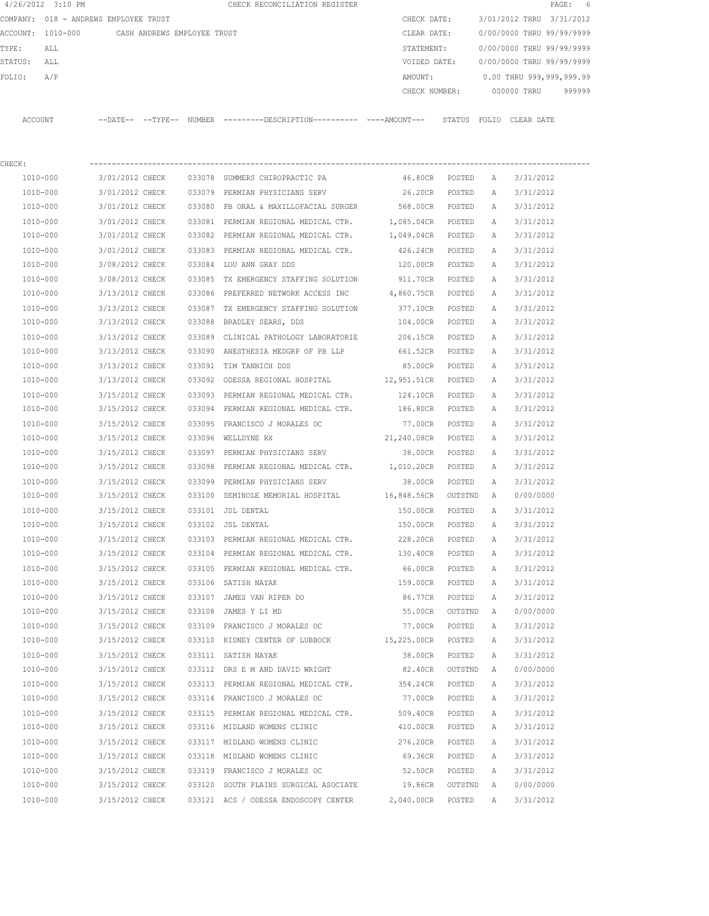|         | 4/26/2012 3:10 PM |                                       |        | CHECK RECONCILIATION REGISTER                |               |        |                           |             | PAGE: 6                  |  |
|---------|-------------------|---------------------------------------|--------|----------------------------------------------|---------------|--------|---------------------------|-------------|--------------------------|--|
|         |                   | COMPANY: 018 - ANDREWS EMPLOYEE TRUST |        |                                              | CHECK DATE:   |        | 3/01/2012 THRU 3/31/2012  |             |                          |  |
|         | ACCOUNT: 1010-000 | CASH ANDREWS EMPLOYEE TRUST           |        |                                              | CLEAR DATE:   |        | 0/00/0000 THRU 99/99/9999 |             |                          |  |
| TYPE:   | ALL               |                                       |        |                                              | STATEMENT:    |        | 0/00/0000 THRU 99/99/9999 |             |                          |  |
| STATUS: | ALL               |                                       |        |                                              | VOIDED DATE:  |        | 0/00/0000 THRU 99/99/9999 |             |                          |  |
| FOLIO:  | A/P               |                                       |        |                                              | AMOUNT:       |        |                           |             | 0.00 THRU 999,999,999.99 |  |
|         |                   |                                       |        |                                              | CHECK NUMBER: |        |                           | 000000 THRU | 999999                   |  |
|         |                   |                                       |        |                                              |               |        |                           |             |                          |  |
| ACCOUNT |                   | --DATE-- --TYPE--                     | NUMBER | ---------DESCRIPTION---------- ----AMOUNT--- |               | STATUS | FOLTO                     | CLEAR DATE  |                          |  |

| CHECK:   |                 |        |                                                       |                    |         |   |           |
|----------|-----------------|--------|-------------------------------------------------------|--------------------|---------|---|-----------|
| 1010-000 | 3/01/2012 CHECK |        | 033078 SUMMERS CHIROPRACTIC PA                        | 46.80CR POSTED     |         | A | 3/31/2012 |
| 1010-000 | 3/01/2012 CHECK |        | 033079 PERMIAN PHYSICIANS SERV                        | 26.20CR            | POSTED  | A | 3/31/2012 |
| 1010-000 | 3/01/2012 CHECK |        | 033080 PB ORAL & MAXILLOFACIAL SURGER 568.00CR POSTED |                    |         | A | 3/31/2012 |
| 1010-000 | 3/01/2012 CHECK |        | 033081 PERMIAN REGIONAL MEDICAL CTR.                  | 1,085.04CR POSTED  |         | A | 3/31/2012 |
| 1010-000 | 3/01/2012 CHECK |        | 033082 PERMIAN REGIONAL MEDICAL CTR.                  | 1,049.04CR POSTED  |         | A | 3/31/2012 |
| 1010-000 | 3/01/2012 CHECK |        | 033083 PERMIAN REGIONAL MEDICAL CTR.                  | 426.24CR POSTED    |         | A | 3/31/2012 |
| 1010-000 | 3/08/2012 CHECK |        | 033084 LOU ANN GRAY DDS                               | 120.00CR POSTED    |         | A | 3/31/2012 |
| 1010-000 | 3/08/2012 CHECK |        | 033085 TX EMERGENCY STAFFING SOLUTION                 | 911.70CR POSTED    |         | Α | 3/31/2012 |
| 1010-000 | 3/13/2012 CHECK |        | 033086 PREFERRED NETWORK ACCESS INC 4,860.75CR POSTED |                    |         | A | 3/31/2012 |
| 1010-000 | 3/13/2012 CHECK |        | 033087 TX EMERGENCY STAFFING SOLUTION 377.10CR POSTED |                    |         | Α | 3/31/2012 |
| 1010-000 | 3/13/2012 CHECK |        | 033088 BRADLEY SEARS, DDS                             | 104.00CR POSTED    |         | Α | 3/31/2012 |
| 1010-000 | 3/13/2012 CHECK |        | 033089 CLINICAL PATHOLOGY LABORATORIE 206.15CR POSTED |                    |         | A | 3/31/2012 |
| 1010-000 | 3/13/2012 CHECK |        | 033090 ANESTHESIA MEDGRP OF PB LLP                    | 661.52CR POSTED    |         | Α | 3/31/2012 |
| 1010-000 | 3/13/2012 CHECK |        | 033091 TIM TANNICH DDS                                | 85.00CR POSTED     |         | Α | 3/31/2012 |
| 1010-000 | 3/13/2012 CHECK |        | 033092 ODESSA REGIONAL HOSPITAL                       | 12,951.51CR POSTED |         | A | 3/31/2012 |
| 1010-000 | 3/15/2012 CHECK |        | 033093 PERMIAN REGIONAL MEDICAL CTR.                  | 124.10CR POSTED    |         | A | 3/31/2012 |
| 1010-000 | 3/15/2012 CHECK |        | 033094 PERMIAN REGIONAL MEDICAL CTR.                  | 186.80CR POSTED    |         | A | 3/31/2012 |
| 1010-000 | 3/15/2012 CHECK |        | 033095 FRANCISCO J MORALES OC                         | 77.00CR POSTED     |         | A | 3/31/2012 |
| 1010-000 | 3/15/2012 CHECK |        | 033096 WELLDYNE RX                                    | 21,240.08CR POSTED |         | A | 3/31/2012 |
| 1010-000 | 3/15/2012 CHECK |        | 033097 PERMIAN PHYSICIANS SERV                        | 38.00CR POSTED     |         | A | 3/31/2012 |
| 1010-000 | 3/15/2012 CHECK | 033098 | PERMIAN REGIONAL MEDICAL CTR.                         | 1,010.20CR POSTED  |         | A | 3/31/2012 |
| 1010-000 | 3/15/2012 CHECK |        | 033099 PERMIAN PHYSICIANS SERV                        | 38.00CR            | POSTED  | A | 3/31/2012 |
| 1010-000 | 3/15/2012 CHECK |        | 033100 SEMINOLE MEMORIAL HOSPITAL 16,848.56CR         |                    | OUTSTND | A | 0/00/0000 |
| 1010-000 | 3/15/2012 CHECK |        | 033101 JSL DENTAL                                     | 150.00CR POSTED    |         | A | 3/31/2012 |
| 1010-000 | 3/15/2012 CHECK |        | 033102 JSL DENTAL                                     | 150.00CR POSTED    |         | A | 3/31/2012 |
| 1010-000 | 3/15/2012 CHECK |        | 033103 PERMIAN REGIONAL MEDICAL CTR.                  | 228.20CR           | POSTED  | A | 3/31/2012 |
| 1010-000 | 3/15/2012 CHECK |        | 033104 PERMIAN REGIONAL MEDICAL CTR.                  | 130.40CR POSTED    |         | Α | 3/31/2012 |
| 1010-000 | 3/15/2012 CHECK |        | 033105 PERMIAN REGIONAL MEDICAL CTR.                  | 66.00CR POSTED     |         | A | 3/31/2012 |
| 1010-000 | 3/15/2012 CHECK |        | 033106 SATISH NAYAK                                   | 159.00CR POSTED    |         | Α | 3/31/2012 |
| 1010-000 | 3/15/2012 CHECK |        | 033107 JAMES VAN RIPER DO                             | 86.77CR POSTED     |         | A | 3/31/2012 |
| 1010-000 | 3/15/2012 CHECK |        | 033108 JAMES Y LI MD                                  | 55.00CR OUTSTND    |         | A | 0/00/0000 |
| 1010-000 | 3/15/2012 CHECK | 033109 | FRANCISCO J MORALES OC                                | 77.00CR POSTED     |         | A | 3/31/2012 |
| 1010-000 | 3/15/2012 CHECK |        | 033110 KIDNEY CENTER OF LUBBOCK                       | 15,225.00CR POSTED |         | A | 3/31/2012 |
| 1010-000 | 3/15/2012 CHECK |        | 033111 SATISH NAYAK                                   | 38.00CR POSTED     |         | Α | 3/31/2012 |
| 1010-000 | 3/15/2012 CHECK |        | 033112 DRS E M AND DAVID WRIGHT                       | 82.40CR            | OUTSTND | Α | 0/00/0000 |
| 1010-000 | 3/15/2012 CHECK |        | 033113 PERMIAN REGIONAL MEDICAL CTR.                  | 354.24CR           | POSTED  | А | 3/31/2012 |
| 1010-000 | 3/15/2012 CHECK |        | 033114 FRANCISCO J MORALES OC                         | 77.00CR            | POSTED  | Α | 3/31/2012 |
| 1010-000 | 3/15/2012 CHECK |        | 033115 PERMIAN REGIONAL MEDICAL CTR.                  | 509.40CR           | POSTED  | Α | 3/31/2012 |
| 1010-000 | 3/15/2012 CHECK |        | 033116 MIDLAND WOMENS CLINIC                          | 410.00CR           | POSTED  | Α | 3/31/2012 |
| 1010-000 | 3/15/2012 CHECK |        | 033117 MIDLAND WOMENS CLINIC                          | 276.20CR           | POSTED  | Α | 3/31/2012 |
| 1010-000 | 3/15/2012 CHECK |        | 033118 MIDLAND WOMENS CLINIC                          | 69.36CR            | POSTED  | Α | 3/31/2012 |
| 1010-000 | 3/15/2012 CHECK |        | 033119 FRANCISCO J MORALES OC                         | 52.50CR            | POSTED  | Α | 3/31/2012 |
| 1010-000 | 3/15/2012 CHECK |        | 033120 SOUTH PLAINS SURGICAL ASOCIATE                 | 19.86CR            | OUTSTND | Α | 0/00/0000 |
| 1010-000 | 3/15/2012 CHECK |        | 033121 ACS / ODESSA ENDOSCOPY CENTER                  | 2,040.00CR         | POSTED  | Α | 3/31/2012 |
|          |                 |        |                                                       |                    |         |   |           |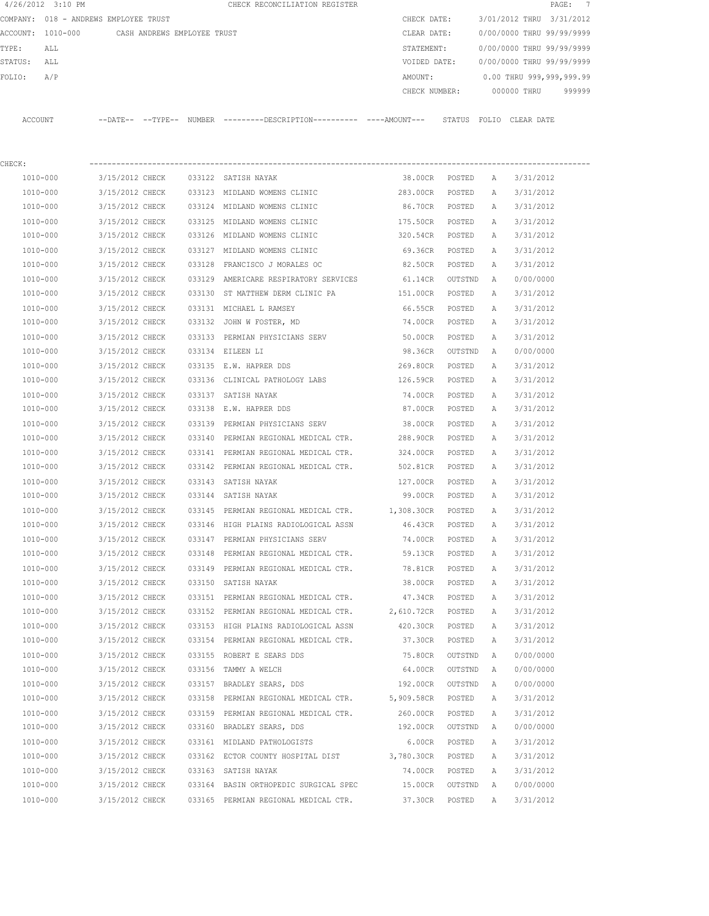|         | 4/26/2012 3:10 PM                     |                             |        | CHECK RECONCILIATION REGISTER                                                                |                |         |              | PAGE: 7                   |        |
|---------|---------------------------------------|-----------------------------|--------|----------------------------------------------------------------------------------------------|----------------|---------|--------------|---------------------------|--------|
|         | COMPANY: 018 - ANDREWS EMPLOYEE TRUST |                             |        |                                                                                              | CHECK DATE:    |         |              | 3/01/2012 THRU 3/31/2012  |        |
|         | ACCOUNT: 1010-000                     | CASH ANDREWS EMPLOYEE TRUST |        |                                                                                              | CLEAR DATE:    |         |              | 0/00/0000 THRU 99/99/9999 |        |
| TYPE:   | ALL                                   |                             |        |                                                                                              | STATEMENT:     |         |              | 0/00/0000 THRU 99/99/9999 |        |
| STATUS: | ALL                                   |                             |        |                                                                                              | VOIDED DATE:   |         |              | 0/00/0000 THRU 99/99/9999 |        |
| FOLIO:  | A/P                                   |                             |        |                                                                                              | AMOUNT:        |         |              | 0.00 THRU 999,999,999.99  |        |
|         |                                       |                             |        |                                                                                              |                |         |              | CHECK NUMBER: 000000 THRU | 999999 |
|         | ACCOUNT                               |                             |        | --DATE-- --TYPE-- NUMBER ---------DESCRIPTION---------- ----AMOUNT--- STATUS FOLIO CLEARDATE |                |         |              |                           |        |
| CHECK:  |                                       |                             |        |                                                                                              |                |         |              |                           |        |
|         | 1010-000                              | 3/15/2012 CHECK             |        | 033122 SATISH NAYAK                                                                          | 38.00CR POSTED |         | A            | 3/31/2012                 |        |
|         | 1010-000                              | 3/15/2012 CHECK             |        | 033123 MIDLAND WOMENS CLINIC                                                                 | 283.00CR       | POSTED  | A            | 3/31/2012                 |        |
|         | 1010-000                              | 3/15/2012 CHECK             |        | 033124 MIDLAND WOMENS CLINIC                                                                 | 86.70CR        | POSTED  | A            | 3/31/2012                 |        |
|         | 1010-000                              | 3/15/2012 CHECK             |        | 033125 MIDLAND WOMENS CLINIC                                                                 | 175.50CR       | POSTED  | A            | 3/31/2012                 |        |
|         | 1010-000                              | 3/15/2012 CHECK             |        | 033126 MIDLAND WOMENS CLINIC                                                                 | 320.54CR       | POSTED  | A            | 3/31/2012                 |        |
|         | 1010-000                              | 3/15/2012 CHECK             |        | 033127 MIDLAND WOMENS CLINIC                                                                 | 69.36CR        | POSTED  | A            | 3/31/2012                 |        |
|         | 1010-000                              | 3/15/2012 CHECK             | 033128 | FRANCISCO J MORALES OC                                                                       | 82.50CR        | POSTED  | A            | 3/31/2012                 |        |
|         | 1010-000                              | 3/15/2012 CHECK             |        | 033129 AMERICARE RESPIRATORY SERVICES                                                        | 61.14CR        | OUTSTND | A            | 0/00/0000                 |        |
|         | 1010-000                              | 3/15/2012 CHECK             |        | 033130 ST MATTHEW DERM CLINIC PA 151.00CR                                                    |                | POSTED  | A            | 3/31/2012                 |        |
|         | 1010-000                              | 3/15/2012 CHECK             |        | 033131 MICHAEL L RAMSEY                                                                      | 66.55CR        | POSTED  | A            | 3/31/2012                 |        |
|         | 1010-000                              | 3/15/2012 CHECK             |        | 033132 JOHN W FOSTER, MD                                                                     | 74.00CR        | POSTED  | А            | 3/31/2012                 |        |
|         | 1010-000                              | 3/15/2012 CHECK             |        | 033133 PERMIAN PHYSICIANS SERV                                                               | 50.00CR        | POSTED  | Α            | 3/31/2012                 |        |
|         | 1010-000                              | 3/15/2012 CHECK             |        | 033134 EILEEN LI                                                                             | 98.36CR        | OUTSTND | $\mathbb{A}$ | 0/00/0000                 |        |
|         | 1010-000                              | 3/15/2012 CHECK             |        | 033135 E.W. HAPRER DDS                                                                       | 269.80CR       | POSTED  | A            | 3/31/2012                 |        |
|         | 1010-000                              | 3/15/2012 CHECK             |        | 033136 CLINICAL PATHOLOGY LABS                                                               | 126.59CR       | POSTED  | A            | 3/31/2012                 |        |
|         | 1010-000                              | 3/15/2012 CHECK             |        | 033137 SATISH NAYAK                                                                          | 74.00CR        | POSTED  | A            | 3/31/2012                 |        |
|         | 1010-000                              | 3/15/2012 CHECK             |        | 033138 E.W. HAPRER DDS                                                                       | 87.00CR        | POSTED  | Α            | 3/31/2012                 |        |
|         | 1010-000                              | 3/15/2012 CHECK             |        | 033139 PERMIAN PHYSICIANS SERV 38.00CR                                                       |                | POSTED  | A            | 3/31/2012                 |        |
|         | 1010-000                              | 3/15/2012 CHECK             |        | 033140 PERMIAN REGIONAL MEDICAL CTR.                                                         | 288.90CR       | POSTED  | A            | 3/31/2012                 |        |
|         |                                       |                             |        |                                                                                              |                |         |              |                           |        |

| 1010-000     | 3/15/2012 CHECK | 033137 SATISH NAYAK                             | 74.00CR  | POSTED  | Α            | 3/31/2012 |
|--------------|-----------------|-------------------------------------------------|----------|---------|--------------|-----------|
| 1010-000     | 3/15/2012 CHECK | 033138 E.W. HAPRER DDS                          | 87.00CR  | POSTED  | Α            | 3/31/2012 |
| 1010-000     | 3/15/2012 CHECK | 033139 PERMIAN PHYSICIANS SERV                  | 38.00CR  | POSTED  | Α            | 3/31/2012 |
| 1010-000     | 3/15/2012 CHECK | 033140 PERMIAN REGIONAL MEDICAL CTR.            | 288.90CR | POSTED  | Α            | 3/31/2012 |
| 1010-000     | 3/15/2012 CHECK | 033141 PERMIAN REGIONAL MEDICAL CTR.            | 324.00CR | POSTED  | $\mathbb{A}$ | 3/31/2012 |
| 1010-000     | 3/15/2012 CHECK | 033142 PERMIAN REGIONAL MEDICAL CTR.            | 502.81CR | POSTED  | Α            | 3/31/2012 |
| 1010-000     | 3/15/2012 CHECK | 033143 SATISH NAYAK                             | 127.00CR | POSTED  | $\mathbb{A}$ | 3/31/2012 |
| 1010-000     | 3/15/2012 CHECK | 033144 SATISH NAYAK                             | 99.00CR  | POSTED  | Α            | 3/31/2012 |
| 1010-000     | 3/15/2012 CHECK | 033145 PERMIAN REGIONAL MEDICAL CTR. 1,308.30CR |          | POSTED  | $\mathbb{A}$ | 3/31/2012 |
| 1010-000     | 3/15/2012 CHECK | 033146 HIGH PLAINS RADIOLOGICAL ASSN            | 46.43CR  | POSTED  | $\mathbb{A}$ | 3/31/2012 |
| 1010-000     | 3/15/2012 CHECK | 033147 PERMIAN PHYSICIANS SERV                  | 74.00CR  | POSTED  | $\mathbb{A}$ | 3/31/2012 |
| 1010-000     | 3/15/2012 CHECK | 033148 PERMIAN REGIONAL MEDICAL CTR.            | 59.13CR  | POSTED  | A            | 3/31/2012 |
| 1010-000     | 3/15/2012 CHECK | 033149 PERMIAN REGIONAL MEDICAL CTR.            | 78.81CR  | POSTED  | $\mathbb{A}$ | 3/31/2012 |
| 1010-000     | 3/15/2012 CHECK | 033150 SATISH NAYAK                             | 38.00CR  | POSTED  | Α            | 3/31/2012 |
| 1010-000     | 3/15/2012 CHECK | 033151 PERMIAN REGIONAL MEDICAL CTR.            | 47.34CR  | POSTED  | Α            | 3/31/2012 |
| 1010-000     | 3/15/2012 CHECK | 033152 PERMIAN REGIONAL MEDICAL CTR. 2,610.72CR |          | POSTED  | Α            | 3/31/2012 |
| $1010 - 000$ | 3/15/2012 CHECK | 033153 HIGH PLAINS RADIOLOGICAL ASSN            | 420.30CR | POSTED  | $\mathbb{A}$ | 3/31/2012 |
| 1010-000     | 3/15/2012 CHECK | 033154 PERMIAN REGIONAL MEDICAL CTR.            | 37.30CR  | POSTED  | A            | 3/31/2012 |
| 1010-000     | 3/15/2012 CHECK | 033155 ROBERT E SEARS DDS                       | 75.80CR  | OUTSTND | Α            | 0/00/0000 |
| 1010-000     | 3/15/2012 CHECK | 033156 TAMMY A WELCH                            | 64.00CR  | OUTSTND | $\mathbb{A}$ | 0/00/0000 |
| 1010-000     | 3/15/2012 CHECK | 033157 BRADLEY SEARS, DDS                       | 192.00CR | OUTSTND | A            | 0/00/0000 |
| 1010-000     | 3/15/2012 CHECK | 033158 PERMIAN REGIONAL MEDICAL CTR. 5,909.58CR |          | POSTED  | Α            | 3/31/2012 |
| 1010-000     | 3/15/2012 CHECK | 033159 PERMIAN REGIONAL MEDICAL CTR.            | 260.00CR | POSTED  | $\mathbb{A}$ | 3/31/2012 |
| 1010-000     | 3/15/2012 CHECK | 033160 BRADLEY SEARS, DDS                       | 192.00CR | OUTSTND | A            | 0/00/0000 |
| 1010-000     | 3/15/2012 CHECK | 033161 MIDLAND PATHOLOGISTS                     | 6.00CR   | POSTED  | Α            | 3/31/2012 |
| 1010-000     | 3/15/2012 CHECK | 033162 ECTOR COUNTY HOSPITAL DIST 3,780.30CR    |          | POSTED  | Α            | 3/31/2012 |
| 1010-000     | 3/15/2012 CHECK | 033163 SATISH NAYAK                             | 74.00CR  | POSTED  | $\mathbb{A}$ | 3/31/2012 |
| 1010-000     | 3/15/2012 CHECK | 033164 BASIN ORTHOPEDIC SURGICAL SPEC           | 15.00CR  | OUTSTND | A            | 0/00/0000 |
| 1010-000     | 3/15/2012 CHECK | 033165 PERMIAN REGIONAL MEDICAL CTR.            | 37.30CR  | POSTED  | A            | 3/31/2012 |
|              |                 |                                                 |          |         |              |           |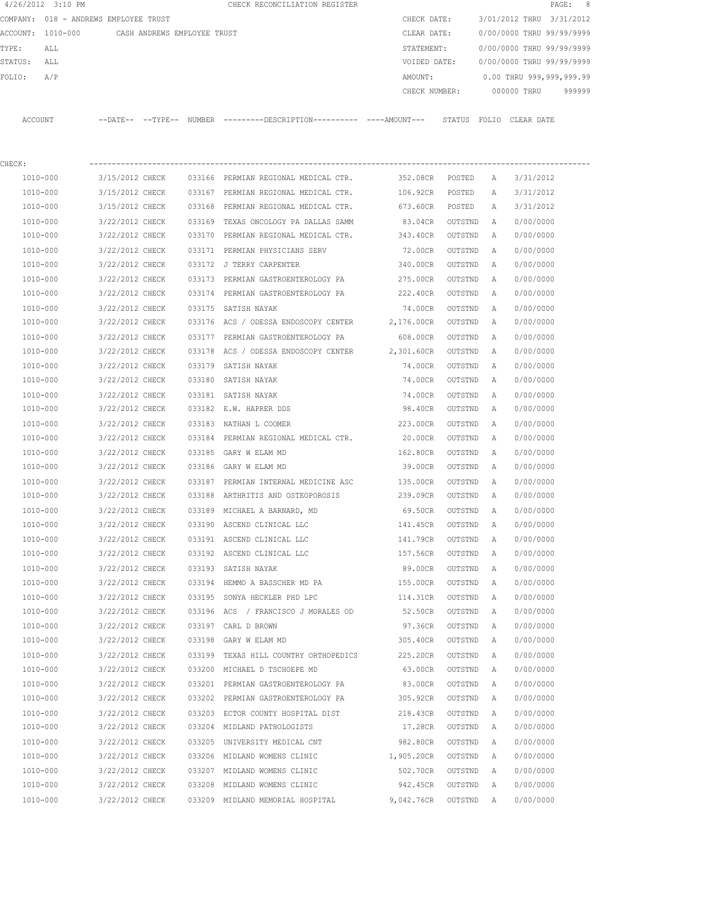|         | 4/26/2012 3:10 PM                             |                 |        | CHECK RECONCILIATION REGISTER                                                                 |               |         |              |                           | PAGE:<br>8 |
|---------|-----------------------------------------------|-----------------|--------|-----------------------------------------------------------------------------------------------|---------------|---------|--------------|---------------------------|------------|
|         | COMPANY: 018 - ANDREWS EMPLOYEE TRUST         |                 |        |                                                                                               | CHECK DATE:   |         |              | 3/01/2012 THRU 3/31/2012  |            |
|         | ACCOUNT: 1010-000 CASH ANDREWS EMPLOYEE TRUST |                 |        |                                                                                               | CLEAR DATE:   |         |              | 0/00/0000 THRU 99/99/9999 |            |
| TYPE:   | ALL                                           |                 |        |                                                                                               | STATEMENT:    |         |              | 0/00/0000 THRU 99/99/9999 |            |
| STATUS: | ALL                                           |                 |        |                                                                                               | VOIDED DATE:  |         |              | 0/00/0000 THRU 99/99/9999 |            |
| FOLIO:  | A/P                                           |                 |        |                                                                                               | AMOUNT:       |         |              | 0.00 THRU 999,999,999.99  |            |
|         |                                               |                 |        |                                                                                               | CHECK NUMBER: |         |              | 000000 THRU               | 999999     |
|         | ACCOUNT                                       |                 |        | --DATE-- --TYPE-- NUMBER ---------DESCRIPTION---------- ----AMOUNT--- STATUS FOLIO CLEAR DATE |               |         |              |                           |            |
| CHECK:  |                                               |                 |        |                                                                                               |               |         |              |                           |            |
|         | 1010-000                                      | 3/15/2012 CHECK |        | 033166 PERMIAN REGIONAL MEDICAL CTR.                                                          | 352.08CR      | POSTED  | A            | 3/31/2012                 |            |
|         | 1010-000                                      | 3/15/2012 CHECK |        | 033167 PERMIAN REGIONAL MEDICAL CTR.                                                          | 106.92CR      | POSTED  | А            | 3/31/2012                 |            |
|         | 1010-000                                      | 3/15/2012 CHECK |        | 033168 PERMIAN REGIONAL MEDICAL CTR.                                                          | 673.60CR      | POSTED  | А            | 3/31/2012                 |            |
|         | 1010-000                                      | 3/22/2012 CHECK |        | 033169 TEXAS ONCOLOGY PA DALLAS SAMM                                                          | 83.04CR       | OUTSTND | A            | 0/00/0000                 |            |
|         | 1010-000                                      | 3/22/2012 CHECK |        | 033170 PERMIAN REGIONAL MEDICAL CTR.                                                          | 343.40CR      | OUTSTND | A            | 0/00/0000                 |            |
|         | 1010-000                                      | 3/22/2012 CHECK |        | 033171 PERMIAN PHYSICIANS SERV                                                                | 72.00CR       | OUTSTND | A            | 0/00/0000                 |            |
|         | 1010-000                                      | 3/22/2012 CHECK |        | 033172 J TERRY CARPENTER                                                                      | 340.00CR      | OUTSTND | A            | 0/00/0000                 |            |
|         | 1010-000                                      | 3/22/2012 CHECK |        | 033173 PERMIAN GASTROENTEROLOGY PA                                                            | 275.00CR      | OUTSTND | A            | 0/00/0000                 |            |
|         | 1010-000                                      | 3/22/2012 CHECK |        | 033174 PERMIAN GASTROENTEROLOGY PA                                                            | 222.40CR      | OUTSTND | A            | 0/00/0000                 |            |
|         | 1010-000                                      | 3/22/2012 CHECK |        | 033175 SATISH NAYAK                                                                           | 74.00CR       | OUTSTND | A            | 0/00/0000                 |            |
|         | 1010-000                                      | 3/22/2012 CHECK |        | 033176 ACS / ODESSA ENDOSCOPY CENTER                                                          | 2,176.00CR    | OUTSTND | A            | 0/00/0000                 |            |
|         | 1010-000                                      | 3/22/2012 CHECK |        | 033177 PERMIAN GASTROENTEROLOGY PA                                                            | 608.00CR      | OUTSTND | $\mathbb{A}$ | 0/00/0000                 |            |
|         | 1010-000                                      | 3/22/2012 CHECK |        | 033178 ACS / ODESSA ENDOSCOPY CENTER 2,301.60CR                                               |               | OUTSTND | A            | 0/00/0000                 |            |
|         | 1010-000                                      | 3/22/2012 CHECK |        | 033179 SATISH NAYAK                                                                           | 74.00CR       | OUTSTND | Α            | 0/00/0000                 |            |
|         | 1010-000                                      | 3/22/2012 CHECK |        | 033180 SATISH NAYAK                                                                           | 74.00CR       | OUTSTND | Α            | 0/00/0000                 |            |
|         | 1010-000                                      | 3/22/2012 CHECK |        | 033181 SATISH NAYAK                                                                           | 74.00CR       | OUTSTND | A            | 0/00/0000                 |            |
|         | 1010-000                                      | 3/22/2012 CHECK |        | 033182 E.W. HAPRER DDS                                                                        | 98.40CR       | OUTSTND | A            | 0/00/0000                 |            |
|         | 1010-000                                      | 3/22/2012 CHECK |        | 033183 NATHAN L COOMER                                                                        | 223.00CR      | OUTSTND | A            | 0/00/0000                 |            |
|         | 1010-000                                      | 3/22/2012 CHECK | 033184 | PERMIAN REGIONAL MEDICAL CTR.                                                                 | 20.00CR       | OUTSTND | A            | 0/00/0000                 |            |
|         | 1010-000                                      | 3/22/2012 CHECK | 033185 | GARY W ELAM MD                                                                                | 162.80CR      | OUTSTND | A            | 0/00/0000                 |            |
|         | 1010-000                                      | 3/22/2012 CHECK | 033186 | GARY W ELAM MD                                                                                | 39.00CR       | OUTSTND | Α            | 0/00/0000                 |            |
|         | 1010-000                                      | 3/22/2012 CHECK |        | 033187 PERMIAN INTERNAL MEDICINE ASC                                                          | 135.00CR      | OUTSTND | A            | 0/00/0000                 |            |
|         | 1010-000                                      | 3/22/2012 CHECK |        | 033188 ARTHRITIS AND OSTEOPOROSIS 239.09CR                                                    |               | OUTSTND | A            | 0/00/0000                 |            |
|         | 1010-000                                      | 3/22/2012 CHECK |        | 033189 MICHAEL A BARNARD, MD                                                                  | 69.50CR       | OUTSTND | A            | 0/00/0000                 |            |
|         | 1010-000                                      | 3/22/2012 CHECK |        | 033190 ASCEND CLINICAL LLC                                                                    | 141.45CR      | OUTSTND | Α            | 0/00/0000                 |            |
|         | 1010-000                                      | 3/22/2012 CHECK |        | 033191 ASCEND CLINICAL LLC                                                                    | 141.79CR      | OUTSTND | Α            | 0/00/0000                 |            |
|         | 1010-000                                      | 3/22/2012 CHECK |        | 033192 ASCEND CLINICAL LLC                                                                    | 157.56CR      | OUTSTND | Α            | 0/00/0000                 |            |
|         | 1010-000                                      | 3/22/2012 CHECK |        | 033193 SATISH NAYAK                                                                           | 89.00CR       | OUTSTND | A            | 0/00/0000                 |            |
|         | 1010-000                                      | 3/22/2012 CHECK |        | 033194 HEMMO A BASSCHER MD PA                                                                 | 155.00CR      | OUTSTND | Α            | 0/00/0000                 |            |
|         | 1010-000                                      | 3/22/2012 CHECK |        | 033195 SONYA HECKLER PHD LPC                                                                  | 114.31CR      | OUTSTND | А            | 0/00/0000                 |            |
|         | 1010-000                                      | 3/22/2012 CHECK |        | 033196 ACS / FRANCISCO J MORALES OD                                                           | 52.50CR       | OUTSTND | Α            | 0/00/0000                 |            |
|         | 1010-000                                      | 3/22/2012 CHECK |        | 033197 CARL D BROWN                                                                           | 97.36CR       | OUTSTND | Α            | 0/00/0000                 |            |
|         | 1010-000                                      | 3/22/2012 CHECK | 033198 | GARY W ELAM MD                                                                                | 305.40CR      | OUTSTND | Α            | 0/00/0000                 |            |
|         | 1010-000                                      | 3/22/2012 CHECK | 033199 | TEXAS HILL COUNTRY ORTHOPEDICS                                                                | 225.20CR      | OUTSTND | Α            | 0/00/0000                 |            |
|         | 1010-000                                      | 3/22/2012 CHECK |        | 033200 MICHAEL D TSCHOEPE MD                                                                  | 63.00CR       | OUTSTND | Α            | 0/00/0000                 |            |
|         | 1010-000                                      | 3/22/2012 CHECK |        | 033201 PERMIAN GASTROENTEROLOGY PA                                                            | 83.00CR       | OUTSTND | А            | 0/00/0000                 |            |
|         | 1010-000                                      | 3/22/2012 CHECK |        | 033202 PERMIAN GASTROENTEROLOGY PA                                                            | 305.92CR      | OUTSTND | Α            | 0/00/0000                 |            |
|         | 1010-000                                      | 3/22/2012 CHECK |        | 033203 ECTOR COUNTY HOSPITAL DIST                                                             | 218.43CR      | OUTSTND | Α            | 0/00/0000                 |            |
|         | 1010-000                                      | 3/22/2012 CHECK |        | 033204 MIDLAND PATHOLOGISTS                                                                   | 17.28CR       | OUTSTND | Α            | 0/00/0000                 |            |
|         | 1010-000                                      | 3/22/2012 CHECK |        | 033205 UNIVERSITY MEDICAL CNT                                                                 | 982.80CR      | OUTSTND | Α            | 0/00/0000                 |            |
|         | 1010-000                                      | 3/22/2012 CHECK |        | 033206 MIDLAND WOMENS CLINIC                                                                  | 1,905.20CR    | OUTSTND | Α            | 0/00/0000                 |            |
|         | 1010-000                                      | 3/22/2012 CHECK |        | 033207 MIDLAND WOMENS CLINIC                                                                  | 502.70CR      | OUTSTND | Α            | 0/00/0000                 |            |
|         | 1010-000                                      | 3/22/2012 CHECK |        | 033208 MIDLAND WOMENS CLINIC                                                                  | 942.45CR      | OUTSTND | Α            | 0/00/0000                 |            |
|         | 1010-000                                      | 3/22/2012 CHECK |        | 033209 MIDLAND MEMORIAL HOSPITAL                                                              | 9,042.76CR    | OUTSTND | Α            | 0/00/0000                 |            |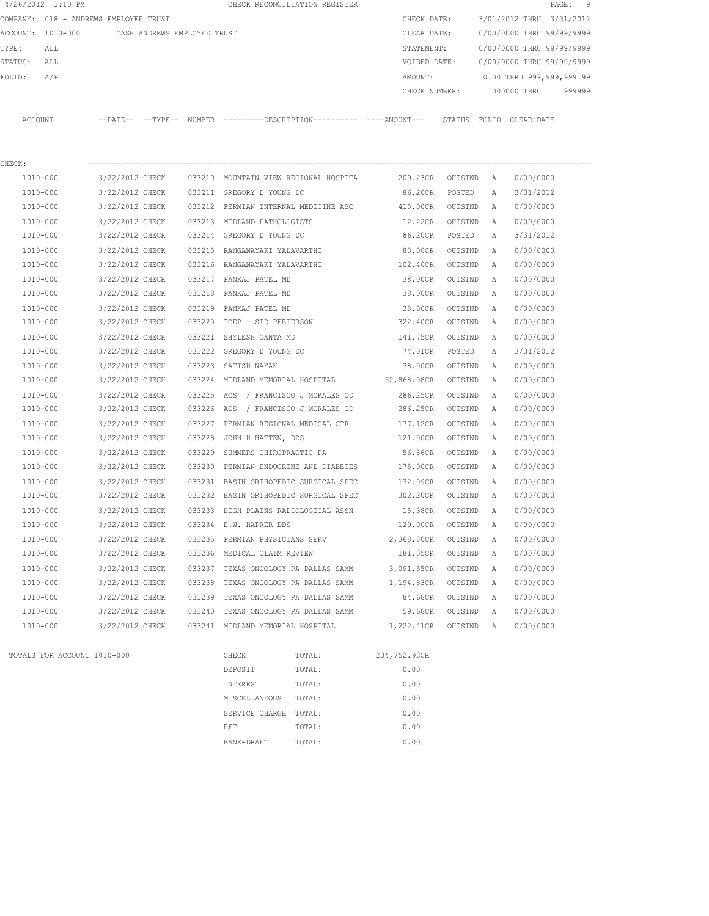|             | 4/26/2012 3:10 PM           |                                       |        |                                  | CHECK RECONCILIATION REGISTER                         |                                                                                               |           |          |                                        | PAGE: 9 |
|-------------|-----------------------------|---------------------------------------|--------|----------------------------------|-------------------------------------------------------|-----------------------------------------------------------------------------------------------|-----------|----------|----------------------------------------|---------|
|             |                             | COMPANY: 018 - ANDREWS EMPLOYEE TRUST |        |                                  |                                                       | CHECK DATE:                                                                                   |           |          | 3/01/2012 THRU 3/31/2012               |         |
|             | ACCOUNT: 1010-000           | CASH ANDREWS EMPLOYEE TRUST           |        |                                  |                                                       | CLEAR DATE:                                                                                   |           |          | 0/00/0000 THRU 99/99/9999              |         |
| TYPE:       | ALL                         |                                       |        |                                  |                                                       | STATEMENT:                                                                                    |           |          | 0/00/0000 THRU 99/99/9999              |         |
| STATUS: ALL |                             |                                       |        |                                  |                                                       |                                                                                               |           |          | VOIDED DATE: 0/00/0000 THRU 99/99/9999 |         |
| FOLIO:      | A/P                         |                                       |        |                                  |                                                       | AMOUNT:                                                                                       |           |          | 0.00 THRU 999,999,999.99               |         |
|             |                             |                                       |        |                                  |                                                       |                                                                                               |           |          | CHECK NUMBER: 000000 THRU 999999       |         |
|             | ACCOUNT                     |                                       |        |                                  |                                                       | --DATE-- --TYPE-- NUMBER ---------DESCRIPTION---------- ----AMOUNT--- STATUS FOLIO CLEAR DATE |           |          |                                        |         |
| CHECK:      |                             |                                       |        |                                  |                                                       |                                                                                               |           |          |                                        |         |
|             | 1010-000                    |                                       |        |                                  |                                                       | 3/22/2012 CHECK 033210 MOUNTAIN VIEW REGIONAL HOSPITA 6209.23CR OUTSTND A 0/00/0000           |           |          |                                        |         |
|             | 1010-000                    | 3/22/2012 CHECK                       |        | 033211 GREGORY D YOUNG DC        |                                                       | 86.20CR POSTED                                                                                |           | <b>A</b> | 3/31/2012                              |         |
|             | 1010-000                    | 3/22/2012 CHECK                       |        |                                  |                                                       | 033212 PERMIAN INTERNAL MEDICINE ASC 415.00CR OUTSTND                                         |           | A        | 0/00/0000                              |         |
|             | 1010-000                    | 3/22/2012 CHECK                       |        | 033213 MIDLAND PATHOLOGISTS      |                                                       | 12.22CR OUTSTND                                                                               |           | A        | 0/00/0000                              |         |
|             | 1010-000                    | 3/22/2012 CHECK                       |        | 033214 GREGORY D YOUNG DC        |                                                       | 86.20CR                                                                                       | POSTED    | A        | 3/31/2012                              |         |
|             | 1010-000                    | 3/22/2012 CHECK                       |        | 033215 RANGANAYAKI YALAVARTHI    |                                                       | 83.00CR                                                                                       | OUTSTND   | A        | 0/00/0000                              |         |
|             | 1010-000                    | 3/22/2012 CHECK                       |        |                                  | 033216 RANGANAYAKI YALAVARTHI 102.40CR                |                                                                                               | OUTSTND   | A        | 0/00/0000                              |         |
|             | 1010-000                    | 3/22/2012 CHECK                       |        | 033217 PANKAJ PATEL MD           |                                                       | 38.00CR                                                                                       | OUTSTND   | A        | 0/00/0000                              |         |
|             | 1010-000                    | 3/22/2012 CHECK                       |        | 033218 PANKAJ PATEL MD           |                                                       | 38.00CR                                                                                       | OUTSTND   | A        | 0/00/0000                              |         |
|             | 1010-000                    | 3/22/2012 CHECK                       |        | 033219 PANKAJ PATEL MD           |                                                       | 38.00CR                                                                                       | OUTSTND   | A        | 0/00/0000                              |         |
|             | 1010-000                    | 3/22/2012 CHECK                       |        | 033220 TCEP - SID PEETERSON      |                                                       | 322.40CR                                                                                      | OUTSTND   | A        | 0/00/0000                              |         |
|             | 1010-000                    | 3/22/2012 CHECK                       |        | 033221 SHYLESH GANTA MD          |                                                       | 141.75CR OUTSTND                                                                              |           | A        | 0/00/0000                              |         |
|             | 1010-000                    | 3/22/2012 CHECK                       |        | 033222 GREGORY D YOUNG DC        |                                                       | 74.01CR POSTED                                                                                |           | Α        | 3/31/2012                              |         |
|             | 1010-000                    | 3/22/2012 CHECK                       |        | 033223 SATISH NAYAK              |                                                       | 38.00CR OUTSTND                                                                               |           | A        | 0/00/0000                              |         |
|             | 1010-000                    | 3/22/2012 CHECK                       |        |                                  |                                                       | 033224 MIDLAND MEMORIAL HOSPITAL 52,868.08CR OUTSTND                                          |           | A        | 0/00/0000                              |         |
|             | 1010-000                    | 3/22/2012 CHECK                       |        |                                  | 033225 ACS / FRANCISCO J MORALES OD                   | 286.25CR                                                                                      | OUTSTND   | A        | 0/00/0000                              |         |
|             | 1010-000                    | 3/22/2012 CHECK                       |        |                                  |                                                       | 033226 ACS / FRANCISCO J MORALES OD 286.25CR                                                  | OUTSTND   | A        | 0/00/0000                              |         |
|             | 1010-000                    | 3/22/2012 CHECK                       |        |                                  | 033227 PERMIAN REGIONAL MEDICAL CTR.                  | 177.12CR                                                                                      | OUTSTND   | A        | 0/00/0000                              |         |
|             | 1010-000                    | 3/22/2012 CHECK                       |        | 033228 JOHN H HATTEN, DDS        |                                                       | 121.00CR                                                                                      | OUTSTND   | A        | 0/00/0000                              |         |
|             | 1010-000                    | 3/22/2012 CHECK                       |        |                                  | 033229 SUMMERS CHIROPRACTIC PA                        | 56.86CR                                                                                       | OUTSTND   | A        | 0/00/0000                              |         |
|             | 1010-000                    | 3/22/2012 CHECK                       |        |                                  |                                                       | 033230 PERMIAN ENDOCRINE AND DIABETES 175.00CR                                                | OUTSTND   | A        | 0/00/0000                              |         |
|             | 1010-000                    | 3/22/2012 CHECK                       |        |                                  | 033231 BASIN ORTHOPEDIC SURGICAL SPEC                 | 132.09CR                                                                                      | OUTSTND   | A        | 0/00/0000                              |         |
|             | 1010-000                    |                                       |        |                                  | 3/22/2012 CHECK 033232 BASIN ORTHOPEDIC SURGICAL SPEC | 302.20CR                                                                                      | OUTSTND   | A        | 0/00/0000                              |         |
|             | 1010-000                    | 3/22/2012 CHECK                       |        |                                  | 033233 HIGH PLAINS RADIOLOGICAL ASSN                  | 15.38CR                                                                                       | OUTSTND A |          | 0/00/0000                              |         |
|             | 1010-000                    | 3/22/2012 CHECK                       |        | 033234 E.W. HAPRER DDS           |                                                       | 129.00CR                                                                                      | OUTSTND   | A        | 0/00/0000                              |         |
|             | $1010 - 000$                | 3/22/2012 CHECK                       |        | 033235 PERMIAN PHYSICIANS SERV   |                                                       | 2,368.80CR                                                                                    | OUTSTND   | Α        | 0/00/0000                              |         |
|             | 1010-000                    | 3/22/2012 CHECK                       |        | 033236 MEDICAL CLAIM REVIEW      |                                                       | 181.35CR                                                                                      | OUTSTND   | Α        | 0/00/0000                              |         |
|             | 1010-000                    | 3/22/2012 CHECK                       | 033237 | TEXAS ONCOLOGY PA DALLAS SAMM    |                                                       | 3,091.55CR                                                                                    | OUTSTND   | Α        | 0/00/0000                              |         |
|             | 1010-000                    | 3/22/2012 CHECK                       | 033238 | TEXAS ONCOLOGY PA DALLAS SAMM    |                                                       | 1,194.83CR                                                                                    | OUTSTND   | Α        | 0/00/0000                              |         |
|             | 1010-000                    | 3/22/2012 CHECK                       | 033239 | TEXAS ONCOLOGY PA DALLAS SAMM    |                                                       | 84.68CR                                                                                       | OUTSTND   | Α        | 0/00/0000                              |         |
|             | 1010-000                    | 3/22/2012 CHECK                       | 033240 | TEXAS ONCOLOGY PA DALLAS SAMM    |                                                       | 59.68CR                                                                                       | OUTSTND   | Α        | 0/00/0000                              |         |
|             | 1010-000                    | 3/22/2012 CHECK                       |        | 033241 MIDLAND MEMORIAL HOSPITAL |                                                       | 1,222.41CR                                                                                    | OUTSTND   | Α        | 0/00/0000                              |         |
|             | TOTALS FOR ACCOUNT 1010-000 |                                       |        | CHECK                            | TOTAL:                                                | 234,752.93CR                                                                                  |           |          |                                        |         |
|             |                             |                                       |        | DEPOSIT                          | TOTAL:                                                | 0.00                                                                                          |           |          |                                        |         |
|             |                             |                                       |        | INTEREST                         | TOTAL:                                                | 0.00                                                                                          |           |          |                                        |         |
|             |                             |                                       |        | MISCELLANEOUS                    | TOTAL:                                                | 0.00                                                                                          |           |          |                                        |         |
|             |                             |                                       |        | SERVICE CHARGE TOTAL:            |                                                       | 0.00                                                                                          |           |          |                                        |         |
|             |                             |                                       |        | EFT                              | TOTAL:                                                | 0.00                                                                                          |           |          |                                        |         |

BANK-DRAFT TOTAL: 0.00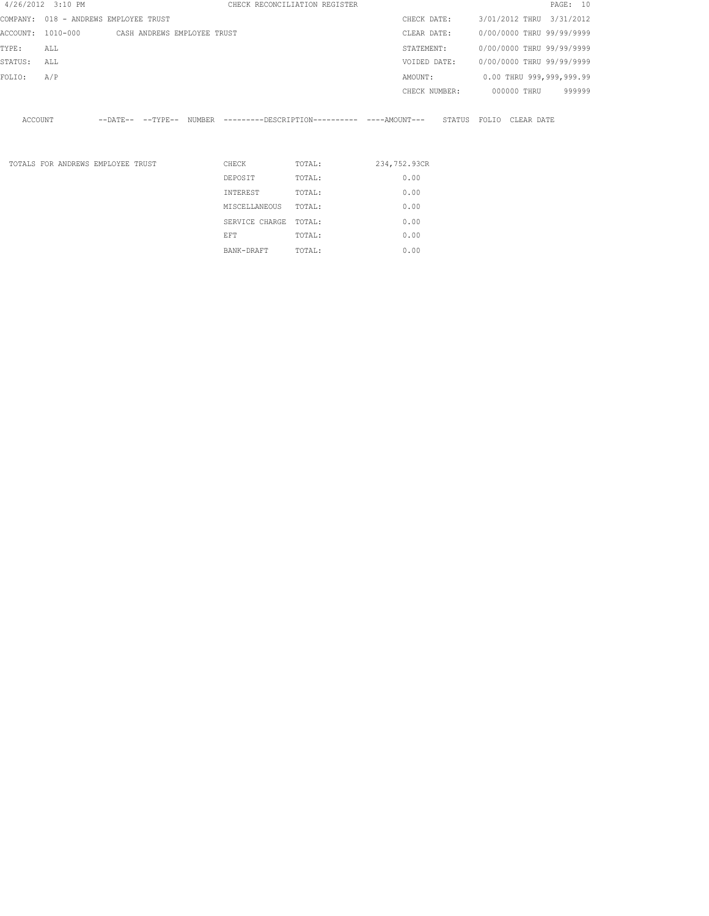|         | 4/26/2012 3:10 PM |                                               |          | CHECK RECONCILIATION REGISTER                                       |              |               |                         | PAGE: 10                  |  |
|---------|-------------------|-----------------------------------------------|----------|---------------------------------------------------------------------|--------------|---------------|-------------------------|---------------------------|--|
|         |                   | COMPANY: 018 - ANDREWS EMPLOYEE TRUST         |          |                                                                     |              | CHECK DATE:   |                         | 3/01/2012 THRU 3/31/2012  |  |
|         |                   | ACCOUNT: 1010-000 CASH ANDREWS EMPLOYEE TRUST |          |                                                                     |              | CLEAR DATE:   |                         | 0/00/0000 THRU 99/99/9999 |  |
| TYPE:   | ALL               |                                               |          |                                                                     |              | STATEMENT:    |                         | 0/00/0000 THRU 99/99/9999 |  |
| STATUS: | ALL               |                                               |          |                                                                     |              | VOIDED DATE:  |                         | 0/00/0000 THRU 99/99/9999 |  |
| FOLIO:  | A/P               |                                               |          |                                                                     |              | AMOUNT:       |                         | 0.00 THRU 999,999,999.99  |  |
|         |                   |                                               |          |                                                                     |              | CHECK NUMBER: | 000000 THRU             | 999999                    |  |
| ACCOUNT |                   |                                               |          | --DATE-- --TYPE-- NUMBER --------DESCRIPTION--------- ----AMOUNT--- |              |               | STATUS FOLIO CLEAR DATE |                           |  |
|         |                   | TOTALS FOR ANDREWS EMPLOYEE TRUST             | CHECK    | TOTAL:                                                              | 234,752.93CR |               |                         |                           |  |
|         |                   |                                               | DEPOSIT  | TOTAL:                                                              | 0.00         |               |                         |                           |  |
|         |                   |                                               | INTEREST | TOTAL:                                                              | 0.00         |               |                         |                           |  |

SERVICE CHARGE TOTAL: 0.00 MISCELLANEOUS IOIAL.<br>
SERVICE CHARGE TOTAL: 0.00<br>
EFT TOTAL: 0.00 BANK-DRAFT TOTAL: 0.00

MISCELLANEOUS TOTAL: 0.00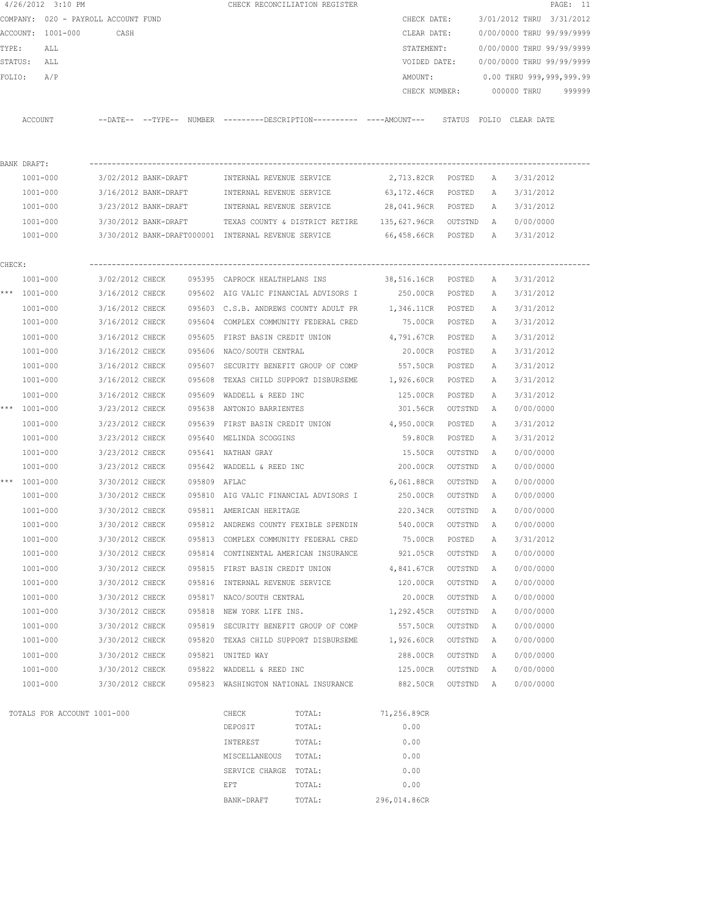|        | 4/26/2012 3:10 PM                   |                      |              |                                          | CHECK RECONCILIATION REGISTER                                                               |                                |         |              |                           | PAGE: 11 |
|--------|-------------------------------------|----------------------|--------------|------------------------------------------|---------------------------------------------------------------------------------------------|--------------------------------|---------|--------------|---------------------------|----------|
|        | COMPANY: 020 - PAYROLL ACCOUNT FUND |                      |              |                                          |                                                                                             | CHECK DATE:                    |         |              | 3/01/2012 THRU 3/31/2012  |          |
|        | ACCOUNT: 1001-000                   | CASH                 |              |                                          |                                                                                             | CLEAR DATE:                    |         |              | 0/00/0000 THRU 99/99/9999 |          |
| TYPE:  | ALL                                 |                      |              |                                          |                                                                                             | STATEMENT:                     |         |              | 0/00/0000 THRU 99/99/9999 |          |
|        | STATUS: ALL                         |                      |              |                                          |                                                                                             | VOIDED DATE:                   |         |              | 0/00/0000 THRU 99/99/9999 |          |
| FOLIO: | A/P                                 |                      |              |                                          |                                                                                             | AMOUNT:                        |         |              | 0.00 THRU 999,999,999.99  |          |
|        |                                     |                      |              |                                          |                                                                                             | CHECK NUMBER:                  |         |              | 000000 THRU               | 999999   |
|        | ACCOUNT                             |                      |              |                                          | --DATE-- --TYPE-- NUMBER --------DESCRIPTION---------- ---AMOUNT--- STATUS FOLIO CLEAR-DATE |                                |         |              |                           |          |
|        | BANK DRAFT:                         |                      |              |                                          |                                                                                             |                                |         |              |                           |          |
|        | 1001-000                            | 3/02/2012 BANK-DRAFT |              | INTERNAL REVENUE SERVICE                 |                                                                                             | 2,713.82CR POSTED              |         | A            | 3/31/2012                 |          |
|        | 1001-000                            | 3/16/2012 BANK-DRAFT |              | INTERNAL REVENUE SERVICE                 |                                                                                             | 63,172.46CR POSTED             |         | A            | 3/31/2012                 |          |
|        | 1001-000                            | 3/23/2012 BANK-DRAFT |              | INTERNAL REVENUE SERVICE                 |                                                                                             | 28,041.96CR POSTED             |         |              | A 3/31/2012               |          |
|        | 1001-000                            | 3/30/2012 BANK-DRAFT |              |                                          | TEXAS COUNTY & DISTRICT RETIRE 135,627.96CR OUTSTND A 0/00/0000                             |                                |         |              |                           |          |
|        | 1001-000                            |                      |              |                                          | 3/30/2012 BANK-DRAFT000001 INTERNAL REVENUE SERVICE                                         | 66,458.66CR POSTED A 3/31/2012 |         |              |                           |          |
| CHECK: |                                     |                      |              |                                          |                                                                                             |                                |         |              |                           |          |
|        | 1001-000                            | 3/02/2012 CHECK      |              |                                          | 095395 CAPROCK HEALTHPLANS INS 38,516.16CR POSTED                                           |                                |         | A            | 3/31/2012                 |          |
|        | *** 1001-000                        |                      |              |                                          | 3/16/2012 CHECK 095602 AIG VALIC FINANCIAL ADVISORS I 250.00CR POSTED                       |                                |         | A            | 3/31/2012                 |          |
|        | $1001 - 000$                        |                      |              |                                          | 3/16/2012 CHECK 095603 C.S.B. ANDREWS COUNTY ADULT PR 1,346.11CR POSTED                     |                                |         | A            | 3/31/2012                 |          |
|        | $1001 - 000$                        |                      |              |                                          | 3/16/2012 CHECK 095604 COMPLEX COMMUNITY FEDERAL CRED                                       | 75.00CR POSTED                 |         | A            | 3/31/2012                 |          |
|        | 1001-000                            | 3/16/2012 CHECK      |              |                                          | 095605 FIRST BASIN CREDIT UNION                                                             | 4,791.67CR                     | POSTED  | Α            | 3/31/2012                 |          |
|        | 1001-000                            | 3/16/2012 CHECK      |              | 095606 NACO/SOUTH CENTRAL                |                                                                                             | 20.00CR                        | POSTED  | A            | 3/31/2012                 |          |
|        | 1001-000                            | 3/16/2012 CHECK      |              |                                          | 095607 SECURITY BENEFIT GROUP OF COMP                                                       | 557.50CR                       | POSTED  | A            | 3/31/2012                 |          |
|        | 1001-000                            | 3/16/2012 CHECK      |              |                                          | 095608 TEXAS CHILD SUPPORT DISBURSEME                                                       | 1,926.60CR                     | POSTED  | Α            | 3/31/2012                 |          |
|        | 1001-000                            | 3/16/2012 CHECK      |              | 095609 WADDELL & REED INC                |                                                                                             | 125.00CR                       | POSTED  | A            | 3/31/2012                 |          |
|        | *** 1001-000                        | 3/23/2012 CHECK      |              | 095638 ANTONIO BARRIENTES                |                                                                                             | 301.56CR                       | OUTSTND | A            | 0/00/0000                 |          |
|        | $1001 - 000$                        | 3/23/2012 CHECK      |              | 095639 FIRST BASIN CREDIT UNION          |                                                                                             | 4,950.00CR                     | POSTED  | Α            | 3/31/2012                 |          |
|        | $1001 - 000$                        | 3/23/2012 CHECK      |              | 095640 MELINDA SCOGGINS                  |                                                                                             | 59.80CR                        | POSTED  | Α            | 3/31/2012                 |          |
|        | 1001-000                            | 3/23/2012 CHECK      |              | 095641 NATHAN GRAY                       |                                                                                             | 15.50CR                        | OUTSTND | A            | 0/00/0000                 |          |
|        | 1001-000                            | 3/23/2012 CHECK      |              | 095642 WADDELL & REED INC                |                                                                                             | 200.00CR                       | OUTSTND | A            | 0/00/0000                 |          |
|        | *** 1001-000                        | 3/30/2012 CHECK      | 095809 AFLAC |                                          |                                                                                             | 6,061.88CR                     | OUTSTND | $\mathbb{A}$ | 0/00/0000                 |          |
|        | $1001 - 000$                        |                      |              |                                          | 3/30/2012 CHECK 095810 AIG VALIC FINANCIAL ADVISORS I 250.00CR                              |                                | OUTSTND | A            | 0/00/0000                 |          |
|        | $1001 - 000$                        |                      |              | 3/30/2012 CHECK 095811 AMERICAN HERITAGE |                                                                                             | 220.34CR                       | OUTSTND | A            | 0/00/0000                 |          |
|        | $1001 - 000$                        | 3/30/2012 CHECK      |              | 095812 ANDREWS COUNTY FEXIBLE SPENDIN    |                                                                                             | 540.00CR                       | OUTSTND | А            | 0/00/0000                 |          |
|        | 1001-000                            | 3/30/2012 CHECK      |              |                                          | 095813 COMPLEX COMMUNITY FEDERAL CRED                                                       | 75.00CR                        | POSTED  | Α            | 3/31/2012                 |          |
|        | 1001-000                            | 3/30/2012 CHECK      |              |                                          | 095814 CONTINENTAL AMERICAN INSURANCE                                                       | 921.05CR                       | OUTSTND | Α            | 0/00/0000                 |          |
|        | $1001 - 000$                        | 3/30/2012 CHECK      |              | 095815 FIRST BASIN CREDIT UNION          |                                                                                             | 4,841.67CR                     | OUTSTND | Α            | 0/00/0000                 |          |
|        | 1001-000                            | 3/30/2012 CHECK      | 095816       | INTERNAL REVENUE SERVICE                 |                                                                                             | 120.00CR                       | OUTSTND | Α            | 0/00/0000                 |          |
|        | $1001 - 000$                        | 3/30/2012 CHECK      | 095817       | NACO/SOUTH CENTRAL                       |                                                                                             | 20.00CR                        | OUTSTND | Α            | 0/00/0000                 |          |
|        | $1001 - 000$                        | 3/30/2012 CHECK      | 095818       | NEW YORK LIFE INS.                       |                                                                                             | 1,292.45CR                     | OUTSTND | Α            | 0/00/0000                 |          |
|        | $1001 - 000$                        | 3/30/2012 CHECK      |              | 095819 SECURITY BENEFIT GROUP OF COMP    |                                                                                             | 557.50CR                       | OUTSTND | Α            | 0/00/0000                 |          |
|        | 1001-000                            | 3/30/2012 CHECK      |              | 095820 TEXAS CHILD SUPPORT DISBURSEME    |                                                                                             | 1,926.60CR                     | OUTSTND | Α            | 0/00/0000                 |          |
|        | $1001 - 000$                        | 3/30/2012 CHECK      |              | 095821 UNITED WAY                        |                                                                                             | 288.00CR                       | OUTSTND | Α            | 0/00/0000                 |          |
|        | $1001 - 000$                        | 3/30/2012 CHECK      |              | 095822 WADDELL & REED INC                |                                                                                             | 125.00CR                       | OUTSTND | Α            | 0/00/0000                 |          |
|        | 1001-000                            | 3/30/2012 CHECK      |              | 095823 WASHINGTON NATIONAL INSURANCE     |                                                                                             | 882.50CR                       | OUTSTND | A            | 0/00/0000                 |          |
|        | TOTALS FOR ACCOUNT 1001-000         |                      |              | CHECK                                    | TOTAL:                                                                                      | 71,256.89CR                    |         |              |                           |          |
|        |                                     |                      |              | DEPOSIT                                  | TOTAL:                                                                                      | 0.00                           |         |              |                           |          |
|        |                                     |                      |              | INTEREST                                 | TOTAL:                                                                                      | 0.00                           |         |              |                           |          |
|        |                                     |                      |              | MISCELLANEOUS                            | TOTAL:                                                                                      | 0.00                           |         |              |                           |          |
|        |                                     |                      |              | SERVICE CHARGE                           | TOTAL:                                                                                      | 0.00                           |         |              |                           |          |
|        |                                     |                      |              | EFT                                      | TOTAL:                                                                                      | 0.00                           |         |              |                           |          |
|        |                                     |                      |              | BANK-DRAFT                               | TOTAL:                                                                                      | 296,014.86CR                   |         |              |                           |          |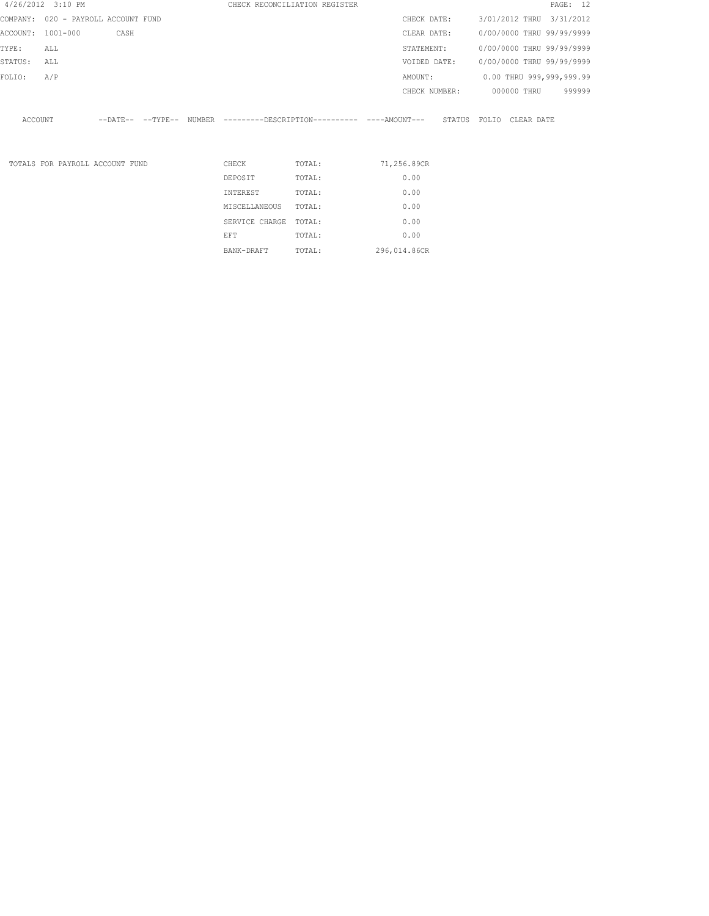|         | 4/26/2012 3:10 PM                   |      |  |               |                | CHECK RECONCILIATION REGISTER                                                                |  |              |               |                           |             | PAGE: 12 |        |
|---------|-------------------------------------|------|--|---------------|----------------|----------------------------------------------------------------------------------------------|--|--------------|---------------|---------------------------|-------------|----------|--------|
|         | COMPANY: 020 - PAYROLL ACCOUNT FUND |      |  |               |                |                                                                                              |  | CHECK DATE:  |               | 3/01/2012 THRU 3/31/2012  |             |          |        |
|         | ACCOUNT: 1001-000                   | CASH |  |               |                |                                                                                              |  | CLEAR DATE:  |               | 0/00/0000 THRU 99/99/9999 |             |          |        |
| TYPE:   | ALL                                 |      |  |               |                |                                                                                              |  | STATEMENT:   |               | 0/00/0000 THRU 99/99/9999 |             |          |        |
| STATUS: | ALL                                 |      |  |               |                |                                                                                              |  | VOIDED DATE: |               | 0/00/0000 THRU 99/99/9999 |             |          |        |
| FOLIO:  | A/P                                 |      |  |               |                |                                                                                              |  | AMOUNT:      |               | 0.00 THRU 999,999,999.99  |             |          |        |
|         |                                     |      |  |               |                |                                                                                              |  |              | CHECK NUMBER: |                           | 000000 THRU |          | 999999 |
| ACCOUNT |                                     |      |  |               |                | --DATE-- --TYPE-- NUMBER ---------DESCRIPTION---------- ----AMOUNT--- STATUS FOLIO CLEARDATE |  |              |               |                           |             |          |        |
|         | TOTALS FOR PAYROLL ACCOUNT FUND     |      |  | CHECK         |                | TOTAL:                                                                                       |  | 71,256.89CR  |               |                           |             |          |        |
|         |                                     |      |  | DEPOSIT       |                | TOTAL:                                                                                       |  | 0.00         |               |                           |             |          |        |
|         |                                     |      |  | INTEREST      |                | TOTAL:                                                                                       |  | 0.00         |               |                           |             |          |        |
|         |                                     |      |  | MISCELLANEOUS |                | TOTAL:                                                                                       |  | 0.00         |               |                           |             |          |        |
|         |                                     |      |  |               | SERVICE CHARGE | TOTAL:                                                                                       |  | 0.00         |               |                           |             |          |        |
|         |                                     |      |  | EFT           |                | TOTAL:                                                                                       |  | 0.00         |               |                           |             |          |        |

BANK-DRAFT TOTAL: 296,014.86CR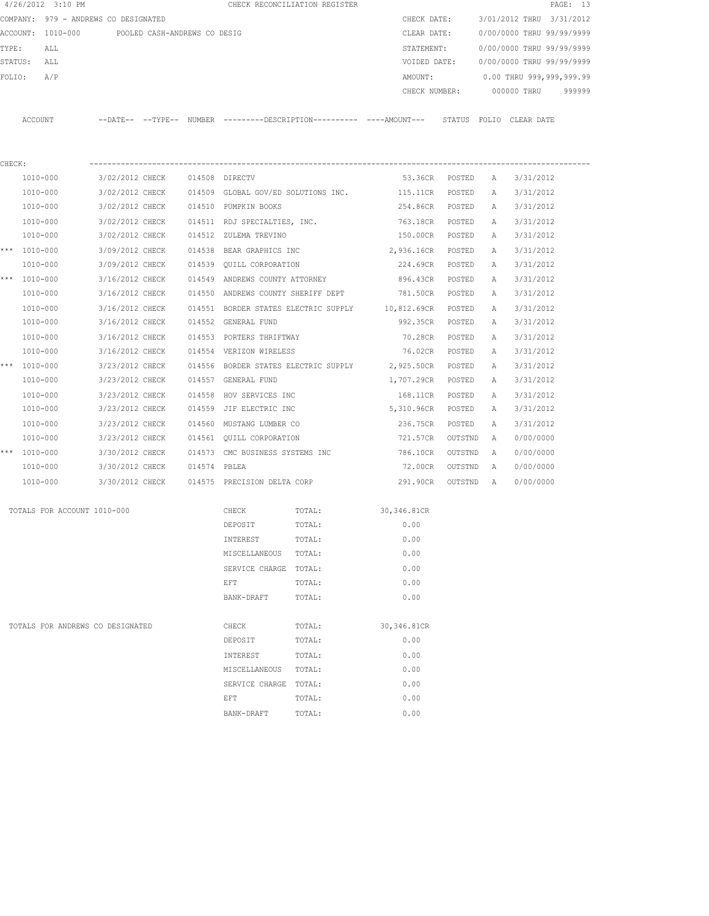|          | 4/26/2012 3:10 PM                    |                            |                              |        | CHECK RECONCILIATION REGISTER                |               |        |              |                           | PAGE: 13 |        |
|----------|--------------------------------------|----------------------------|------------------------------|--------|----------------------------------------------|---------------|--------|--------------|---------------------------|----------|--------|
|          | COMPANY: 979 - ANDREWS CO DESIGNATED |                            |                              |        |                                              | CHECK DATE:   |        |              | 3/01/2012 THRU 3/31/2012  |          |        |
| ACCOUNT: | 1010-000                             |                            | POOLED CASH-ANDREWS CO DESIG |        |                                              | CLEAR DATE:   |        |              | 0/00/0000 THRU 99/99/9999 |          |        |
| TYPE:    | ALL                                  |                            |                              |        |                                              | STATEMENT:    |        |              | 0/00/0000 THRU 99/99/9999 |          |        |
| STATUS:  | ALL                                  |                            |                              |        |                                              | VOIDED DATE:  |        |              | 0/00/0000 THRU 99/99/9999 |          |        |
| FOLIO:   | A/P                                  |                            |                              |        |                                              | AMOUNT:       |        |              | 0.00 THRU 999,999,999.99  |          |        |
|          |                                      |                            |                              |        |                                              | CHECK NUMBER: |        |              | 000000 THRU               |          | 999999 |
| ACCOUNT  |                                      | $--$ DATE $- --$ TYPE $--$ |                              | NUMBER | ---------DESCRIPTION---------- ----AMOUNT--- |               | STATUS | FOLIO        | CLEAR DATE                |          |        |
| CHECK:   |                                      |                            |                              |        |                                              |               |        |              |                           |          |        |
| 1010-000 |                                      | 3/02/2012 CHECK            |                              | 014508 | DIRECTV                                      | 53.36CR       | POSTED | $\mathbb{A}$ | 3/31/2012                 |          |        |

| 1010-000                    | 3/02/2012 CHECK |              |                             | 014509 GLOBAL GOV/ED SOLUTIONS INC.              | 115.11CR   | POSTED  | A            | 3/31/2012 |
|-----------------------------|-----------------|--------------|-----------------------------|--------------------------------------------------|------------|---------|--------------|-----------|
| 1010-000                    | 3/02/2012 CHECK |              | 014510 PUMPKIN BOOKS        |                                                  | 254.86CR   | POSTED  | Α            | 3/31/2012 |
| 1010-000                    | 3/02/2012 CHECK |              |                             | 014511 RDJ SPECIALTIES, INC. 763.18CR            |            | POSTED  | $\mathbb{A}$ | 3/31/2012 |
| 1010-000                    | 3/02/2012 CHECK |              | 014512 ZULEMA TREVINO       |                                                  | 150.00CR   | POSTED  | Α            | 3/31/2012 |
| *** $1010 - 000$            | 3/09/2012 CHECK |              |                             | 014538 BEAR GRAPHICS INC 2,936.16CR              |            | POSTED  | Α            | 3/31/2012 |
| 1010-000                    | 3/09/2012 CHECK |              |                             | 014539 QUILL CORPORATION                         | 224.69CR   | POSTED  | Α            | 3/31/2012 |
| *** $1010 - 000$            | 3/16/2012 CHECK |              |                             | 014549 ANDREWS COUNTY ATTORNEY 896.43CR          |            | POSTED  | Α            | 3/31/2012 |
| 1010-000                    | 3/16/2012 CHECK | 014550       |                             | ANDREWS COUNTY SHERIFF DEPT 781.50CR             |            | POSTED  | Α            | 3/31/2012 |
| 1010-000                    | 3/16/2012 CHECK |              |                             | 014551 BORDER STATES ELECTRIC SUPPLY 10,812.69CR |            | POSTED  | Α            | 3/31/2012 |
| 1010-000                    | 3/16/2012 CHECK | 014552       | GENERAL FUND                |                                                  | 992.35CR   | POSTED  | Α            | 3/31/2012 |
| 1010-000                    | 3/16/2012 CHECK |              | 014553 PORTERS THRIFTWAY    |                                                  | 70.28CR    | POSTED  | A            | 3/31/2012 |
| 1010-000                    | 3/16/2012 CHECK |              | 014554 VERIZON WIRELESS     |                                                  | 76.02CR    | POSTED  | A            | 3/31/2012 |
| *** $1010 - 000$            | 3/23/2012 CHECK | 014556       |                             | BORDER STATES ELECTRIC SUPPLY 2,925.50CR         |            | POSTED  | Α            | 3/31/2012 |
| 1010-000                    | 3/23/2012 CHECK | 014557       | GENERAL FUND                |                                                  | 1,707.29CR | POSTED  | Α            | 3/31/2012 |
| 1010-000                    | 3/23/2012 CHECK |              | 014558 HOV SERVICES INC     |                                                  | 168.11CR   | POSTED  | Α            | 3/31/2012 |
| 1010-000                    | 3/23/2012 CHECK |              | 014559 JIF ELECTRIC INC     |                                                  | 5,310.96CR | POSTED  | Α            | 3/31/2012 |
| 1010-000                    | 3/23/2012 CHECK |              |                             | 014560 MUSTANG LUMBER CO                         | 236.75CR   | POSTED  | Α            | 3/31/2012 |
| 1010-000                    | 3/23/2012 CHECK |              | 014561 QUILL CORPORATION    |                                                  | 721.57CR   | OUTSTND | $\mathbb{A}$ | 0/00/0000 |
| *** $1010 - 000$            | 3/30/2012 CHECK |              |                             | 014573 CMC BUSINESS SYSTEMS INC                  | 786.10CR   | OUTSTND | $\mathbb{A}$ | 0/00/0000 |
| 1010-000                    | 3/30/2012 CHECK | 014574 PBLEA |                             |                                                  | 72.00CR    | OUTSTND | $\mathbb{A}$ | 0/00/0000 |
| 1010-000                    | 3/30/2012 CHECK |              | 014575 PRECISION DELTA CORP |                                                  | 291.90CR   | OUTSTND | A            | 0/00/0000 |
| TOTALS FOR ACCOUNT 1010-000 |                 |              | CHECK                       | TOTAL: 30,346.81CR                               |            |         |              |           |
|                             |                 |              | DEPOSIT                     | TOTAL:                                           | 0.00       |         |              |           |
|                             |                 |              | INTEREST                    | TOTAL:                                           | 0.00       |         |              |           |
|                             |                 |              | MISCELLANEOUS TOTAL:        |                                                  | 0.00       |         |              |           |
|                             |                 |              | CUBITAR GUIDOR FORME        |                                                  | $\sim$ 00  |         |              |           |

SERVICE CHARGE TOTAL: 0.00 EFT TOTAL:  $0.00$ BANK-DRAFT TOTAL: 0.00 TOTALS FOR ANDREWS CO DESIGNATED CHECK TOTAL: 30,346.81CR DEPOSIT TOTAL: 0.00 INTEREST TOTAL: 0.00 MISCELLANEOUS TOTAL: 0.00<br>SERVICE CHARGE TOTAL: 0.00<br>FFT SERVICE CHARGE TOTAL: EFT TOTAL:  $0.00$ BANK-DRAFT TOTAL: 0.00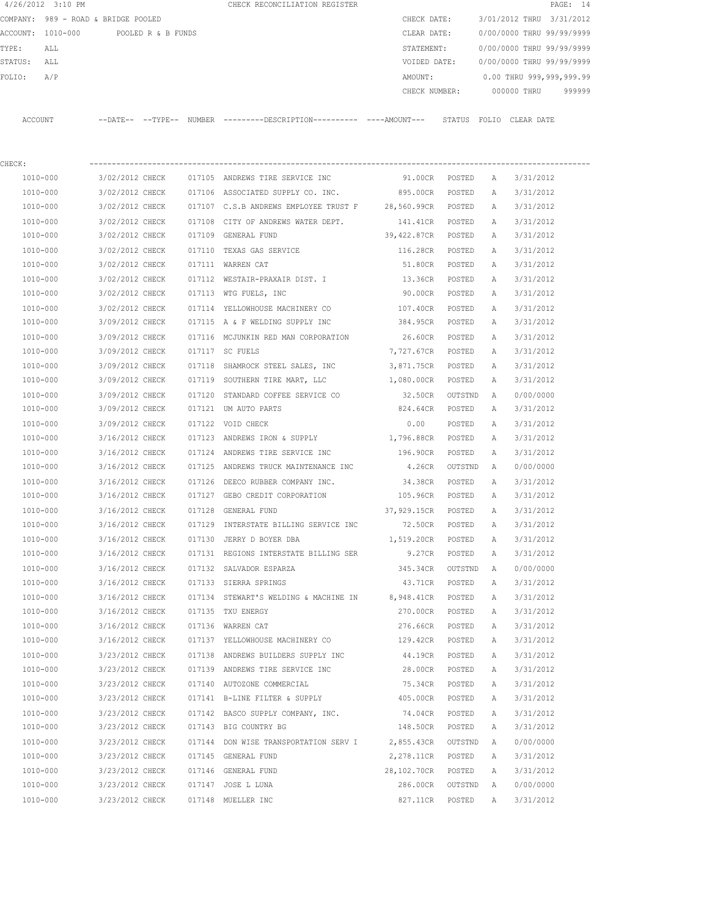|         | 4/26/2012 3:10 PM |                                     | CHECK RECONCILIATION REGISTER                        |               |        |                           |            | PAGE: 14 |        |
|---------|-------------------|-------------------------------------|------------------------------------------------------|---------------|--------|---------------------------|------------|----------|--------|
|         |                   | COMPANY: 989 - ROAD & BRIDGE POOLED |                                                      | CHECK DATE:   |        | 3/01/2012 THRU 3/31/2012  |            |          |        |
|         | ACCOUNT: 1010-000 | POOLED R & B FUNDS                  |                                                      | CLEAR DATE:   |        | 0/00/0000 THRU 99/99/9999 |            |          |        |
| TYPE:   | ALL               |                                     |                                                      | STATEMENT:    |        | 0/00/0000 THRU 99/99/9999 |            |          |        |
| STATUS: | ALL               |                                     |                                                      | VOIDED DATE:  |        | 0/00/0000 THRU 99/99/9999 |            |          |        |
| FOLIO:  | A/P               |                                     |                                                      | AMOUNT:       |        | 0.00 THRU 999,999,999.99  |            |          |        |
|         |                   |                                     |                                                      | CHECK NUMBER: |        | 000000 THRU               |            |          | 999999 |
|         |                   |                                     |                                                      |               |        |                           |            |          |        |
| ACCOUNT |                   | $---DATF------TYPF---$              | $NUMBER$ --------DESCRIPTION---------- ----AMOUNT--- |               | STATUS | FOLTO                     | CLEAR DATE |          |        |
|         |                   |                                     |                                                      |               |        |                           |            |          |        |

| CHECK:       |                 |        |                                                          |                    |         |              |           |
|--------------|-----------------|--------|----------------------------------------------------------|--------------------|---------|--------------|-----------|
| 1010-000     |                 |        | 3/02/2012 CHECK 017105 ANDREWS TIRE SERVICE INC          | 91.00CR POSTED     |         | A            | 3/31/2012 |
| 1010-000     | 3/02/2012 CHECK |        | 017106 ASSOCIATED SUPPLY CO. INC. 895.00CR POSTED        |                    |         | A            | 3/31/2012 |
| 1010-000     | 3/02/2012 CHECK |        | 017107 C.S.B ANDREWS EMPLOYEE TRUST F 28,560.99CR POSTED |                    |         | A            | 3/31/2012 |
| 1010-000     | 3/02/2012 CHECK |        | 017108 CITY OF ANDREWS WATER DEPT.                       | 141.41CR POSTED    |         | A            | 3/31/2012 |
| 1010-000     | 3/02/2012 CHECK |        | 017109 GENERAL FUND                                      | 39,422.87CR POSTED |         | Α            | 3/31/2012 |
| 1010-000     | 3/02/2012 CHECK |        | 017110 TEXAS GAS SERVICE                                 | 116.28CR POSTED    |         | A            | 3/31/2012 |
| 1010-000     | 3/02/2012 CHECK |        | 017111 WARREN CAT                                        | 51.80CR POSTED     |         | А            | 3/31/2012 |
| 1010-000     | 3/02/2012 CHECK |        | 017112 WESTAIR-PRAXAIR DIST. I                           | 13.36CR POSTED     |         | Α            | 3/31/2012 |
| 1010-000     | 3/02/2012 CHECK |        | 017113 WTG FUELS, INC                                    | 90.00CR POSTED     |         | Α            | 3/31/2012 |
| 1010-000     | 3/02/2012 CHECK |        | 017114 YELLOWHOUSE MACHINERY CO                          | 107.40CR POSTED    |         | A            | 3/31/2012 |
| 1010-000     | 3/09/2012 CHECK |        | 017115 A & F WELDING SUPPLY INC                          | 384.95CR POSTED    |         | A            | 3/31/2012 |
| 1010-000     | 3/09/2012 CHECK |        | 017116 MCJUNKIN RED MAN CORPORATION                      | 26.60CR POSTED     |         | Α            | 3/31/2012 |
| 1010-000     | 3/09/2012 CHECK |        | 017117 SC FUELS                                          | 7,727.67CR POSTED  |         | A            | 3/31/2012 |
| 1010-000     | 3/09/2012 CHECK |        | 017118 SHAMROCK STEEL SALES, INC 3,871.75CR POSTED       |                    |         | Α            | 3/31/2012 |
| 1010-000     |                 |        | 3/09/2012 CHECK 017119 SOUTHERN TIRE MART, LLC           | 1,080.00CR POSTED  |         | A            | 3/31/2012 |
| 1010-000     | 3/09/2012 CHECK |        | 017120 STANDARD COFFEE SERVICE CO                        | 32.50CR            | OUTSTND | A            | 0/00/0000 |
| 1010-000     | 3/09/2012 CHECK |        | 017121 UM AUTO PARTS                                     | 824.64CR           | POSTED  | Α            | 3/31/2012 |
| 1010-000     | 3/09/2012 CHECK |        | 017122 VOID CHECK                                        | 0.00               | POSTED  | Α            | 3/31/2012 |
| 1010-000     | 3/16/2012 CHECK |        | 017123 ANDREWS IRON & SUPPLY                             | 1,796.88CR POSTED  |         | Α            | 3/31/2012 |
| 1010-000     | 3/16/2012 CHECK |        | 017124 ANDREWS TIRE SERVICE INC                          | 196.90CR POSTED    |         | Α            | 3/31/2012 |
| 1010-000     | 3/16/2012 CHECK |        | 017125 ANDREWS TRUCK MAINTENANCE INC                     | 4.26CR OUTSTND     |         | A            | 0/00/0000 |
| 1010-000     | 3/16/2012 CHECK |        | 017126 DEECO RUBBER COMPANY INC.                         | 34.38CR POSTED     |         | Α            | 3/31/2012 |
| 1010-000     | 3/16/2012 CHECK |        | 017127 GEBO CREDIT CORPORATION                           | 105.96CR POSTED    |         | Α            | 3/31/2012 |
| 1010-000     | 3/16/2012 CHECK | 017128 | GENERAL FUND                                             | 37,929.15CR POSTED |         | Α            | 3/31/2012 |
| 1010-000     | 3/16/2012 CHECK | 017129 | INTERSTATE BILLING SERVICE INC                           | 72.50CR POSTED     |         | А            | 3/31/2012 |
| 1010-000     | 3/16/2012 CHECK |        | 017130 JERRY D BOYER DBA                                 | 1,519.20CR POSTED  |         | Α            | 3/31/2012 |
| 1010-000     | 3/16/2012 CHECK |        | 017131 REGIONS INTERSTATE BILLING SER                    | 9.27CR POSTED      |         | Α            | 3/31/2012 |
| 1010-000     | 3/16/2012 CHECK |        | 017132 SALVADOR ESPARZA                                  | 345.34CR           | OUTSTND | Α            | 0/00/0000 |
| 1010-000     | 3/16/2012 CHECK |        | 017133 SIERRA SPRINGS                                    | 43.71CR            | POSTED  | Α            | 3/31/2012 |
| 1010-000     | 3/16/2012 CHECK |        | 017134 STEWART'S WELDING & MACHINE IN 8,948.41CR         |                    | POSTED  | A            | 3/31/2012 |
| 1010-000     | 3/16/2012 CHECK |        | 017135 TXU ENERGY                                        | 270.00CR POSTED    |         | Α            | 3/31/2012 |
| 1010-000     | 3/16/2012 CHECK |        | 017136 WARREN CAT                                        | 276.66CR POSTED    |         | Α            | 3/31/2012 |
| 1010-000     |                 |        | 3/16/2012 CHECK 017137 YELLOWHOUSE MACHINERY CO          | 129.42CR POSTED    |         | A            | 3/31/2012 |
| 1010-000     |                 |        | 3/23/2012 CHECK 017138 ANDREWS BUILDERS SUPPLY INC       | 44.19CR POSTED     |         | A            | 3/31/2012 |
| 1010-000     | 3/23/2012 CHECK |        | 017139 ANDREWS TIRE SERVICE INC                          | 28.00CR            | POSTED  | $\mathbb{A}$ | 3/31/2012 |
| 1010-000     | 3/23/2012 CHECK |        | 017140 AUTOZONE COMMERCIAL                               | 75.34CR            | POSTED  | А            | 3/31/2012 |
| $1010 - 000$ | 3/23/2012 CHECK |        | 017141 B-LINE FILTER & SUPPLY                            | 405.00CR           | POSTED  | Α            | 3/31/2012 |
| $1010 - 000$ | 3/23/2012 CHECK |        | 017142 BASCO SUPPLY COMPANY, INC.                        | 74.04CR            | POSTED  | Α            | 3/31/2012 |
| 1010-000     | 3/23/2012 CHECK |        | 017143 BIG COUNTRY BG                                    | 148.50CR           | POSTED  | Α            | 3/31/2012 |
| 1010-000     | 3/23/2012 CHECK |        | 017144 DON WISE TRANSPORTATION SERV I                    | 2,855.43CR         | OUTSTND | Α            | 0/00/0000 |
| 1010-000     | 3/23/2012 CHECK |        | 017145 GENERAL FUND                                      | 2,278.11CR         | POSTED  | Α            | 3/31/2012 |
| 1010-000     | 3/23/2012 CHECK | 017146 | GENERAL FUND                                             | 28,102.70CR        | POSTED  | Α            | 3/31/2012 |
| 1010-000     | 3/23/2012 CHECK | 017147 | JOSE L LUNA                                              | 286.00CR           | OUTSTND | Α            | 0/00/0000 |
| 1010-000     | 3/23/2012 CHECK |        | 017148 MUELLER INC                                       | 827.11CR           | POSTED  | Α            | 3/31/2012 |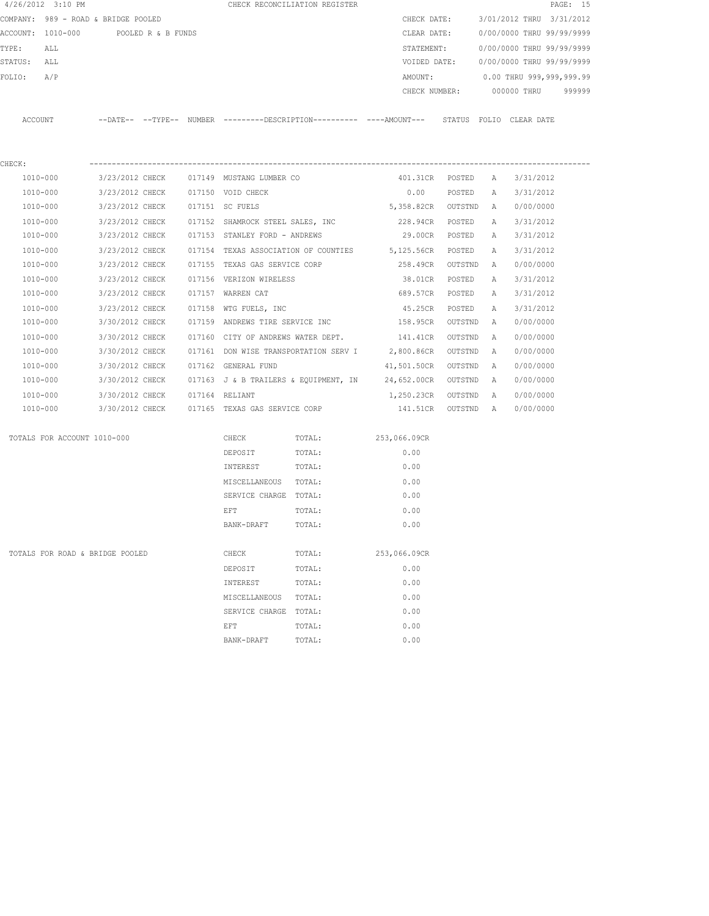|                                                                                                           |                                 |                 |  |            |                                               | CHECK RECONCILIATION REGISTER                                                                 |                      |         |              |                                      | PAGE: 15 |
|-----------------------------------------------------------------------------------------------------------|---------------------------------|-----------------|--|------------|-----------------------------------------------|-----------------------------------------------------------------------------------------------|----------------------|---------|--------------|--------------------------------------|----------|
| $4/26/2012$ 3:10 PM<br>COMPANY: 989 - ROAD & BRIDGE POOLED<br>ACCOUNT: 1010-000 POOLED R & B FUNDS<br>ALL |                                 |                 |  |            |                                               |                                                                                               |                      |         |              | CHECK DATE: 3/01/2012 THRU 3/31/2012 |          |
|                                                                                                           | ALL                             |                 |  |            |                                               |                                                                                               | CLEAR DATE:          |         |              | 0/00/0000 THRU 99/99/9999            |          |
| TYPE:                                                                                                     |                                 |                 |  |            |                                               |                                                                                               | STATEMENT:           |         |              | 0/00/0000 THRU 99/99/9999            |          |
| STATUS:                                                                                                   |                                 |                 |  |            |                                               |                                                                                               | VOIDED DATE:         |         |              | 0/00/0000 THRU 99/99/9999            |          |
| FOLIO:                                                                                                    | A/P                             |                 |  |            |                                               |                                                                                               | AMOUNT:              |         |              | 0.00 THRU 999,999,999.99             |          |
|                                                                                                           |                                 |                 |  |            |                                               |                                                                                               |                      |         |              | CHECK NUMBER: 000000 THRU            | 999999   |
| ACCOUNT                                                                                                   |                                 |                 |  |            |                                               | --DATE-- --TYPE-- NUMBER ---------DESCRIPTION---------- ----AMOUNT--- STATUS FOLIO CLEAR-DATE |                      |         |              |                                      |          |
| CHECK:                                                                                                    |                                 |                 |  |            |                                               |                                                                                               |                      |         |              |                                      |          |
|                                                                                                           | 1010-000                        |                 |  |            | 3/23/2012 CHECK 017149 MUSTANG LUMBER CO      |                                                                                               | 401.31CR POSTED A    |         |              | 3/31/2012                            |          |
|                                                                                                           | 1010-000                        | 3/23/2012 CHECK |  |            | 017150 VOID CHECK                             |                                                                                               | 0.00                 | POSTED  | $\mathbb{A}$ | 3/31/2012                            |          |
|                                                                                                           | 1010-000                        | 3/23/2012 CHECK |  |            | 017151 SC FUELS                               |                                                                                               | 5,358.82CR OUTSTND A |         |              | 0/00/0000                            |          |
|                                                                                                           | 1010-000                        | 3/23/2012 CHECK |  |            | 017152 SHAMROCK STEEL SALES, INC              |                                                                                               | 228.94CR POSTED      |         | A            | 3/31/2012                            |          |
|                                                                                                           | 1010-000                        | 3/23/2012 CHECK |  |            | 017153 STANLEY FORD - ANDREWS                 |                                                                                               | 29.00CR POSTED       |         | A            | 3/31/2012                            |          |
|                                                                                                           | 1010-000                        | 3/23/2012 CHECK |  |            |                                               | 017154 TEXAS ASSOCIATION OF COUNTIES 5,125.56CR                                               |                      | POSTED  | A            | 3/31/2012                            |          |
|                                                                                                           | 1010-000                        | 3/23/2012 CHECK |  |            |                                               | 017155 TEXAS GAS SERVICE CORP                                                                 | 258.49CR             | OUTSTND | A            | 0/00/0000                            |          |
|                                                                                                           | 1010-000                        | 3/23/2012 CHECK |  |            | 017156 VERIZON WIRELESS                       |                                                                                               | 38.01CR              | POSTED  | A            | 3/31/2012                            |          |
|                                                                                                           | 1010-000                        | 3/23/2012 CHECK |  |            | 017157 WARREN CAT                             |                                                                                               | 689.57CR             | POSTED  | A            | 3/31/2012                            |          |
|                                                                                                           | 1010-000                        | 3/23/2012 CHECK |  |            | 017158 WTG FUELS, INC                         |                                                                                               | 45.25CR              | POSTED  | A            | 3/31/2012                            |          |
|                                                                                                           | 1010-000                        | 3/30/2012 CHECK |  |            |                                               | 017159 ANDREWS TIRE SERVICE INC 158.95CR                                                      |                      | OUTSTND | A            | 0/00/0000                            |          |
|                                                                                                           | 1010-000                        | 3/30/2012 CHECK |  |            |                                               | 017160 CITY OF ANDREWS WATER DEPT. 141.41CR                                                   |                      | OUTSTND | A            | 0/00/0000                            |          |
|                                                                                                           | 1010-000                        | 3/30/2012 CHECK |  |            |                                               | 017161 DON WISE TRANSPORTATION SERV I 2,800.86CR OUTSTND                                      |                      |         | A            | 0/00/0000                            |          |
|                                                                                                           | 1010-000                        | 3/30/2012 CHECK |  |            | 017162 GENERAL FUND                           |                                                                                               | 41,501.50CR OUTSTND  |         | A            | 0/00/0000                            |          |
|                                                                                                           | 1010-000                        | 3/30/2012 CHECK |  |            |                                               | 017163 J & B TRAILERS & EQUIPMENT, IN                                                         | 24,652.00CR OUTSTND  |         | A            | 0/00/0000                            |          |
|                                                                                                           | 1010-000                        | 3/30/2012 CHECK |  |            | 017164 RELIANT                                |                                                                                               | 1,250.23CR OUTSTND A |         |              | 0/00/0000                            |          |
|                                                                                                           | 1010-000                        |                 |  |            | 3/30/2012 CHECK 017165 TEXAS GAS SERVICE CORP |                                                                                               | 141.51CR OUTSTND A   |         |              | 0/00/0000                            |          |
|                                                                                                           | TOTALS FOR ACCOUNT 1010-000     |                 |  |            | CHECK                                         | TOTAL: 253,066.09CR                                                                           |                      |         |              |                                      |          |
|                                                                                                           |                                 |                 |  |            | DEPOSIT                                       | TOTAL:                                                                                        | 0.00                 |         |              |                                      |          |
|                                                                                                           |                                 |                 |  |            | INTEREST                                      | TOTAL:                                                                                        | 0.00                 |         |              |                                      |          |
|                                                                                                           |                                 |                 |  |            | MISCELLANEOUS TOTAL:                          |                                                                                               | 0.00                 |         |              |                                      |          |
|                                                                                                           |                                 |                 |  |            | SERVICE CHARGE TOTAL:                         |                                                                                               | 0.00                 |         |              |                                      |          |
|                                                                                                           |                                 |                 |  |            | EFT                                           | TOTAL:                                                                                        | 0.00                 |         |              |                                      |          |
|                                                                                                           |                                 |                 |  |            | BANK-DRAFT                                    | TOTAL:                                                                                        | 0.00                 |         |              |                                      |          |
|                                                                                                           | TOTALS FOR ROAD & BRIDGE POOLED |                 |  |            | CHECK                                         | TOTAL:                                                                                        | 253,066.09CR         |         |              |                                      |          |
|                                                                                                           |                                 |                 |  |            | DEPOSIT                                       | TOTAL:                                                                                        | 0.00                 |         |              |                                      |          |
|                                                                                                           |                                 |                 |  |            | INTEREST                                      | TOTAL:                                                                                        | 0.00                 |         |              |                                      |          |
|                                                                                                           |                                 |                 |  |            | MISCELLANEOUS                                 | TOTAL:                                                                                        | 0.00                 |         |              |                                      |          |
|                                                                                                           |                                 |                 |  |            | SERVICE CHARGE TOTAL:                         |                                                                                               | 0.00                 |         |              |                                      |          |
|                                                                                                           |                                 |                 |  |            | EFT                                           | TOTAL:                                                                                        | 0.00                 |         |              |                                      |          |
|                                                                                                           |                                 |                 |  | BANK-DRAFT | TOTAL:                                        | 0.00                                                                                          |                      |         |              |                                      |          |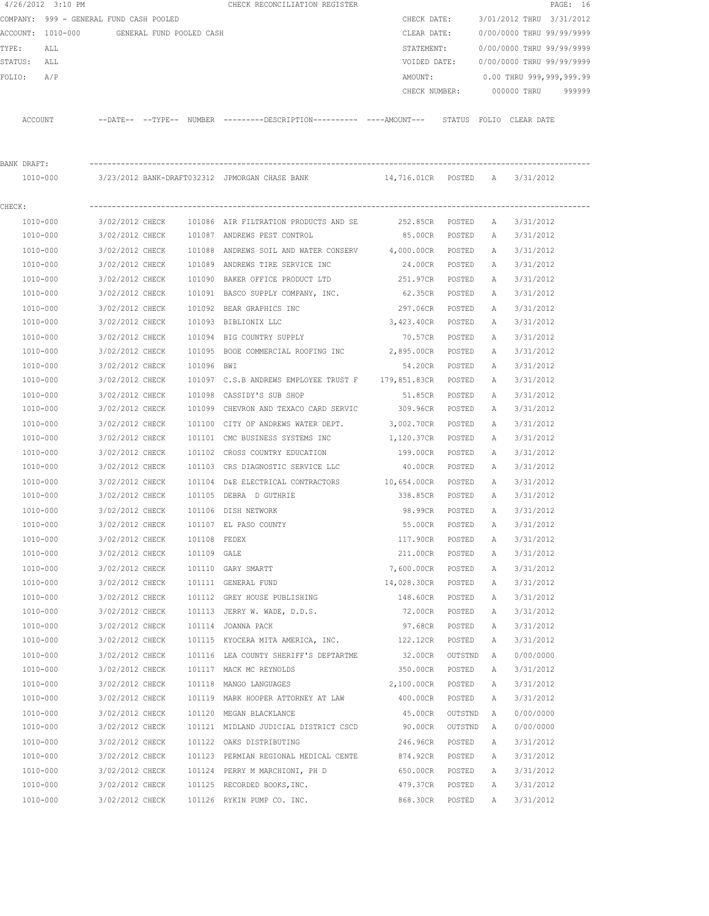|             | 4/26/2012 3:10 PM                          |                 |              | CHECK RECONCILIATION REGISTER                                                                       |                    |         |              |                           | PAGE: 16 |
|-------------|--------------------------------------------|-----------------|--------------|-----------------------------------------------------------------------------------------------------|--------------------|---------|--------------|---------------------------|----------|
|             | COMPANY: 999 - GENERAL FUND CASH POOLED    |                 |              |                                                                                                     | CHECK DATE:        |         |              | 3/01/2012 THRU 3/31/2012  |          |
|             | ACCOUNT: 1010-000 GENERAL FUND POOLED CASH |                 |              |                                                                                                     | CLEAR DATE:        |         |              | 0/00/0000 THRU 99/99/9999 |          |
| TYPE:       | ALL                                        |                 |              |                                                                                                     | STATEMENT:         |         |              | 0/00/0000 THRU 99/99/9999 |          |
| STATUS: ALL |                                            |                 |              |                                                                                                     | VOIDED DATE:       |         |              | 0/00/0000 THRU 99/99/9999 |          |
| FOLIO:      | A/P                                        |                 |              |                                                                                                     | AMOUNT:            |         |              | 0.00 THRU 999,999,999.99  |          |
|             |                                            |                 |              |                                                                                                     | CHECK NUMBER:      |         |              | 000000 THRU               | 999999   |
|             | ACCOUNT                                    |                 |              | --DATE-- --TYPE-- NUMBER --------DESCRIPTION--------- ----AMOUNT--- STATUS FOLIO CLEARDATE          |                    |         |              |                           |          |
| BANK DRAFT: |                                            |                 |              |                                                                                                     |                    |         |              |                           |          |
|             | 1010-000                                   |                 |              | 3/23/2012 BANK-DRAFT032312 JPMORGAN CHASE BANK                          14,716.01CR    POSTED     A |                    |         |              | 3/31/2012                 |          |
|             |                                            |                 |              |                                                                                                     |                    |         |              |                           |          |
| CHECK:      |                                            |                 |              |                                                                                                     |                    |         |              |                           |          |
|             | 1010-000                                   | 3/02/2012 CHECK |              | 101086 AIR FILTRATION PRODUCTS AND SE                                                               | 252.85CR POSTED    |         | A            | 3/31/2012                 |          |
|             | 1010-000                                   | 3/02/2012 CHECK |              | 101087 ANDREWS PEST CONTROL                                                                         | 85.00CR            | POSTED  | A            | 3/31/2012                 |          |
|             | 1010-000                                   | 3/02/2012 CHECK |              | 101088 ANDREWS SOIL AND WATER CONSERV                                                               | 4,000.00CR         | POSTED  | A            | 3/31/2012                 |          |
|             | 1010-000                                   | 3/02/2012 CHECK |              | 101089 ANDREWS TIRE SERVICE INC                                                                     | 24.00CR POSTED     |         | A            | 3/31/2012                 |          |
|             | 1010-000                                   | 3/02/2012 CHECK |              | 101090 BAKER OFFICE PRODUCT LTD                                                                     | 251.97CR           | POSTED  | A            | 3/31/2012                 |          |
|             | 1010-000                                   | 3/02/2012 CHECK |              | 101091 BASCO SUPPLY COMPANY, INC.                                                                   | 62.35CR            | POSTED  | A            | 3/31/2012                 |          |
|             | 1010-000                                   | 3/02/2012 CHECK |              | 101092 BEAR GRAPHICS INC                                                                            | 297.06CR           | POSTED  | A            | 3/31/2012                 |          |
|             | 1010-000                                   | 3/02/2012 CHECK |              | 101093 BIBLIONIX LLC                                                                                | 3,423.40CR         | POSTED  | A            | 3/31/2012                 |          |
|             | 1010-000                                   | 3/02/2012 CHECK |              | 101094 BIG COUNTRY SUPPLY                                                                           | 70.57CR            | POSTED  | $\mathbb{A}$ | 3/31/2012                 |          |
|             | 1010-000                                   | 3/02/2012 CHECK |              | 101095 BOOE COMMERCIAL ROOFING INC 2,895.00CR POSTED                                                |                    |         | A            | 3/31/2012                 |          |
|             | 1010-000                                   | 3/02/2012 CHECK | 101096 BWI   |                                                                                                     | 54.20CR            | POSTED  | Α            | 3/31/2012                 |          |
|             | 1010-000                                   | 3/02/2012 CHECK |              | 101097 C.S.B ANDREWS EMPLOYEE TRUST F 179,851.83CR                                                  |                    | POSTED  | Α            | 3/31/2012                 |          |
|             | 1010-000                                   | 3/02/2012 CHECK |              | 101098 CASSIDY'S SUB SHOP                                                                           | 51.85CR            | POSTED  | A            | 3/31/2012                 |          |
|             | 1010-000                                   | 3/02/2012 CHECK |              | 101099 CHEVRON AND TEXACO CARD SERVIC                                                               | 309.96CR           | POSTED  | A            | 3/31/2012                 |          |
|             | 1010-000                                   | 3/02/2012 CHECK |              | 101100 CITY OF ANDREWS WATER DEPT.                                                                  | 3,002.70CR         | POSTED  | Α            | 3/31/2012                 |          |
|             | 1010-000                                   | 3/02/2012 CHECK |              | 101101 CMC BUSINESS SYSTEMS INC                                                                     | 1,120.37CR         | POSTED  | Α            | 3/31/2012                 |          |
|             | 1010-000                                   | 3/02/2012 CHECK | 101102       | CROSS COUNTRY EDUCATION                                                                             | 199.00CR           | POSTED  | Α            | 3/31/2012                 |          |
|             | 1010-000                                   | 3/02/2012 CHECK | 101103       | CRS DIAGNOSTIC SERVICE LLC                                                                          | 40.00CR            | POSTED  | А            | 3/31/2012                 |          |
|             | 1010-000                                   | 3/02/2012 CHECK | 101104       | D&E ELECTRICAL CONTRACTORS 10,654.00CR                                                              |                    | POSTED  | A            | 3/31/2012                 |          |
|             | 1010-000                                   | 3/02/2012 CHECK |              | 101105 DEBRA D GUTHRIE                                                                              | 338.85CR           | POSTED  | A            | 3/31/2012                 |          |
|             | 1010-000                                   | 3/02/2012 CHECK |              | 101106 DISH NETWORK                                                                                 | 98.99CR            | POSTED  | A            | 3/31/2012                 |          |
|             | 1010-000                                   | 3/02/2012 CHECK |              | 101107 EL PASO COUNTY                                                                               | 55.00CR            | POSTED  | A            | 3/31/2012                 |          |
|             | 1010-000                                   | 3/02/2012 CHECK | 101108 FEDEX |                                                                                                     | 117.90CR           | POSTED  | Α            | 3/31/2012                 |          |
|             | 1010-000                                   | 3/02/2012 CHECK | 101109 GALE  |                                                                                                     | 211.00CR           | POSTED  | Α            | 3/31/2012                 |          |
|             | 1010-000                                   | 3/02/2012 CHECK |              | 101110 GARY SMARTT                                                                                  | 7,600.00CR         | POSTED  | Α            | 3/31/2012                 |          |
|             | 1010-000                                   | 3/02/2012 CHECK |              | 101111 GENERAL FUND                                                                                 | 14,028.30CR POSTED |         | Α            | 3/31/2012                 |          |
|             | 1010-000                                   | 3/02/2012 CHECK |              | 101112 GREY HOUSE PUBLISHING                                                                        | 148.60CR           | POSTED  | $\mathbb{A}$ | 3/31/2012                 |          |
|             | 1010-000                                   | 3/02/2012 CHECK |              | 101113 JERRY W. WADE, D.D.S.                                                                        | 72.00CR            | POSTED  | Α            | 3/31/2012                 |          |
|             | 1010-000                                   | 3/02/2012 CHECK |              | 101114 JOANNA PACK                                                                                  | 97.68CR            | POSTED  | Α            | 3/31/2012                 |          |
|             | 1010-000                                   | 3/02/2012 CHECK |              | 101115 KYOCERA MITA AMERICA, INC. 122.12CR                                                          |                    | POSTED  | Α            | 3/31/2012                 |          |
|             | 1010-000                                   | 3/02/2012 CHECK |              | 101116 LEA COUNTY SHERIFF'S DEPTARTME 32.00CR                                                       |                    | OUTSTND | $\mathbb{A}$ | 0/00/0000                 |          |
|             | 1010-000                                   | 3/02/2012 CHECK |              | 101117 MACK MC REYNOLDS                                                                             | 350.00CR           | POSTED  | Α            | 3/31/2012                 |          |
|             | 1010-000                                   | 3/02/2012 CHECK |              | 101118 MANGO LANGUAGES                                                                              | 2,100.00CR         | POSTED  | Α            | 3/31/2012                 |          |
|             | 1010-000                                   | 3/02/2012 CHECK |              | 101119 MARK HOOPER ATTORNEY AT LAW                                                                  | 400.00CR           | POSTED  | Α            | 3/31/2012                 |          |
|             | 1010-000                                   | 3/02/2012 CHECK |              | 101120 MEGAN BLACKLANCE                                                                             | 45.00CR            | OUTSTND | Α            | 0/00/0000                 |          |
|             | 1010-000                                   | 3/02/2012 CHECK |              | 101121 MIDLAND JUDICIAL DISTRICT CSCD                                                               | 90.00CR            | OUTSTND | Α            | 0/00/0000                 |          |
|             | 1010-000                                   | 3/02/2012 CHECK |              | 101122 OAKS DISTRIBUTING                                                                            | 246.96CR           | POSTED  | Α            | 3/31/2012                 |          |
|             | 1010-000                                   | 3/02/2012 CHECK |              | 101123 PERMIAN REGIONAL MEDICAL CENTE                                                               | 874.92CR           | POSTED  | Α            | 3/31/2012                 |          |
|             | 1010-000                                   | 3/02/2012 CHECK |              | 101124 PERRY M MARCHIONI, PH D                                                                      | 650.00CR           | POSTED  | A            | 3/31/2012                 |          |
|             | 1010-000                                   | 3/02/2012 CHECK |              | 101125 RECORDED BOOKS, INC.                                                                         | 479.37CR           | POSTED  | Α            | 3/31/2012                 |          |
|             | 1010-000                                   | 3/02/2012 CHECK |              | 101126 RYKIN PUMP CO. INC.                                                                          | 868.30CR           | POSTED  | Α            | 3/31/2012                 |          |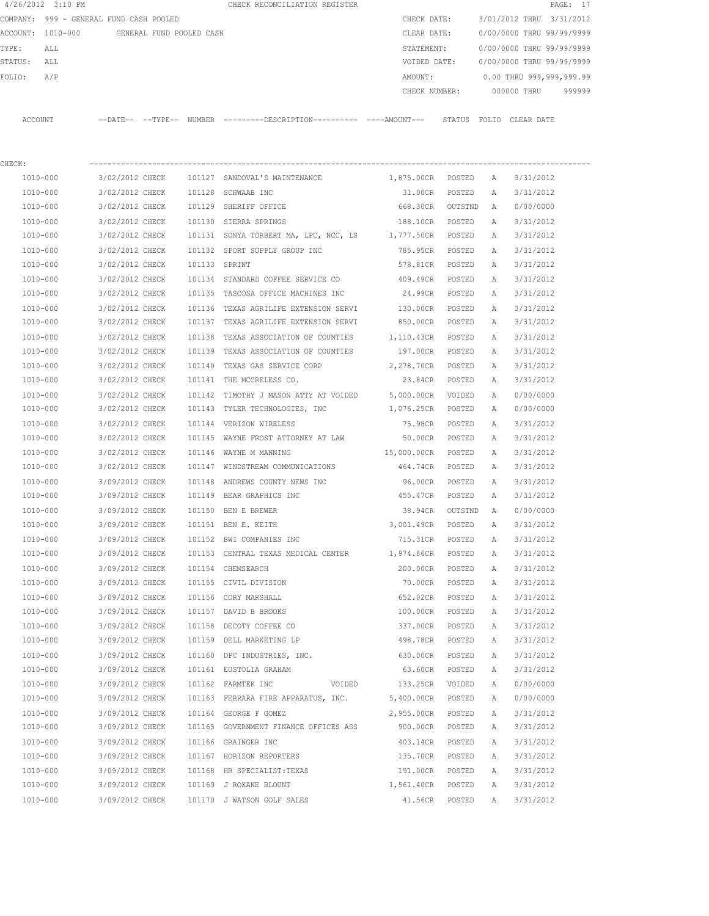|                | 4/26/2012 3:10 PM              |                 |                          | CHECK RECONCILIATION REGISTER                                                                 |               |               |              |                           | PAGE: 17 |
|----------------|--------------------------------|-----------------|--------------------------|-----------------------------------------------------------------------------------------------|---------------|---------------|--------------|---------------------------|----------|
| COMPANY:       | 999 - GENERAL FUND CASH POOLED |                 |                          |                                                                                               | CHECK DATE:   |               |              | 3/01/2012 THRU 3/31/2012  |          |
| ACCOUNT:       | 1010-000                       |                 | GENERAL FUND POOLED CASH |                                                                                               | CLEAR DATE:   |               |              | 0/00/0000 THRU 99/99/9999 |          |
| TYPE:          | ALL                            |                 |                          |                                                                                               | STATEMENT:    |               |              | 0/00/0000 THRU 99/99/9999 |          |
| STATUS:        | ALL                            |                 |                          |                                                                                               | VOIDED DATE:  |               |              | 0/00/0000 THRU 99/99/9999 |          |
| FOLIO:         | A/P                            |                 |                          |                                                                                               | AMOUNT:       |               |              | 0.00 THRU 999,999,999.99  |          |
|                |                                |                 |                          |                                                                                               | CHECK NUMBER: |               |              | 000000 THRU               | 999999   |
|                |                                |                 |                          |                                                                                               |               |               |              |                           |          |
| <b>ACCOUNT</b> |                                |                 |                          | --DATE-- --TYPE-- NUMBER ---------DESCRIPTION---------- ----AMOUNT--- STATUS FOLIO CLEAR DATE |               |               |              |                           |          |
|                |                                |                 |                          |                                                                                               |               |               |              |                           |          |
|                |                                |                 |                          |                                                                                               |               |               |              |                           |          |
| CHECK:         |                                |                 |                          |                                                                                               |               |               |              |                           |          |
| 1010-000       |                                | 3/02/2012 CHECK | 101127                   | SANDOVAL'S MAINTENANCE 1,875.00CR                                                             |               | POSTED        | A            | 3/31/2012                 |          |
| 1010-000       |                                | 3/02/2012 CHECK | 101128                   | SCHWAAB INC                                                                                   | 31.00CR       | POSTED        | $\mathbb{A}$ | 3/31/2012                 |          |
| 1010-000       |                                | 3/02/2012 CHECK | 101129                   | SHERIFF OFFICE                                                                                | 668.30CR      | OUTSTND       | $\mathbb{A}$ | 0/00/0000                 |          |
| 1010-000       |                                | 3/02/2012 CHECK | 101130                   | SIERRA SPRINGS                                                                                | 188.10CR      | POSTED        | $\mathbb{A}$ | 3/31/2012                 |          |
| 1010-000       |                                | 3/02/2012 CHECK |                          | 101131 SONYA TORBERT MA, LPC, NCC, LS 1,777.50CR                                              |               | POSTED        | Α            | 3/31/2012                 |          |
| $1010 - 000$   |                                | 3/02/2012 CHECK | 101132                   | SPORT SUPPLY GROUP INC                                                                        | 785.95CR      | POSTED        | Α            | 3/31/2012                 |          |
| 1010-000       |                                | 3/02/2012 CHECK | 101133                   | SPRINT                                                                                        | 578.81CR      | POSTED        | Α            | 3/31/2012                 |          |
| 1010-000       |                                | 3/02/2012 CHECK | 101134                   | STANDARD COFFEE SERVICE CO                                                                    | 409.49CR      | POSTED        | Α            | 3/31/2012                 |          |
| 1010-000       |                                | 3/02/2012 CHECK | 101135                   | TASCOSA OFFICE MACHINES INC                                                                   | 24.99CR       | POSTED        | $\mathbb{A}$ | 3/31/2012                 |          |
| $1010 - 000$   |                                | 3/02/2012 CHECK |                          | 101136 TEXAS AGRILIER EXTENSION SERVI 130 00CR                                                |               | <b>POSTED</b> | $\Delta$     | 3/31/2012                 |          |

| 1010-000 | 3/02/2012 CHECK |               | 101130 SIERRA SPRINGS                 | 188.10CR    | POSTED  | A            | 3/31/2012 |
|----------|-----------------|---------------|---------------------------------------|-------------|---------|--------------|-----------|
| 1010-000 | 3/02/2012 CHECK |               | 101131 SONYA TORBERT MA, LPC, NCC, LS | 1,777.50CR  | POSTED  | A            | 3/31/2012 |
| 1010-000 | 3/02/2012 CHECK |               | 101132 SPORT SUPPLY GROUP INC         | 785.95CR    | POSTED  | $\mathbb{A}$ | 3/31/2012 |
| 1010-000 | 3/02/2012 CHECK | 101133 SPRINT |                                       | 578.81CR    | POSTED  | A            | 3/31/2012 |
| 1010-000 | 3/02/2012 CHECK |               | 101134 STANDARD COFFEE SERVICE CO     | 409.49CR    | POSTED  | A            | 3/31/2012 |
| 1010-000 | 3/02/2012 CHECK |               | 101135 TASCOSA OFFICE MACHINES INC    | 24.99CR     | POSTED  | A            | 3/31/2012 |
| 1010-000 | 3/02/2012 CHECK |               | 101136 TEXAS AGRILIFE EXTENSION SERVI | 130.00CR    | POSTED  | A            | 3/31/2012 |
| 1010-000 | 3/02/2012 CHECK |               | 101137 TEXAS AGRILIFE EXTENSION SERVI | 850.00CR    | POSTED  | A            | 3/31/2012 |
| 1010-000 | 3/02/2012 CHECK |               | 101138 TEXAS ASSOCIATION OF COUNTIES  | 1,110.43CR  | POSTED  | A            | 3/31/2012 |
| 1010-000 | 3/02/2012 CHECK |               | 101139 TEXAS ASSOCIATION OF COUNTIES  | 197.00CR    | POSTED  | $\mathbb{A}$ | 3/31/2012 |
| 1010-000 | 3/02/2012 CHECK |               | 101140 TEXAS GAS SERVICE CORP         | 2,278.70CR  | POSTED  | $\mathbb{A}$ | 3/31/2012 |
| 1010-000 | 3/02/2012 CHECK |               | 101141 THE MCCRELESS CO.              | 23.84CR     | POSTED  | Α            | 3/31/2012 |
| 1010-000 | 3/02/2012 CHECK |               | 101142 TIMOTHY J MASON ATTY AT VOIDED | 5,000.00CR  | VOIDED  | Α            | 0/00/0000 |
| 1010-000 | 3/02/2012 CHECK |               | 101143 TYLER TECHNOLOGIES, INC        | 1,076.25CR  | POSTED  | A            | 0/00/0000 |
| 1010-000 | 3/02/2012 CHECK |               | 101144 VERIZON WIRELESS               | 75.98CR     | POSTED  | $\mathbb{A}$ | 3/31/2012 |
| 1010-000 | 3/02/2012 CHECK |               | 101145 WAYNE FROST ATTORNEY AT LAW    | 50.00CR     | POSTED  | $\Delta$     | 3/31/2012 |
| 1010-000 | 3/02/2012 CHECK |               | 101146 WAYNE M MANNING                | 15,000.00CR | POSTED  | Α            | 3/31/2012 |
| 1010-000 | 3/02/2012 CHECK |               | 101147 WINDSTREAM COMMUNICATIONS      | 464.74CR    | POSTED  | A            | 3/31/2012 |
| 1010-000 | 3/09/2012 CHECK |               | 101148 ANDREWS COUNTY NEWS INC        | 96.00CR     | POSTED  | A            | 3/31/2012 |
| 1010-000 | 3/09/2012 CHECK |               | 101149 BEAR GRAPHICS INC              | 455.47CR    | POSTED  | A            | 3/31/2012 |
| 1010-000 | 3/09/2012 CHECK |               | 101150 BEN E BREWER                   | 38.94CR     | OUTSTND | A            | 0/00/0000 |
| 1010-000 | 3/09/2012 CHECK |               | 101151 BEN E. KEITH                   | 3,001.49CR  | POSTED  | A            | 3/31/2012 |
| 1010-000 | 3/09/2012 CHECK |               | 101152 BWI COMPANIES INC              | 715.31CR    | POSTED  | A            | 3/31/2012 |
| 1010-000 | 3/09/2012 CHECK |               | 101153 CENTRAL TEXAS MEDICAL CENTER   | 1,974.86CR  | POSTED  | A            | 3/31/2012 |
| 1010-000 | 3/09/2012 CHECK |               | 101154 CHEMSEARCH                     | 200.00CR    | POSTED  | A            | 3/31/2012 |
| 1010-000 | 3/09/2012 CHECK |               | 101155 CIVIL DIVISION                 | 70.00CR     | POSTED  | Α            | 3/31/2012 |
| 1010-000 | 3/09/2012 CHECK |               | 101156 CORY MARSHALL                  | 652.02CR    | POSTED  | A            | 3/31/2012 |
| 1010-000 | 3/09/2012 CHECK |               | 101157 DAVID B BROOKS                 | 100.00CR    | POSTED  | A            | 3/31/2012 |
| 1010-000 | 3/09/2012 CHECK |               | 101158 DECOTY COFFEE CO               | 337.00CR    | POSTED  | $\mathbb{A}$ | 3/31/2012 |
| 1010-000 | 3/09/2012 CHECK |               | 101159 DELL MARKETING LP              | 498.78CR    | POSTED  | Α            | 3/31/2012 |
| 1010-000 | 3/09/2012 CHECK |               | 101160 DPC INDUSTRIES, INC.           | 630.00CR    | POSTED  | Α            | 3/31/2012 |
| 1010-000 | 3/09/2012 CHECK |               | 101161 EUSTOLIA GRAHAM                | 63.60CR     | POSTED  | Α            | 3/31/2012 |
| 1010-000 | 3/09/2012 CHECK |               | 101162 FARMTEK INC<br>VOIDED          | 133.25CR    | VOIDED  | Α            | 0/00/0000 |
| 1010-000 | 3/09/2012 CHECK |               | 101163 FERRARA FIRE APPARATUS, INC.   | 5,400.00CR  | POSTED  | A            | 0/00/0000 |
| 1010-000 | 3/09/2012 CHECK |               | 101164 GEORGE F GOMEZ                 | 2,955.00CR  | POSTED  | Α            | 3/31/2012 |
| 1010-000 | 3/09/2012 CHECK |               | 101165 GOVERNMENT FINANCE OFFICES ASS | 900.00CR    | POSTED  | $\mathbb A$  | 3/31/2012 |
| 1010-000 | 3/09/2012 CHECK |               | 101166 GRAINGER INC                   | 403.14CR    | POSTED  | $\mathbb A$  | 3/31/2012 |
| 1010-000 | 3/09/2012 CHECK |               | 101167 HORIZON REPORTERS              | 135.70CR    | POSTED  | A            | 3/31/2012 |
| 1010-000 | 3/09/2012 CHECK |               | 101168 HR SPECIALIST: TEXAS           | 191.00CR    | POSTED  | A            | 3/31/2012 |
| 1010-000 | 3/09/2012 CHECK |               | 101169 J ROXANE BLOUNT                | 1,561.40CR  | POSTED  | A            | 3/31/2012 |
| 1010-000 | 3/09/2012 CHECK |               | 101170 J WATSON GOLF SALES            | 41.56CR     | POSTED  | Α            | 3/31/2012 |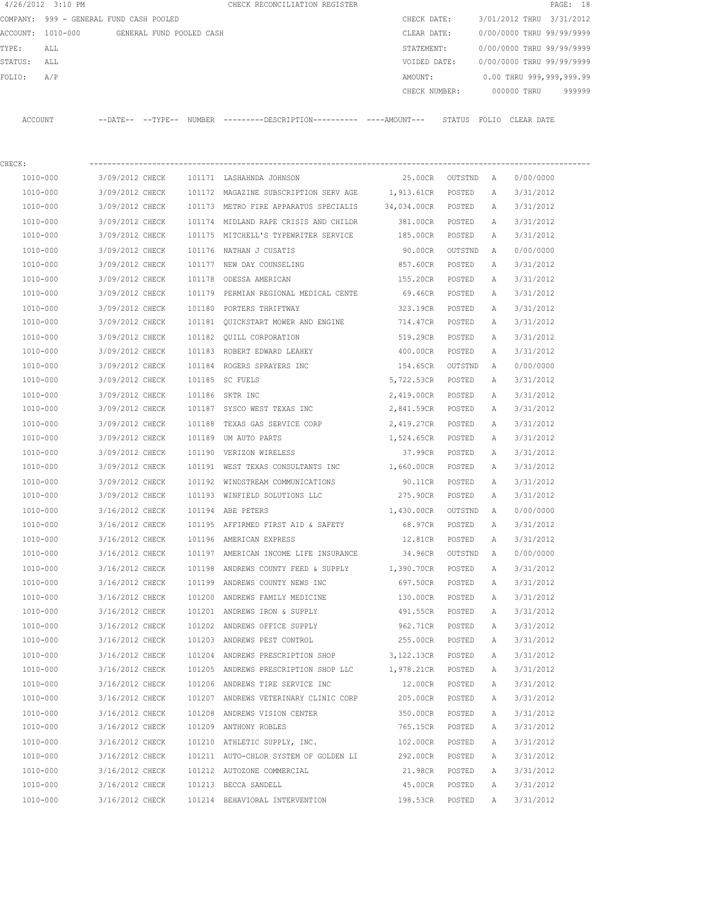|                   | 4/26/2012 3:10 PM |                                         |                          | CHECK RECONCILIATION REGISTER                       |  |               |                           |                          | PAGE: 18 |        |
|-------------------|-------------------|-----------------------------------------|--------------------------|-----------------------------------------------------|--|---------------|---------------------------|--------------------------|----------|--------|
|                   |                   | COMPANY: 999 - GENERAL FUND CASH POOLED |                          |                                                     |  | CHECK DATE:   |                           | 3/01/2012 THRU 3/31/2012 |          |        |
| ACCOUNT: 1010-000 |                   |                                         | GENERAL FUND POOLED CASH |                                                     |  | CLEAR DATE:   | 0/00/0000 THRU 99/99/9999 |                          |          |        |
| TYPE:             | ALL               |                                         |                          |                                                     |  | STATEMENT:    | 0/00/0000 THRU 99/99/9999 |                          |          |        |
| STATUS:           | ALL               |                                         |                          |                                                     |  | VOIDED DATE:  | 0/00/0000 THRU 99/99/9999 |                          |          |        |
| FOLIO:            | A/P               |                                         |                          |                                                     |  | AMOUNT:       |                           | 0.00 THRU 999,999,999.99 |          |        |
|                   |                   |                                         |                          |                                                     |  | CHECK NUMBER: |                           | 000000 THRU              |          | 999999 |
|                   |                   |                                         |                          |                                                     |  |               |                           |                          |          |        |
| ACCOUNT           |                   | $---DATF------TYPF---$                  |                          | NUMBER ---------DESCRIPTION---------- ----AMOUNT--- |  | STATUS        | FOLIO                     | CLEAR DATE               |          |        |
|                   |                   |                                         |                          |                                                     |  |               |                           |                          |          |        |
|                   |                   |                                         |                          |                                                     |  |               |                           |                          |          |        |

| CHECK:       |                 |        |                                                             |                    |         |              |           |
|--------------|-----------------|--------|-------------------------------------------------------------|--------------------|---------|--------------|-----------|
| 1010-000     | 3/09/2012 CHECK |        | 101171 LASHAHNDA JOHNSON                                    | 25.00CR OUTSTND A  |         |              | 0/00/0000 |
| 1010-000     | 3/09/2012 CHECK |        | 101172 MAGAZINE SUBSCRIPTION SERV AGE                       | 1,913.61CR POSTED  |         | Α            | 3/31/2012 |
| 1010-000     | 3/09/2012 CHECK |        | 101173 METRO FIRE APPARATUS SPECIALIS 34,034.00CR POSTED    |                    |         | Α            | 3/31/2012 |
| 1010-000     | 3/09/2012 CHECK |        | 101174 MIDLAND RAPE CRISIS AND CHILDR                       | 381.00CR POSTED    |         | Α            | 3/31/2012 |
| 1010-000     | 3/09/2012 CHECK |        | 101175 MITCHELL'S TYPEWRITER SERVICE 185.00CR               |                    | POSTED  | Α            | 3/31/2012 |
| 1010-000     | 3/09/2012 CHECK |        | 101176 NATHAN J CUSATIS                                     | 90.00CR            | OUTSTND | A            | 0/00/0000 |
| 1010-000     | 3/09/2012 CHECK |        | 101177 NEW DAY COUNSELING                                   | 857.60CR           | POSTED  | Α            | 3/31/2012 |
| 1010-000     | 3/09/2012 CHECK | 101178 | ODESSA AMERICAN                                             | 155.20CR           | POSTED  | A            | 3/31/2012 |
| 1010-000     | 3/09/2012 CHECK |        | 101179 PERMIAN REGIONAL MEDICAL CENTE                       | 69.46CR            | POSTED  | Α            | 3/31/2012 |
| 1010-000     | 3/09/2012 CHECK |        | 101180 PORTERS THRIFTWAY                                    | 323.19CR           | POSTED  | A            | 3/31/2012 |
| 1010-000     | 3/09/2012 CHECK |        | 101181 QUICKSTART MOWER AND ENGINE                          | 714.47CR           | POSTED  | А            | 3/31/2012 |
| 1010-000     | 3/09/2012 CHECK |        | 101182 QUILL CORPORATION                                    | 519.29CR           | POSTED  | Α            | 3/31/2012 |
| 1010-000     | 3/09/2012 CHECK |        | 101183 ROBERT EDWARD LEAHEY                                 | 400.00CR POSTED    |         | Α            | 3/31/2012 |
| 1010-000     | 3/09/2012 CHECK |        | 101184 ROGERS SPRAYERS INC                                  | 154.65CR OUTSTND   |         | $\mathbb{A}$ | 0/00/0000 |
| 1010-000     | 3/09/2012 CHECK |        | 101185 SC FUELS                                             | 5,722.53CR POSTED  |         | Α            | 3/31/2012 |
| 1010-000     | 3/09/2012 CHECK |        | 101186 SKTR INC                                             | 2,419.00CR POSTED  |         | Α            | 3/31/2012 |
| 1010-000     | 3/09/2012 CHECK |        | 101187 SYSCO WEST TEXAS INC                                 | 2,841.59CR POSTED  |         | A            | 3/31/2012 |
| 1010-000     | 3/09/2012 CHECK |        | 101188 TEXAS GAS SERVICE CORP                               | 2,419.27CR POSTED  |         | Α            | 3/31/2012 |
| 1010-000     | 3/09/2012 CHECK |        | 101189 UM AUTO PARTS                                        | 1,524.65CR POSTED  |         | A            | 3/31/2012 |
| 1010-000     | 3/09/2012 CHECK |        | 101190 VERIZON WIRELESS                                     | 37.99CR POSTED     |         | A            | 3/31/2012 |
| 1010-000     | 3/09/2012 CHECK |        | 101191 WEST TEXAS CONSULTANTS INC 1,660.00CR POSTED         |                    |         | Α            | 3/31/2012 |
| 1010-000     | 3/09/2012 CHECK |        | 101192 WINDSTREAM COMMUNICATIONS                            | 90.11CR            | POSTED  | Α            | 3/31/2012 |
| 1010-000     | 3/09/2012 CHECK |        | 101193 WINFIELD SOLUTIONS LLC                               | 275.90CR POSTED    |         | Α            | 3/31/2012 |
| 1010-000     | 3/16/2012 CHECK |        | 101194 ABE PETERS                                           | 1,430.00CR OUTSTND |         | A            | 0/00/0000 |
| 1010-000     | 3/16/2012 CHECK |        | 101195 AFFIRMED FIRST AID & SAFETY                          | 68.97CR POSTED     |         | Α            | 3/31/2012 |
| 1010-000     | 3/16/2012 CHECK |        | 101196 AMERICAN EXPRESS                                     | 12.81CR POSTED     |         | A            | 3/31/2012 |
| 1010-000     | 3/16/2012 CHECK |        | 101197 AMERICAN INCOME LIFE INSURANCE                       | 34.96CR            | OUTSTND | A            | 0/00/0000 |
| 1010-000     | 3/16/2012 CHECK | 101198 | ANDREWS COUNTY FEED & SUPPLY 1,390.70CR                     |                    | POSTED  | Α            | 3/31/2012 |
| 1010-000     | 3/16/2012 CHECK |        | 101199 ANDREWS COUNTY NEWS INC                              | 697.50CR           | POSTED  | Α            | 3/31/2012 |
| 1010-000     | 3/16/2012 CHECK |        | 101200 ANDREWS FAMILY MEDICINE                              | 130.00CR           | POSTED  | Α            | 3/31/2012 |
| 1010-000     | 3/16/2012 CHECK |        | 101201 ANDREWS IRON & SUPPLY                                | 491.55CR           | POSTED  | А            | 3/31/2012 |
| 1010-000     | 3/16/2012 CHECK |        | 101202 ANDREWS OFFICE SUPPLY                                | 962.71CR           | POSTED  | Α            | 3/31/2012 |
| 1010-000     | 3/16/2012 CHECK |        | 101203 ANDREWS PEST CONTROL                                 | 255.00CR           | POSTED  | Α            | 3/31/2012 |
| 1010-000     |                 |        | 3/16/2012 CHECK 101204 ANDREWS PRESCRIPTION SHOP 3,122.13CR |                    | POSTED  | Α            | 3/31/2012 |
| 1010-000     | 3/16/2012 CHECK |        | 101205 ANDREWS PRESCRIPTION SHOP LLC 1,978.21CR             |                    | POSTED  | A            | 3/31/2012 |
| 1010-000     | 3/16/2012 CHECK |        | 101206 ANDREWS TIRE SERVICE INC                             | 12.00CR            | POSTED  | А            | 3/31/2012 |
| $1010 - 000$ | 3/16/2012 CHECK |        | 101207 ANDREWS VETERINARY CLINIC CORP                       | 205.00CR           | POSTED  | Α            | 3/31/2012 |
| 1010-000     | 3/16/2012 CHECK |        | 101208 ANDREWS VISION CENTER                                | 350.00CR           | POSTED  | Α            | 3/31/2012 |
| 1010-000     | 3/16/2012 CHECK |        | 101209 ANTHONY ROBLES                                       | 765.15CR           | POSTED  | Α            | 3/31/2012 |
| $1010 - 000$ | 3/16/2012 CHECK |        | 101210 ATHLETIC SUPPLY, INC.                                | 102.00CR           | POSTED  | Α            | 3/31/2012 |
| 1010-000     | 3/16/2012 CHECK |        | 101211 AUTO-CHLOR SYSTEM OF GOLDEN LI                       | 292.00CR           | POSTED  | Α            | 3/31/2012 |
| 1010-000     | 3/16/2012 CHECK |        | 101212 AUTOZONE COMMERCIAL                                  | 21.98CR            | POSTED  | Α            | 3/31/2012 |
| 1010-000     | 3/16/2012 CHECK |        | 101213 BECCA SANDELL                                        | 45.00CR            | POSTED  | Α            | 3/31/2012 |
| 1010-000     | 3/16/2012 CHECK |        | 101214 BEHAVIORAL INTERVENTION                              | 198.53CR           | POSTED  | Α            | 3/31/2012 |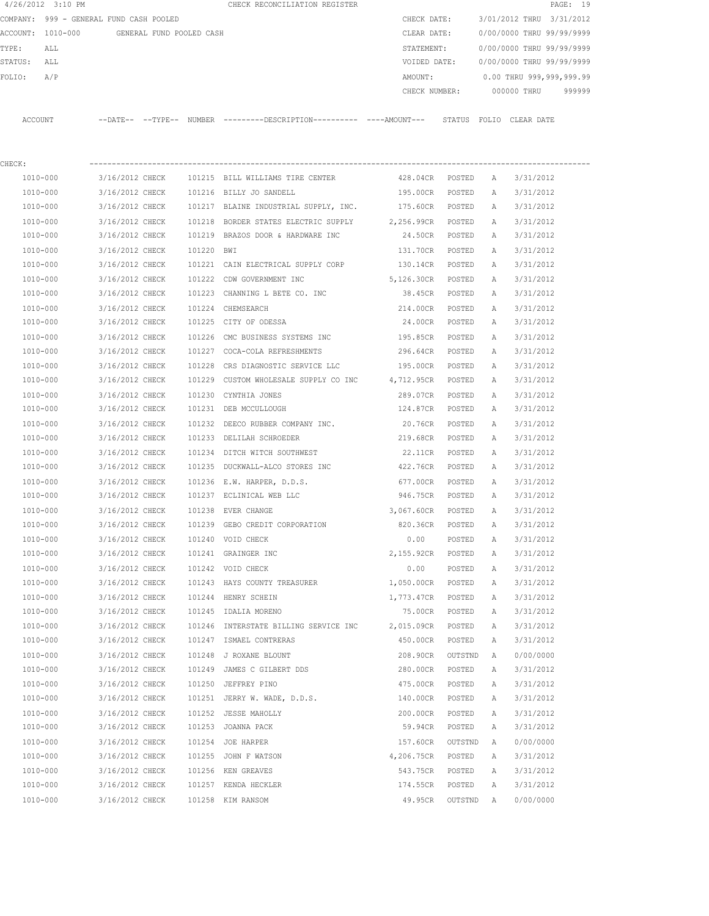|             | 4/26/2012 3:10 PM                       |                 |                          |            | CHECK RECONCILIATION REGISTER                                                                |                   |         |              |                           | PAGE: 19 |
|-------------|-----------------------------------------|-----------------|--------------------------|------------|----------------------------------------------------------------------------------------------|-------------------|---------|--------------|---------------------------|----------|
|             | COMPANY: 999 - GENERAL FUND CASH POOLED |                 |                          |            |                                                                                              | CHECK DATE:       |         |              | 3/01/2012 THRU 3/31/2012  |          |
|             | ACCOUNT: 1010-000                       |                 | GENERAL FUND POOLED CASH |            |                                                                                              | CLEAR DATE:       |         |              | 0/00/0000 THRU 99/99/9999 |          |
| TYPE:       | ALL                                     |                 |                          |            |                                                                                              | STATEMENT:        |         |              | 0/00/0000 THRU 99/99/9999 |          |
| STATUS: ALL |                                         |                 |                          |            |                                                                                              | VOIDED DATE:      |         |              | 0/00/0000 THRU 99/99/9999 |          |
| FOLIO:      | A/P                                     |                 |                          |            |                                                                                              | AMOUNT:           |         |              | 0.00 THRU 999,999,999.99  |          |
|             |                                         |                 |                          |            |                                                                                              | CHECK NUMBER:     |         |              | 000000 THRU               | 999999   |
|             | ACCOUNT                                 |                 |                          |            | --DATE-- --TYPE-- NUMBER ---------DESCRIPTION---------- ----AMOUNT--- STATUS FOLIO CLEARDATE |                   |         |              |                           |          |
| CHECK:      |                                         |                 |                          |            |                                                                                              |                   |         |              |                           |          |
|             | 1010-000                                | 3/16/2012 CHECK |                          |            | 101215 BILL WILLIAMS TIRE CENTER                                                             | 428.04CR POSTED   |         | A            | 3/31/2012                 |          |
|             | 1010-000                                | 3/16/2012 CHECK |                          |            | 101216 BILLY JO SANDELL                                                                      | 195.00CR          | POSTED  | A            | 3/31/2012                 |          |
|             | 1010-000                                | 3/16/2012 CHECK |                          |            | 101217 BLAINE INDUSTRIAL SUPPLY, INC. 175.60CR                                               |                   | POSTED  | A            | 3/31/2012                 |          |
|             | 1010-000                                | 3/16/2012 CHECK |                          |            | 101218 BORDER STATES ELECTRIC SUPPLY                                                         | 2,256.99CR POSTED |         | Α            | 3/31/2012                 |          |
|             | 1010-000                                | 3/16/2012 CHECK |                          |            | 101219 BRAZOS DOOR & HARDWARE INC                                                            | 24.50CR POSTED    |         | A            | 3/31/2012                 |          |
|             | 1010-000                                | 3/16/2012 CHECK |                          | 101220 BWI |                                                                                              | 131.70CR POSTED   |         | A            | 3/31/2012                 |          |
|             | 1010-000                                | 3/16/2012 CHECK |                          |            | 101221 CAIN ELECTRICAL SUPPLY CORP                                                           | 130.14CR POSTED   |         | A            | 3/31/2012                 |          |
|             | 1010-000                                | 3/16/2012 CHECK |                          |            | 101222 CDW GOVERNMENT INC                                                                    | 5,126.30CR POSTED |         | A            | 3/31/2012                 |          |
|             | 1010-000                                | 3/16/2012 CHECK |                          |            | 101223 CHANNING L BETE CO. INC                                                               | 38.45CR POSTED    |         | А            | 3/31/2012                 |          |
|             | 1010-000                                | 3/16/2012 CHECK |                          |            | 101224 CHEMSEARCH                                                                            | 214.00CR          | POSTED  | A            | 3/31/2012                 |          |
|             | 1010-000                                | 3/16/2012 CHECK |                          |            | 101225 CITY OF ODESSA                                                                        | 24.00CR           | POSTED  | А            | 3/31/2012                 |          |
|             | 1010-000                                | 3/16/2012 CHECK |                          | 101226     | CMC BUSINESS SYSTEMS INC                                                                     | 195.85CR          | POSTED  | Α            | 3/31/2012                 |          |
|             | 1010-000                                | 3/16/2012 CHECK |                          |            | 101227 COCA-COLA REFRESHMENTS                                                                | 296.64CR          | POSTED  | Α            | 3/31/2012                 |          |
|             | 1010-000                                | 3/16/2012 CHECK |                          | 101228     | CRS DIAGNOSTIC SERVICE LLC 195.00CR                                                          |                   | POSTED  | A            | 3/31/2012                 |          |
|             | 1010-000                                | 3/16/2012 CHECK |                          |            | 101229 CUSTOM WHOLESALE SUPPLY CO INC 4,712.95CR                                             |                   | POSTED  | А            | 3/31/2012                 |          |
|             | 1010-000                                | 3/16/2012 CHECK |                          |            | 101230 CYNTHIA JONES                                                                         | 289.07CR POSTED   |         | Α            | 3/31/2012                 |          |
|             | 1010-000                                | 3/16/2012 CHECK |                          |            | 101231 DEB MCCULLOUGH                                                                        | 124.87CR POSTED   |         | Α            | 3/31/2012                 |          |
|             | 1010-000                                | 3/16/2012 CHECK |                          |            | 101232 DEECO RUBBER COMPANY INC.                                                             | 20.76CR POSTED    |         | Α            | 3/31/2012                 |          |
|             | 1010-000                                | 3/16/2012 CHECK |                          |            | 101233 DELILAH SCHROEDER                                                                     | 219.68CR          | POSTED  | A            | 3/31/2012                 |          |
|             | 1010-000                                | 3/16/2012 CHECK |                          | 101234     | DITCH WITCH SOUTHWEST                                                                        | 22.11CR           | POSTED  | A            | 3/31/2012                 |          |
|             | 1010-000                                | 3/16/2012 CHECK |                          |            | 101235 DUCKWALL-ALCO STORES INC                                                              | 422.76CR          | POSTED  | A            | 3/31/2012                 |          |
|             | 1010-000                                | 3/16/2012 CHECK |                          |            | 101236 E.W. HARPER, D.D.S.                                                                   | 677.00CR          | POSTED  | A            | 3/31/2012                 |          |
|             | 1010-000                                | 3/16/2012 CHECK |                          |            | 101237 ECLINICAL WEB LLC                                                                     | 946.75CR          | POSTED  | A            | 3/31/2012                 |          |
|             | 1010-000                                | 3/16/2012 CHECK |                          |            | 101238 EVER CHANGE                                                                           | 3,067.60CR        | POSTED  | $\mathbb{A}$ | 3/31/2012                 |          |
|             | 1010-000                                | 3/16/2012 CHECK |                          |            | 101239 GEBO CREDIT CORPORATION                                                               | 820.36CR          | POSTED  | Α            | 3/31/2012                 |          |
|             | 1010-000                                | 3/16/2012 CHECK |                          |            | 101240 VOID CHECK                                                                            | 0.00              | POSTED  | Α            | 3/31/2012                 |          |
|             | 1010-000                                | 3/16/2012 CHECK |                          |            | 101241 GRAINGER INC                                                                          | 2,155.92CR        | POSTED  | Α            | 3/31/2012                 |          |
|             | 1010-000                                | 3/16/2012 CHECK |                          |            | 101242 VOID CHECK                                                                            | 0.00              | POSTED  | Α            | 3/31/2012                 |          |
|             | 1010-000                                | 3/16/2012 CHECK |                          |            | 101243 HAYS COUNTY TREASURER                                                                 | 1,050.00CR        | POSTED  | Α            | 3/31/2012                 |          |
|             | 1010-000                                | 3/16/2012 CHECK |                          |            | 101244 HENRY SCHEIN                                                                          | 1,773.47CR        | POSTED  | Α            | 3/31/2012                 |          |
|             | 1010-000                                | 3/16/2012 CHECK |                          |            | 101245 IDALIA MORENO                                                                         | 75.00CR           | POSTED  | Α            | 3/31/2012                 |          |
|             | 1010-000                                | 3/16/2012 CHECK |                          |            | 101246 INTERSTATE BILLING SERVICE INC                                                        | 2,015.09CR        | POSTED  | Α            | 3/31/2012                 |          |
|             | 1010-000                                | 3/16/2012 CHECK |                          |            | 101247 ISMAEL CONTRERAS                                                                      | 450.00CR          | POSTED  | Α            | 3/31/2012                 |          |
|             | $1010 - 000$                            | 3/16/2012 CHECK |                          |            | 101248 J ROXANE BLOUNT                                                                       | 208.90CR          | OUTSTND | Α            | 0/00/0000                 |          |
|             | 1010-000                                | 3/16/2012 CHECK |                          |            | 101249 JAMES C GILBERT DDS                                                                   | 280.00CR          | POSTED  | Α            | 3/31/2012                 |          |
|             | 1010-000                                | 3/16/2012 CHECK |                          |            | 101250 JEFFREY PINO                                                                          | 475.00CR          | POSTED  | Α            | 3/31/2012                 |          |
|             | 1010-000                                | 3/16/2012 CHECK |                          |            | 101251 JERRY W. WADE, D.D.S.                                                                 | 140.00CR          | POSTED  | Α            | 3/31/2012                 |          |
|             | 1010-000                                | 3/16/2012 CHECK |                          |            | 101252 JESSE MAHOLLY                                                                         | 200.00CR          | POSTED  | Α            | 3/31/2012                 |          |
|             | 1010-000                                | 3/16/2012 CHECK |                          |            | 101253 JOANNA PACK                                                                           | 59.94CR           | POSTED  | Α            | 3/31/2012                 |          |
|             | 1010-000                                | 3/16/2012 CHECK |                          |            | 101254 JOE HARPER                                                                            | 157.60CR          | OUTSTND | Α            | 0/00/0000                 |          |
|             | 1010-000                                | 3/16/2012 CHECK |                          |            | 101255 JOHN F WATSON                                                                         | 4,206.75CR        | POSTED  | Α            | 3/31/2012                 |          |
|             | 1010-000                                | 3/16/2012 CHECK |                          |            | 101256 KEN GREAVES                                                                           | 543.75CR          | POSTED  | Α            | 3/31/2012                 |          |
|             | 1010-000                                | 3/16/2012 CHECK |                          |            | 101257 KENDA HECKLER                                                                         | 174.55CR          | POSTED  | Α            | 3/31/2012                 |          |
|             | 1010-000                                | 3/16/2012 CHECK |                          |            | 101258 KIM RANSOM                                                                            | 49.95CR           | OUTSTND | Α            | 0/00/0000                 |          |
|             |                                         |                 |                          |            |                                                                                              |                   |         |              |                           |          |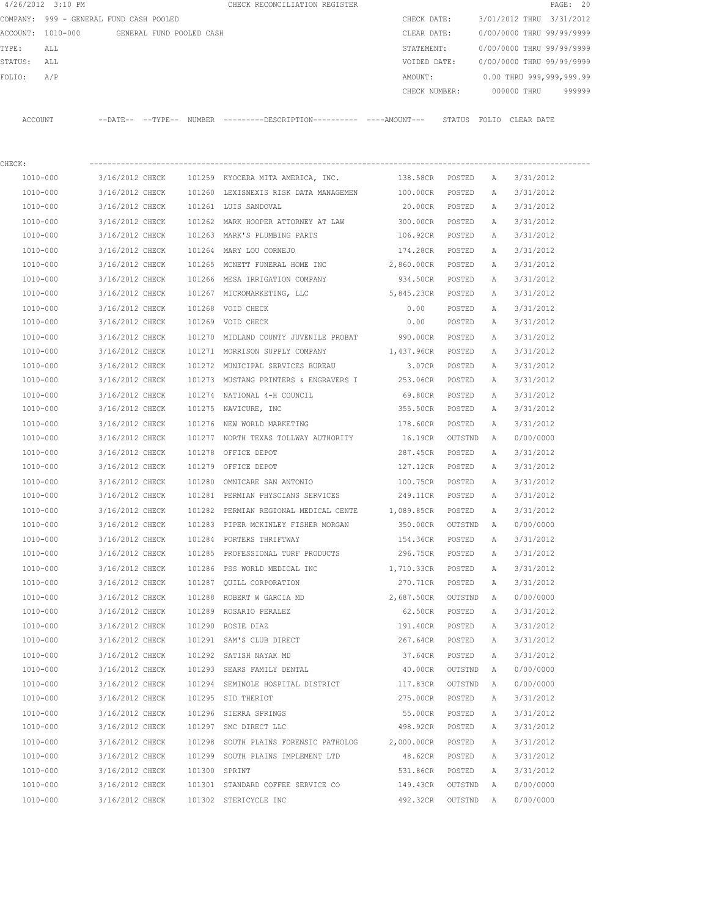|         | 4/26/2012 3:10 PM                       |                   |                          |        | CHECK RECONCILIATION REGISTER                |            |               |                           |             | PAGE: 20 |        |
|---------|-----------------------------------------|-------------------|--------------------------|--------|----------------------------------------------|------------|---------------|---------------------------|-------------|----------|--------|
|         | COMPANY: 999 - GENERAL FUND CASH POOLED |                   |                          |        |                                              |            | CHECK DATE:   | 3/01/2012 THRU 3/31/2012  |             |          |        |
|         | ACCOUNT: 1010-000                       |                   | GENERAL FUND POOLED CASH |        |                                              |            | CLEAR DATE:   | 0/00/0000 THRU 99/99/9999 |             |          |        |
| TYPE:   | ALL                                     |                   |                          |        |                                              | STATEMENT: |               | 0/00/0000 THRU 99/99/9999 |             |          |        |
| STATUS: | ALL                                     |                   |                          |        |                                              |            | VOIDED DATE:  | 0/00/0000 THRU 99/99/9999 |             |          |        |
| FOLIO:  | A/P                                     |                   |                          |        |                                              | AMOUNT:    |               | 0.00 THRU 999,999,999.99  |             |          |        |
|         |                                         |                   |                          |        |                                              |            | CHECK NUMBER: |                           | 000000 THRU |          | 999999 |
|         |                                         |                   |                          |        |                                              |            |               |                           |             |          |        |
| ACCOUNT |                                         | --DATE-- --TYPE-- |                          | NUMBER | ---------DESCRIPTION---------- ----AMOUNT--- |            | STATUS        | FOLTO                     | CLEAR DATE  |          |        |

| CHECK:       |                 |        |                                                  |                   |         |                |           |
|--------------|-----------------|--------|--------------------------------------------------|-------------------|---------|----------------|-----------|
| $1010 - 000$ | 3/16/2012 CHECK |        | 101259 KYOCERA MITA AMERICA, INC.                | 138.58CR POSTED   |         | A              | 3/31/2012 |
| 1010-000     | 3/16/2012 CHECK |        | 101260 LEXISNEXIS RISK DATA MANAGEMEN 100.00CR   |                   | POSTED  | Α              | 3/31/2012 |
| 1010-000     | 3/16/2012 CHECK |        | 101261 LUIS SANDOVAL                             | 20.00CR           | POSTED  | Α              | 3/31/2012 |
| $1010 - 000$ | 3/16/2012 CHECK |        | 101262 MARK HOOPER ATTORNEY AT LAW 300.00CR      |                   | POSTED  | A              | 3/31/2012 |
| 1010-000     | 3/16/2012 CHECK |        | 101263 MARK'S PLUMBING PARTS                     | 106.92CR          | POSTED  | A              | 3/31/2012 |
| 1010-000     | 3/16/2012 CHECK |        | 101264 MARY LOU CORNEJO                          | 174.28CR POSTED   |         | Α              | 3/31/2012 |
| 1010-000     | 3/16/2012 CHECK |        | 101265 MCNETT FUNERAL HOME INC                   | 2,860.00CR POSTED |         | Α              | 3/31/2012 |
| 1010-000     | 3/16/2012 CHECK |        | 101266 MESA IRRIGATION COMPANY                   | 934.50CR POSTED   |         | Α              | 3/31/2012 |
| 1010-000     | 3/16/2012 CHECK |        | 101267 MICROMARKETING, LLC                       | 5,845.23CR POSTED |         | A              | 3/31/2012 |
| 1010-000     | 3/16/2012 CHECK |        | 101268 VOID CHECK                                | 0.00              | POSTED  | А              | 3/31/2012 |
| 1010-000     | 3/16/2012 CHECK |        | 101269 VOID CHECK                                | 0.00              | POSTED  | A              | 3/31/2012 |
| 1010-000     | 3/16/2012 CHECK |        | 101270 MIDLAND COUNTY JUVENILE PROBAT 990.00CR   |                   | POSTED  | Α              | 3/31/2012 |
| 1010-000     | 3/16/2012 CHECK |        | 101271 MORRISON SUPPLY COMPANY 1,437.96CR        |                   | POSTED  | Α              | 3/31/2012 |
| 1010-000     | 3/16/2012 CHECK |        | 101272 MUNICIPAL SERVICES BUREAU                 | 3.07CR            | POSTED  | Α              | 3/31/2012 |
| 1010-000     | 3/16/2012 CHECK |        | 101273 MUSTANG PRINTERS & ENGRAVERS I 253.06CR   |                   | POSTED  | Α              | 3/31/2012 |
| 1010-000     | 3/16/2012 CHECK |        | 101274 NATIONAL 4-H COUNCIL                      | 69.80CR           | POSTED  | A              | 3/31/2012 |
| 1010-000     | 3/16/2012 CHECK |        | 101275 NAVICURE, INC                             | 355.50CR          | POSTED  | А              | 3/31/2012 |
| 1010-000     | 3/16/2012 CHECK |        | 101276 NEW WORLD MARKETING                       | 178.60CR          | POSTED  | Α              | 3/31/2012 |
| 1010-000     | 3/16/2012 CHECK |        | 101277 NORTH TEXAS TOLLWAY AUTHORITY             | 16.19CR           | OUTSTND | A              | 0/00/0000 |
| 1010-000     | 3/16/2012 CHECK |        | 101278 OFFICE DEPOT                              | 287.45CR          | POSTED  | Α              | 3/31/2012 |
| 1010-000     | 3/16/2012 CHECK |        | 101279 OFFICE DEPOT                              | 127.12CR          | POSTED  | Α              | 3/31/2012 |
| 1010-000     | 3/16/2012 CHECK | 101280 | OMNICARE SAN ANTONIO                             | 100.75CR POSTED   |         | Α              | 3/31/2012 |
| 1010-000     | 3/16/2012 CHECK |        | 101281 PERMIAN PHYSCIANS SERVICES                | 249.11CR POSTED   |         | A              | 3/31/2012 |
| 1010-000     | 3/16/2012 CHECK |        | 101282 PERMIAN REGIONAL MEDICAL CENTE 1,089.85CR |                   | POSTED  | Α              | 3/31/2012 |
| 1010-000     | 3/16/2012 CHECK |        | 101283 PIPER MCKINLEY FISHER MORGAN              | 350.00CR          | OUTSTND | A              | 0/00/0000 |
| 1010-000     | 3/16/2012 CHECK |        | 101284 PORTERS THRIFTWAY                         | 154.36CR          | POSTED  | Α              | 3/31/2012 |
| 1010-000     | 3/16/2012 CHECK |        | 101285 PROFESSIONAL TURF PRODUCTS                | 296.75CR          | POSTED  | Α              | 3/31/2012 |
| 1010-000     | 3/16/2012 CHECK |        | 101286 PSS WORLD MEDICAL INC                     | 1,710.33CR        | POSTED  | А              | 3/31/2012 |
| 1010-000     | 3/16/2012 CHECK |        | 101287 QUILL CORPORATION                         | 270.71CR          | POSTED  | A              | 3/31/2012 |
| 1010-000     | 3/16/2012 CHECK |        | 101288 ROBERT W GARCIA MD                        | 2,687.50CR        | OUTSTND | A              | 0/00/0000 |
| 1010-000     | 3/16/2012 CHECK |        | 101289 ROSARIO PERALEZ                           | 62.50CR           | POSTED  | Α              | 3/31/2012 |
| 1010-000     | 3/16/2012 CHECK |        | 101290 ROSIE DIAZ                                | 191.40CR          | POSTED  | Α              | 3/31/2012 |
| 1010-000     | 3/16/2012 CHECK |        | 101291 SAM'S CLUB DIRECT                         | 267.64CR POSTED   |         | Α              | 3/31/2012 |
| 1010-000     | 3/16/2012 CHECK |        | 101292 SATISH NAYAK MD                           | 37.64CR           | POSTED  | A              | 3/31/2012 |
| 1010-000     | 3/16/2012 CHECK |        | 101293 SEARS FAMILY DENTAL                       | 40.00CR           | OUTSTND | $\overline{A}$ | 0/00/0000 |
| $1010 - 000$ | 3/16/2012 CHECK |        | 101294 SEMINOLE HOSPITAL DISTRICT                | 117.83CR          | OUTSTND | A              | 0/00/0000 |
| 1010-000     | 3/16/2012 CHECK |        | 101295 SID THERIOT                               | 275.00CR          | POSTED  | Α              | 3/31/2012 |
| $1010 - 000$ | 3/16/2012 CHECK |        | 101296 SIERRA SPRINGS                            | 55.00CR           | POSTED  | Α              | 3/31/2012 |
| 1010-000     | 3/16/2012 CHECK | 101297 | SMC DIRECT LLC                                   | 498.92CR          | POSTED  | Α              | 3/31/2012 |
| 1010-000     | 3/16/2012 CHECK |        | 101298 SOUTH PLAINS FORENSIC PATHOLOG            | 2,000.00CR        | POSTED  | Α              | 3/31/2012 |
| 1010-000     | 3/16/2012 CHECK |        | 101299 SOUTH PLAINS IMPLEMENT LTD                | 48.62CR           | POSTED  | Α              | 3/31/2012 |
| 1010-000     | 3/16/2012 CHECK |        | 101300 SPRINT                                    | 531.86CR          | POSTED  | Α              | 3/31/2012 |
| 1010-000     | 3/16/2012 CHECK |        | 101301 STANDARD COFFEE SERVICE CO                | 149.43CR          | OUTSTND | Α              | 0/00/0000 |
| 1010-000     | 3/16/2012 CHECK |        | 101302 STERICYCLE INC                            | 492.32CR          | OUTSTND | Α              | 0/00/0000 |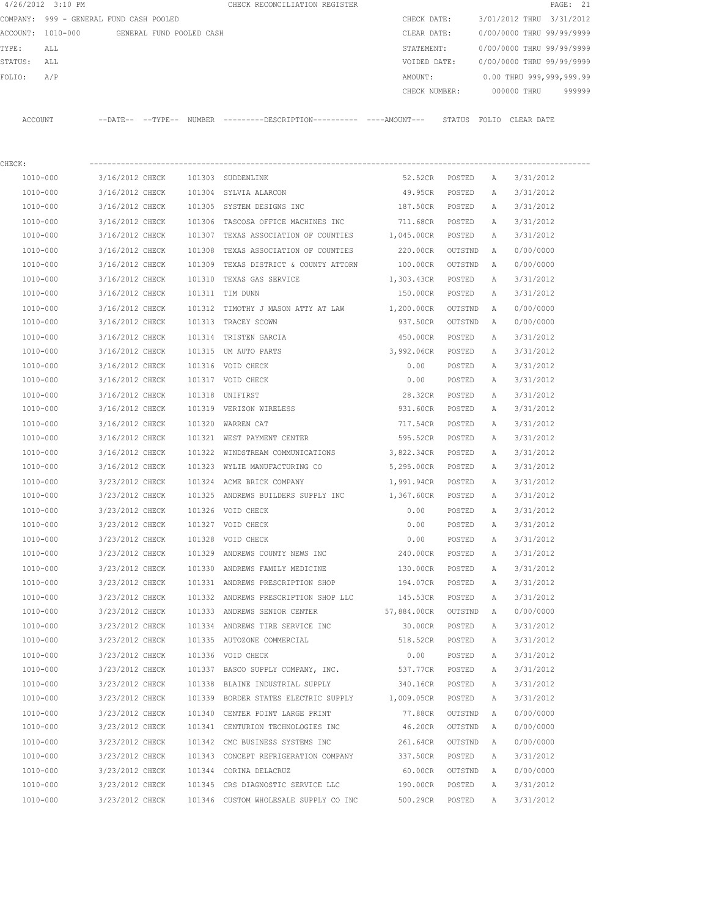| 4/26/2012 3:10 PM                       |                 |                          |        | CHECK RECONCILIATION REGISTER                                                                 |                |         |              |                           | PAGE: 21 |
|-----------------------------------------|-----------------|--------------------------|--------|-----------------------------------------------------------------------------------------------|----------------|---------|--------------|---------------------------|----------|
| COMPANY: 999 - GENERAL FUND CASH POOLED |                 |                          |        |                                                                                               | CHECK DATE:    |         |              | 3/01/2012 THRU 3/31/2012  |          |
| ACCOUNT: 1010-000                       |                 | GENERAL FUND POOLED CASH |        |                                                                                               | CLEAR DATE:    |         |              | 0/00/0000 THRU 99/99/9999 |          |
| TYPE:<br>ALL                            |                 |                          |        |                                                                                               | STATEMENT:     |         |              | 0/00/0000 THRU 99/99/9999 |          |
| STATUS:<br>ALL                          |                 |                          |        |                                                                                               | VOIDED DATE:   |         |              | 0/00/0000 THRU 99/99/9999 |          |
| A/P<br>FOLIO:                           |                 |                          |        |                                                                                               | AMOUNT:        |         |              | 0.00 THRU 999,999,999.99  |          |
|                                         |                 |                          |        |                                                                                               | CHECK NUMBER:  |         |              | 000000 THRU               | 999999   |
| ACCOUNT                                 |                 |                          |        | --DATE-- --TYPE-- NUMBER ---------DESCRIPTION---------- ----AMOUNT--- STATUS FOLIO CLEAR DATE |                |         |              |                           |          |
| CHECK:                                  |                 |                          |        |                                                                                               |                |         |              |                           |          |
| 1010-000                                | 3/16/2012 CHECK |                          |        | 101303 SUDDENLINK                                                                             | 52.52CR POSTED |         | A            | 3/31/2012                 |          |
| 1010-000                                | 3/16/2012 CHECK |                          |        | 101304 SYLVIA ALARCON                                                                         | 49.95CR        | POSTED  | A            | 3/31/2012                 |          |
| 1010-000                                | 3/16/2012 CHECK |                          |        | 101305 SYSTEM DESIGNS INC                                                                     | 187.50CR       | POSTED  | A            | 3/31/2012                 |          |
| 1010-000                                | 3/16/2012 CHECK |                          |        | 101306 TASCOSA OFFICE MACHINES INC                                                            | 711.68CR       | POSTED  | Α            | 3/31/2012                 |          |
| 1010-000                                | 3/16/2012 CHECK |                          |        | 101307 TEXAS ASSOCIATION OF COUNTIES                                                          | 1,045.00CR     | POSTED  | A            | 3/31/2012                 |          |
| 1010-000                                | 3/16/2012 CHECK |                          | 101308 | TEXAS ASSOCIATION OF COUNTIES                                                                 | 220.00CR       | OUTSTND | A            | 0/00/0000                 |          |
| 1010-000                                | 3/16/2012 CHECK |                          | 101309 | TEXAS DISTRICT & COUNTY ATTORN                                                                | 100.00CR       | OUTSTND | A            | 0/00/0000                 |          |
| 1010-000                                | 3/16/2012 CHECK |                          |        | 101310 TEXAS GAS SERVICE                                                                      | 1,303.43CR     | POSTED  | $\mathbb{A}$ | 3/31/2012                 |          |
| 1010-000                                | 3/16/2012 CHECK |                          |        | 101311 TIM DUNN                                                                               | 150.00CR       | POSTED  | A            | 3/31/2012                 |          |
| 1010-000                                | 3/16/2012 CHECK |                          |        | 101312 TIMOTHY J MASON ATTY AT LAW                                                            | 1,200.00CR     | OUTSTND | $\mathbb{A}$ | 0/00/0000                 |          |
| 1010-000                                | 3/16/2012 CHECK |                          |        | 101313 TRACEY SCOWN                                                                           | 937.50CR       | OUTSTND | Α            | 0/00/0000                 |          |
| 1010-000                                | 3/16/2012 CHECK |                          |        | 101314 TRISTEN GARCIA                                                                         | 450.00CR       | POSTED  | A            | 3/31/2012                 |          |
| 1010-000                                | 3/16/2012 CHECK |                          |        | 101315 UM AUTO PARTS                                                                          | 3,992.06CR     | POSTED  | Α            | 3/31/2012                 |          |
| 1010-000                                | 3/16/2012 CHECK |                          |        | 101316 VOID CHECK                                                                             | 0.00           | POSTED  | Α            | 3/31/2012                 |          |
| 1010-000                                | 3/16/2012 CHECK |                          |        | 101317 VOID CHECK                                                                             | 0.00           | POSTED  | Α            | 3/31/2012                 |          |
| 1010-000                                | 3/16/2012 CHECK |                          |        | 101318 UNIFIRST                                                                               | 28.32CR        | POSTED  | A            | 3/31/2012                 |          |
| 1010-000                                | 3/16/2012 CHECK |                          |        | 101319 VERIZON WIRELESS                                                                       | 931.60CR       | POSTED  | Α            | 3/31/2012                 |          |
| 1010-000                                | 3/16/2012 CHECK |                          |        | 101320 WARREN CAT                                                                             | 717.54CR       | POSTED  | Α            | 3/31/2012                 |          |
| 1010-000                                | 3/16/2012 CHECK |                          |        | 101321 WEST PAYMENT CENTER                                                                    | 595.52CR       | POSTED  | Α            | 3/31/2012                 |          |
| 1010-000                                | 3/16/2012 CHECK |                          |        | 101322 WINDSTREAM COMMUNICATIONS                                                              | 3,822.34CR     | POSTED  | Α            | 3/31/2012                 |          |
| 1010-000                                | 3/16/2012 CHECK |                          |        | 101323 WYLIE MANUFACTURING CO                                                                 | 5,295.00CR     | POSTED  | $\mathbb{A}$ | 3/31/2012                 |          |
| 1010-000                                | 3/23/2012 CHECK |                          |        | 101324 ACME BRICK COMPANY                                                                     | 1,991.94CR     | POSTED  | Α            | 3/31/2012                 |          |
| 1010-000                                | 3/23/2012 CHECK |                          |        | 101325 ANDREWS BUILDERS SUPPLY INC                                                            | 1,367.60CR     | POSTED  | $\mathbb{A}$ | 3/31/2012                 |          |
| 1010-000                                | 3/23/2012 CHECK |                          |        | 101326 VOID CHECK                                                                             | 0.00           | POSTED  | A            | 3/31/2012                 |          |
| 1010-000                                | 3/23/2012 CHECK |                          |        | 101327 VOID CHECK                                                                             | 0.00           | POSTED  | A            | 3/31/2012                 |          |
| $1010 - 000$                            |                 |                          |        | $3/23/2012$ CHECK 101328 VOID CHECK                                                           | 0.00           |         |              | DOSTED A 3/31/2012        |          |

| $1010 - 000$ | 3/23/2012 CHECK | 101327 | VOID CHECK                     | 0.00        | POSTED  | Α            | 3/31/2012 |
|--------------|-----------------|--------|--------------------------------|-------------|---------|--------------|-----------|
| 1010-000     | 3/23/2012 CHECK | 101328 | VOID CHECK                     | 0.00        | POSTED  | A            | 3/31/2012 |
| 1010-000     | 3/23/2012 CHECK | 101329 | ANDREWS COUNTY NEWS INC        | 240.00CR    | POSTED  | Α            | 3/31/2012 |
| $1010 - 000$ | 3/23/2012 CHECK | 101330 | ANDREWS FAMILY MEDICINE        | 130.00CR    | POSTED  | Α            | 3/31/2012 |
| 1010-000     | 3/23/2012 CHECK | 101331 | ANDREWS PRESCRIPTION SHOP      | 194.07CR    | POSTED  | Α            | 3/31/2012 |
| 1010-000     | 3/23/2012 CHECK | 101332 | ANDREWS PRESCRIPTION SHOP LLC  | 145.53CR    | POSTED  | Α            | 3/31/2012 |
| 1010-000     | 3/23/2012 CHECK | 101333 | ANDREWS SENIOR CENTER          | 57,884.00CR | OUTSTND | Α            | 0/00/0000 |
| 1010-000     | 3/23/2012 CHECK | 101334 | ANDREWS TIRE SERVICE INC       | 30.00CR     | POSTED  | $\mathbb{A}$ | 3/31/2012 |
| 1010-000     | 3/23/2012 CHECK | 101335 | AUTOZONE COMMERCIAL            | 518.52CR    | POSTED  | $\mathbb{A}$ | 3/31/2012 |
| 1010-000     | 3/23/2012 CHECK | 101336 | VOID CHECK                     | 0.00        | POSTED  | $\mathbb{A}$ | 3/31/2012 |
| 1010-000     | 3/23/2012 CHECK | 101337 | BASCO SUPPLY COMPANY, INC.     | 537.77CR    | POSTED  | Α            | 3/31/2012 |
| 1010-000     | 3/23/2012 CHECK | 101338 | BLAINE INDUSTRIAL SUPPLY       | 340.16CR    | POSTED  | Α            | 3/31/2012 |
| $1010 - 000$ | 3/23/2012 CHECK | 101339 | BORDER STATES ELECTRIC SUPPLY  | 1,009.05CR  | POSTED  | Α            | 3/31/2012 |
| $1010 - 000$ | 3/23/2012 CHECK | 101340 | CENTER POINT LARGE PRINT       | 77.88CR     | OUTSTND | Α            | 0/00/0000 |
| $1010 - 000$ | 3/23/2012 CHECK | 101341 | CENTURION TECHNOLOGIES INC     | 46.20CR     | OUTSTND | Α            | 0/00/0000 |
| 1010-000     | 3/23/2012 CHECK | 101342 | CMC BUSINESS SYSTEMS INC       | 261.64CR    | OUTSTND | $\mathbb{A}$ | 0/00/0000 |
| 1010-000     | 3/23/2012 CHECK | 101343 | CONCEPT REFRIGERATION COMPANY  | 337.50CR    | POSTED  | Α            | 3/31/2012 |
| 1010-000     | 3/23/2012 CHECK | 101344 | CORINA DELACRUZ                | 60.00CR     | OUTSTND | Α            | 0/00/0000 |
| 1010-000     | 3/23/2012 CHECK | 101345 | CRS DIAGNOSTIC SERVICE LLC     | 190.00CR    | POSTED  | $\mathbb{A}$ | 3/31/2012 |
| 1010-000     | 3/23/2012 CHECK | 101346 | CUSTOM WHOLESALE SUPPLY CO INC | 500.29CR    | POSTED  | Α            | 3/31/2012 |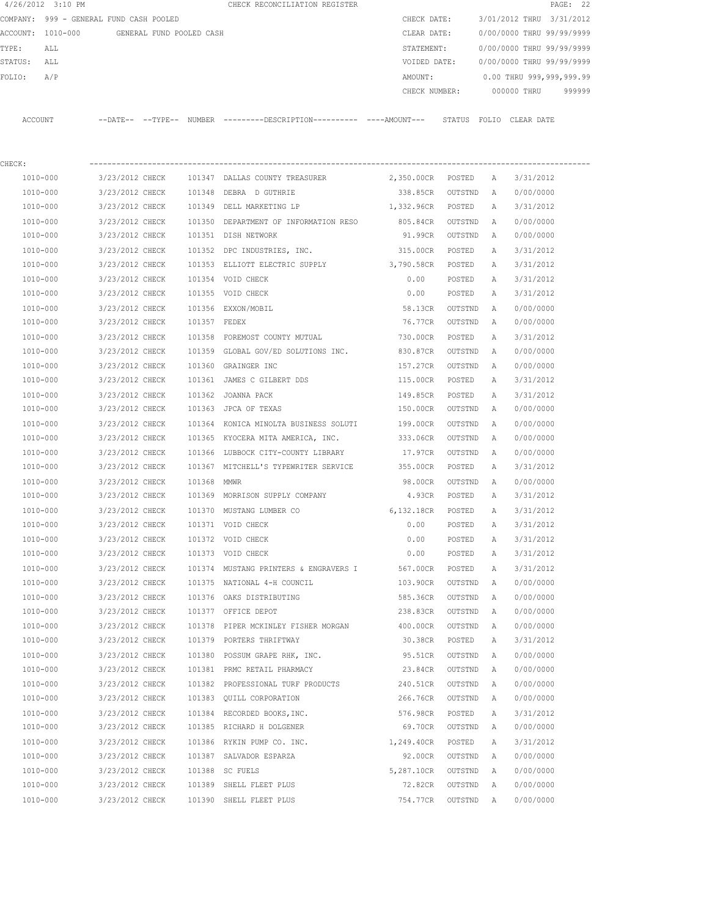|             | 4/26/2012 3:10 PM |                                            |              | CHECK RECONCILIATION REGISTER                                                                 |                   |         |   | PAGE: 22                            |
|-------------|-------------------|--------------------------------------------|--------------|-----------------------------------------------------------------------------------------------|-------------------|---------|---|-------------------------------------|
|             |                   | COMPANY: 999 - GENERAL FUND CASH POOLED    |              |                                                                                               | CHECK DATE:       |         |   | 3/01/2012 THRU 3/31/2012            |
|             |                   | ACCOUNT: 1010-000 GENERAL FUND POOLED CASH |              |                                                                                               | CLEAR DATE:       |         |   | 0/00/0000 THRU 99/99/9999           |
| TYPE:       | ALL               |                                            |              |                                                                                               | STATEMENT:        |         |   | 0/00/0000 THRU 99/99/9999           |
| STATUS: ALL |                   |                                            |              |                                                                                               | VOIDED DATE:      |         |   | 0/00/0000 THRU 99/99/9999           |
| FOLIO:      | A/P               |                                            |              |                                                                                               | AMOUNT:           |         |   | 0.00 THRU 999,999,999.99            |
|             |                   |                                            |              |                                                                                               |                   |         |   | CHECK NUMBER: 000000 THRU<br>999999 |
|             |                   |                                            |              |                                                                                               |                   |         |   |                                     |
| ACCOUNT     |                   |                                            |              | --DATE-- --TYPE-- NUMBER ---------DESCRIPTION---------- ----AMOUNT--- STATUS FOLIO CLEAR DATE |                   |         |   |                                     |
| CHECK:      |                   |                                            |              |                                                                                               |                   |         |   |                                     |
|             | 1010-000          | 3/23/2012 CHECK                            |              | 101347 DALLAS COUNTY TREASURER                                                                | 2,350.00CR POSTED |         | A | 3/31/2012                           |
|             | 1010-000          | 3/23/2012 CHECK                            | 101348       | DEBRA D GUTHRIE                                                                               | 338.85CR          | OUTSTND | A | 0/00/0000                           |
|             | 1010-000          | 3/23/2012 CHECK                            |              | 101349 DELL MARKETING LP                                                                      | 1,332.96CR        | POSTED  | А | 3/31/2012                           |
|             | 1010-000          | 3/23/2012 CHECK                            |              | 101350 DEPARTMENT OF INFORMATION RESO                                                         | 805.84CR          | OUTSTND | A | 0/00/0000                           |
|             | 1010-000          | 3/23/2012 CHECK                            |              | 101351 DISH NETWORK                                                                           | 91.99CR           | OUTSTND | A | 0/00/0000                           |
|             | 1010-000          | 3/23/2012 CHECK                            |              | 101352 DPC INDUSTRIES, INC.                                                                   | 315.00CR          | POSTED  | Α | 3/31/2012                           |
|             | 1010-000          | 3/23/2012 CHECK                            |              | 101353 ELLIOTT ELECTRIC SUPPLY                                                                | 3,790.58CR        | POSTED  | Α | 3/31/2012                           |
|             | 1010-000          | 3/23/2012 CHECK                            | 101354       | VOID CHECK                                                                                    | 0.00              | POSTED  | Α | 3/31/2012                           |
|             | 1010-000          | 3/23/2012 CHECK                            |              | 101355 VOID CHECK                                                                             | 0.00              | POSTED  | Α | 3/31/2012                           |
|             | 1010-000          | 3/23/2012 CHECK                            |              | 101356 EXXON/MOBIL                                                                            | 58.13CR           | OUTSTND | Α | 0/00/0000                           |
|             | 1010-000          | 3/23/2012 CHECK                            | 101357 FEDEX |                                                                                               | 76.77CR           | OUTSTND | A | 0/00/0000                           |
|             | 1010-000          | 3/23/2012 CHECK                            |              | 101358 FOREMOST COUNTY MUTUAL                                                                 | 730.00CR          | POSTED  | A | 3/31/2012                           |
|             | 1010-000          | 3/23/2012 CHECK                            |              | 101359 GLOBAL GOV/ED SOLUTIONS INC.                                                           | 830.87CR          | OUTSTND | A | 0/00/0000                           |
|             | 1010-000          | 3/23/2012 CHECK                            |              | 101360 GRAINGER INC                                                                           | 157.27CR          | OUTSTND | A | 0/00/0000                           |
|             | $1010 - 000$      | 3/23/2012 CHECK                            |              | 101361 JAMES C GILBERT DDS                                                                    | 115.00CR          | POSTED  | Α | 3/31/2012                           |
|             | 1010-000          | 3/23/2012 CHECK                            | 101362       | JOANNA PACK                                                                                   | 149.85CR          | POSTED  | Α | 3/31/2012                           |
|             | 1010-000          | 3/23/2012 CHECK                            |              | 101363 JPCA OF TEXAS                                                                          | 150.00CR          | OUTSTND | A | 0/00/0000                           |
|             | 1010-000          | 3/23/2012 CHECK                            | 101364       | KONICA MINOLTA BUSINESS SOLUTI                                                                | 199.00CR          | OUTSTND | Α | 0/00/0000                           |
|             | 1010-000          | 3/23/2012 CHECK                            |              | 101365 KYOCERA MITA AMERICA, INC.                                                             | 333.06CR          | OUTSTND | Α | 0/00/0000                           |
|             | 1010-000          | 3/23/2012 CHECK                            | 101366       | LUBBOCK CITY-COUNTY LIBRARY                                                                   | 17.97CR           | OUTSTND | A | 0/00/0000                           |
|             | 1010-000          | 3/23/2012 CHECK                            |              | 101367 MITCHELL'S TYPEWRITER SERVICE                                                          | 355.00CR          | POSTED  | Α | 3/31/2012                           |
|             | 1010-000          | 3/23/2012 CHECK                            | 101368 MMWR  |                                                                                               | 98.00CR           | OUTSTND | A | 0/00/0000                           |
|             | 1010-000          | 3/23/2012 CHECK                            |              | 101369 MORRISON SUPPLY COMPANY                                                                | 4.93CR POSTED     |         | Α | 3/31/2012                           |
|             | 1010-000          | 3/23/2012 CHECK                            |              | 101370 MUSTANG LUMBER CO                                                                      | 6,132.18CR POSTED |         |   | 3/31/2012                           |
|             | 1010-000          | 3/23/2012 CHECK                            |              | 101371 VOID CHECK                                                                             | 0.00              | POSTED  | A | 3/31/2012                           |
|             | 1010-000          | 3/23/2012 CHECK                            |              | 101372 VOID CHECK                                                                             | 0.00              | POSTED  | Α | 3/31/2012                           |
|             | 1010-000          | 3/23/2012 CHECK                            |              | 101373 VOID CHECK                                                                             | 0.00              | POSTED  | Α | 3/31/2012                           |
|             | 1010-000          | 3/23/2012 CHECK                            |              | 101374 MUSTANG PRINTERS & ENGRAVERS I                                                         | 567.00CR          | POSTED  | Α | 3/31/2012                           |
|             | 1010-000          | 3/23/2012 CHECK                            |              | 101375 NATIONAL 4-H COUNCIL                                                                   | 103.90CR          | OUTSTND | A | 0/00/0000                           |
|             | 1010-000          | 3/23/2012 CHECK                            |              | 101376 OAKS DISTRIBUTING                                                                      | 585.36CR          | OUTSTND | Α | 0/00/0000                           |
|             | 1010-000          | 3/23/2012 CHECK                            |              | 101377 OFFICE DEPOT                                                                           | 238.83CR          | OUTSTND | Α | 0/00/0000                           |
|             | 1010-000          | 3/23/2012 CHECK                            |              | 101378 PIPER MCKINLEY FISHER MORGAN                                                           | 400.00CR          | OUTSTND | Α | 0/00/0000                           |
|             | 1010-000          | 3/23/2012 CHECK                            |              | 101379 PORTERS THRIFTWAY                                                                      | 30.38CR           | POSTED  | Α | 3/31/2012                           |
|             | 1010-000          | 3/23/2012 CHECK                            |              | 101380 POSSUM GRAPE RHK, INC.                                                                 | 95.51CR           | OUTSTND | Α | 0/00/0000                           |
|             | 1010-000          | 3/23/2012 CHECK                            |              | 101381 PRMC RETAIL PHARMACY                                                                   | 23.84CR           | OUTSTND | Α | 0/00/0000                           |
|             | 1010-000          | 3/23/2012 CHECK                            |              | 101382 PROFESSIONAL TURF PRODUCTS                                                             | 240.51CR          | OUTSTND | A | 0/00/0000                           |
|             | 1010-000          | 3/23/2012 CHECK                            |              | 101383 QUILL CORPORATION                                                                      | 266.76CR          | OUTSTND | A | 0/00/0000                           |
|             | 1010-000          | 3/23/2012 CHECK                            | 101384       | RECORDED BOOKS, INC.                                                                          | 576.98CR          | POSTED  | Α | 3/31/2012                           |
|             | 1010-000          | 3/23/2012 CHECK                            |              | 101385 RICHARD H DOLGENER                                                                     | 69.70CR           | OUTSTND | A | 0/00/0000                           |
|             | 1010-000          | 3/23/2012 CHECK                            |              | 101386 RYKIN PUMP CO. INC.                                                                    | 1,249.40CR        | POSTED  | Α | 3/31/2012                           |

1010-000 3/23/2012 CHECK 101387 SALVADOR ESPARZA 92.00CR OUTSTND A 0/00/0000<br>1010-000 3/23/2012 CHECK 101388 SC FUELS 5,287.10CR OUTSTND A 0/00/0000 1010-000 3/23/2012 CHECK 101388 SC FUELS 5,287.10CR OUTSTND A 0/00/0000 1010-000 3/23/2012 CHECK 101389 SHELL FLEET PLUS 72.82CR OUTSTND A 0/00/0000 1010-000 3/23/2012 CHECK 101390 SHELL FLEET PLUS 754.77CR OUTSTND A 0/00/0000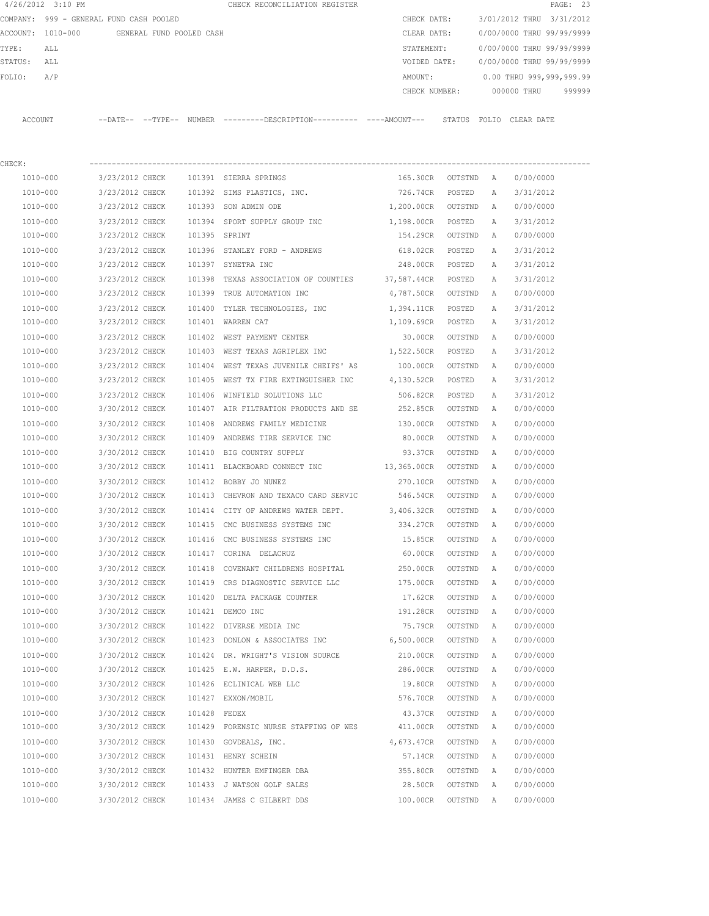| 4/26/2012 3:10 PM | CHECK RECONCILIATION REGISTER           |               | PAGE: 23                  |
|-------------------|-----------------------------------------|---------------|---------------------------|
|                   | COMPANY: 999 - GENERAL FUND CASH POOLED | CHECK DATE:   | 3/01/2012 THRU 3/31/2012  |
| ACCOUNT: 1010-000 | GENERAL FUND POOLED CASH                | CLEAR DATE:   | 0/00/0000 THRU 99/99/9999 |
| TYPE:<br>ALL      |                                         | STATEMENT:    | 0/00/0000 THRU 99/99/9999 |
| STATUS:<br>ALL    |                                         | VOIDED DATE:  | 0/00/0000 THRU 99/99/9999 |
| FOLIO:<br>A/P     |                                         | AMOUNT:       | 0.00 THRU 999,999,999.99  |
|                   |                                         | CHECK NUMBER: | 999999<br>000000 THRU     |
|                   |                                         |               |                           |
| ACCOUNT           | $---DATE---TYPE---$<br>NUMBER           | STATUS        | FOLIO<br>CLEAR DATE       |

| CHECK:       |                                       |               |                                                                        |                    |         |              |           |
|--------------|---------------------------------------|---------------|------------------------------------------------------------------------|--------------------|---------|--------------|-----------|
| 1010-000     | 3/23/2012 CHECK 101391 SIERRA SPRINGS |               |                                                                        | 165.30CR OUTSTND A |         |              | 0/00/0000 |
| 1010-000     |                                       |               | 3/23/2012 CHECK 101392 SIMS PLASTICS, INC.                             | 726.74CR POSTED    |         | A            | 3/31/2012 |
| 1010-000     | 3/23/2012 CHECK 101393 SON ADMIN ODE  |               |                                                                        | 1,200.00CR OUTSTND |         | A            | 0/00/0000 |
| $1010 - 000$ | 3/23/2012 CHECK 101394                |               | SPORT SUPPLY GROUP INC                                                 | 1,198.00CR POSTED  |         | Α            | 3/31/2012 |
| 1010-000     | 3/23/2012 CHECK                       | 101395 SPRINT |                                                                        | 154.29CR           | OUTSTND | Α            | 0/00/0000 |
| 1010-000     | 3/23/2012 CHECK                       |               | 101396 STANLEY FORD - ANDREWS 618.02CR POSTED                          |                    |         | Α            | 3/31/2012 |
| 1010-000     | 3/23/2012 CHECK                       |               | 101397 SYNETRA INC                                                     | 248.00CR           | POSTED  | Α            | 3/31/2012 |
| 1010-000     | 3/23/2012 CHECK 101398                |               | TEXAS ASSOCIATION OF COUNTIES 37,587.44CR POSTED                       |                    |         | $\mathbb{A}$ | 3/31/2012 |
| 1010-000     | 3/23/2012 CHECK 101399                |               | TRUE AUTOMATION INC                                                    | 4,787.50CR         | OUTSTND | Α            | 0/00/0000 |
| 1010-000     | 3/23/2012 CHECK 101400                |               | TYLER TECHNOLOGIES, INC 1,394.11CR POSTED                              |                    |         | Α            | 3/31/2012 |
| 1010-000     | 3/23/2012 CHECK                       |               | 101401 WARREN CAT                                                      | 1,109.69CR         | POSTED  | Α            | 3/31/2012 |
| 1010-000     | 3/23/2012 CHECK                       |               | 101402 WEST PAYMENT CENTER                                             | 30.00CR OUTSTND    |         | A            | 0/00/0000 |
| 1010-000     |                                       |               | 3/23/2012 CHECK 101403 WEST TEXAS AGRIPLEX INC                         | 1,522.50CR POSTED  |         | Α            | 3/31/2012 |
| 1010-000     |                                       |               | 3/23/2012 CHECK 101404 WEST TEXAS JUVENILE CHEIFS' AS                  | 100.00CR OUTSTND   |         | $\mathbb{A}$ | 0/00/0000 |
| 1010-000     |                                       |               | 3/23/2012 CHECK 101405 WEST TX FIRE EXTINGUISHER INC                   | 4,130.52CR POSTED  |         | A            | 3/31/2012 |
| 1010-000     | 3/23/2012 CHECK                       |               | 101406 WINFIELD SOLUTIONS LLC                                          | 506.82CR           | POSTED  | Α            | 3/31/2012 |
| 1010-000     | 3/30/2012 CHECK                       |               | 101407 AIR FILTRATION PRODUCTS AND SE 252.85CR                         |                    | OUTSTND | A            | 0/00/0000 |
| 1010-000     | 3/30/2012 CHECK                       |               |                                                                        |                    | OUTSTND | A            | 0/00/0000 |
| 1010-000     |                                       |               | 3/30/2012 CHECK 101409 ANDREWS TIRE SERVICE INC                        | 80.00CR            | OUTSTND | Α            | 0/00/0000 |
| 1010-000     |                                       |               | 3/30/2012 CHECK 101410 BIG COUNTRY SUPPLY 693.37CR                     |                    | OUTSTND | Α            | 0/00/0000 |
| 1010-000     | 3/30/2012 CHECK                       |               | 101411 BLACKBOARD CONNECT INC 13,365.00CR                              |                    | OUTSTND | Α            | 0/00/0000 |
| 1010-000     | 3/30/2012 CHECK 101412 BOBBY JO NUNEZ |               |                                                                        | 270.10CR           | OUTSTND | A            | 0/00/0000 |
| 1010-000     |                                       |               | 3/30/2012 CHECK 101413 CHEVRON AND TEXACO CARD SERVIC 546.54CR OUTSTND |                    |         | A            | 0/00/0000 |
| 1010-000     |                                       |               | 3/30/2012 CHECK 101414 CITY OF ANDREWS WATER DEPT. 3,406.32CR OUTSTND  |                    |         | Α            | 0/00/0000 |
| 1010-000     | 3/30/2012 CHECK                       |               | 101415 CMC BUSINESS SYSTEMS INC                                        | 334.27CR OUTSTND   |         | A            | 0/00/0000 |
| 1010-000     | 3/30/2012 CHECK                       |               | 101416 CMC BUSINESS SYSTEMS INC                                        | 15.85CR            | OUTSTND | Α            | 0/00/0000 |
| 1010-000     | 3/30/2012 CHECK                       |               | 101417 CORINA DELACRUZ                                                 | 60.00CR            | OUTSTND | A            | 0/00/0000 |
| 1010-000     | 3/30/2012 CHECK                       | 101418        | COVENANT CHILDRENS HOSPITAL                                            | 250.00CR           | OUTSTND | Α            | 0/00/0000 |
| 1010-000     | 3/30/2012 CHECK                       | 101419        | CRS DIAGNOSTIC SERVICE LLC 175.00CR                                    |                    | OUTSTND | Α            | 0/00/0000 |
| 1010-000     | 3/30/2012 CHECK                       | 101420        | DELTA PACKAGE COUNTER                                                  | 17.62CR            | OUTSTND | Α            | 0/00/0000 |
| 1010-000     | 3/30/2012 CHECK                       |               | 101421 DEMCO INC                                                       | 191.28CR           | OUTSTND | A            | 0/00/0000 |
| 1010-000     | 3/30/2012 CHECK                       |               | 101422 DIVERSE MEDIA INC                                               | 75.79CR            | OUTSTND | A            | 0/00/0000 |
| 1010-000     |                                       |               | 3/30/2012 CHECK 101423 DONLON & ASSOCIATES INC 6,500.00CR              |                    | OUTSTND | A            | 0/00/0000 |
| 1010-000     |                                       |               | 3/30/2012 CHECK 101424 DR. WRIGHT'S VISION SOURCE                      | 210.00CR           | OUTSTND | Α            | 0/00/0000 |
| 1010-000     | 3/30/2012 CHECK                       |               | 101425 E.W. HARPER, D.D.S.                                             | 286.00CR           | OUTSTND | <b>A</b>     | 0/00/0000 |
| 1010-000     | 3/30/2012 CHECK                       |               | 101426 ECLINICAL WEB LLC                                               | 19.80CR            | OUTSTND | Α            | 0/00/0000 |
| 1010-000     | 3/30/2012 CHECK                       |               | 101427 EXXON/MOBIL                                                     | 576.70CR           | OUTSTND | Α            | 0/00/0000 |
| 1010-000     | 3/30/2012 CHECK                       |               | 101428 FEDEX                                                           | 43.37CR            | OUTSTND | Α            | 0/00/0000 |
| 1010-000     | 3/30/2012 CHECK                       |               | 101429 FORENSIC NURSE STAFFING OF WES                                  | 411.00CR           | OUTSTND | Α            | 0/00/0000 |
| $1010 - 000$ | 3/30/2012 CHECK                       | 101430        | GOVDEALS, INC.                                                         | 4,673.47CR         | OUTSTND | Α            | 0/00/0000 |
| 1010-000     | 3/30/2012 CHECK                       | 101431        | HENRY SCHEIN                                                           | 57.14CR            | OUTSTND | Α            | 0/00/0000 |
| 1010-000     | 3/30/2012 CHECK                       |               | 101432 HUNTER EMFINGER DBA                                             | 355.80CR           | OUTSTND | Α            | 0/00/0000 |
| 1010-000     | 3/30/2012 CHECK                       |               | 101433 J WATSON GOLF SALES                                             | 28.50CR            | OUTSTND | Α            | 0/00/0000 |
| $1010 - 000$ | 3/30/2012 CHECK                       |               | 101434 JAMES C GILBERT DDS                                             | 100.00CR           | OUTSTND | Α            | 0/00/0000 |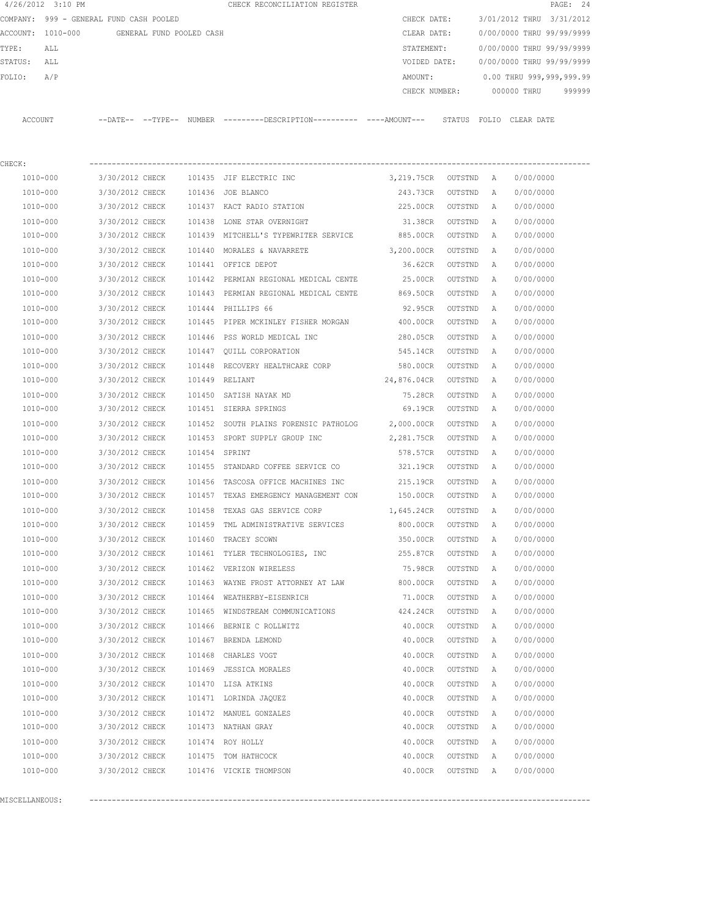| 4/26/2012 3:10 PM                       |                          |        | CHECK RECONCILIATION REGISTER                                                                |               |                 |                | PAGE: 24                  |
|-----------------------------------------|--------------------------|--------|----------------------------------------------------------------------------------------------|---------------|-----------------|----------------|---------------------------|
| COMPANY: 999 - GENERAL FUND CASH POOLED |                          |        |                                                                                              | CHECK DATE:   |                 |                | 3/01/2012 THRU 3/31/2012  |
| ACCOUNT: 1010-000                       | GENERAL FUND POOLED CASH |        |                                                                                              | CLEAR DATE:   |                 |                | 0/00/0000 THRU 99/99/9999 |
| TYPE:<br>ALL                            |                          |        |                                                                                              | STATEMENT:    |                 |                | 0/00/0000 THRU 99/99/9999 |
| STATUS:<br>ALL                          |                          |        |                                                                                              | VOIDED DATE:  |                 |                | 0/00/0000 THRU 99/99/9999 |
| A/P<br>FOLIO:                           |                          |        |                                                                                              | AMOUNT:       |                 |                | 0.00 THRU 999,999,999.99  |
|                                         |                          |        |                                                                                              | CHECK NUMBER: |                 |                | 000000 THRU<br>999999     |
| ACCOUNT                                 |                          |        | --DATE-- --TYPE-- NUMBER ---------DESCRIPTION---------- ----AMOUNT--- STATUS FOLIO CLEARDATE |               |                 |                |                           |
| CHECK:                                  |                          |        |                                                                                              |               |                 |                |                           |
| 1010-000                                | 3/30/2012 CHECK          |        | 101435 JIF ELECTRIC INC                                                                      | 3,219.75CR    | OUTSTND         | A              | 0/00/0000                 |
| 1010-000                                | 3/30/2012 CHECK          |        | 101436 JOE BLANCO                                                                            | 243.73CR      | OUTSTND         | Α              | 0/00/0000                 |
| $1010 - 000$                            | 3/30/2012 CHECK          |        | 101437 KACT RADIO STATION                                                                    | 225.00CR      | OUTSTND         | А              | 0/00/0000                 |
| 1010-000                                | 3/30/2012 CHECK          | 101438 | LONE STAR OVERNIGHT                                                                          | 31.38CR       | OUTSTND         | Α              | 0/00/0000                 |
| 1010-000                                | 3/30/2012 CHECK          |        | 101439 MITCHELL'S TYPEWRITER SERVICE                                                         | 885.00CR      | OUTSTND         | А              | 0/00/0000                 |
| 1010-000                                | 3/30/2012 CHECK          | 101440 | MORALES & NAVARRETE                                                                          | 3,200.00CR    | OUTSTND         | Α              | 0/00/0000                 |
| 1010-000                                | 3/30/2012 CHECK          |        | 101441 OFFICE DEPOT                                                                          | 36.62CR       | OUTSTND         | Α              | 0/00/0000                 |
| 1010-000                                | 3/30/2012 CHECK          | 101442 | PERMIAN REGIONAL MEDICAL CENTE                                                               | 25.00CR       | OUTSTND         | Α              | 0/00/0000                 |
| 1010-000                                | 3/30/2012 CHECK          |        | 101443 PERMIAN REGIONAL MEDICAL CENTE                                                        | 869.50CR      | OUTSTND         | Α              | 0/00/0000                 |
| 1010-000                                | 3/30/2012 CHECK          | 101444 | PHILLIPS 66                                                                                  | 92.95CR       | OUTSTND         | Α              | 0/00/0000                 |
| 1010-000                                | 3/30/2012 CHECK          |        | 101445 PIPER MCKINLEY FISHER MORGAN                                                          | 400.00CR      | OUTSTND         | А              | 0/00/0000                 |
| 1010-000                                | 3/30/2012 CHECK          | 101446 | PSS WORLD MEDICAL INC                                                                        | 280.05CR      | OUTSTND         | Α              | 0/00/0000                 |
| 1010-000                                | 3/30/2012 CHECK          |        | 101447 OUILL CORPORATION                                                                     | 545.14CR      | OUTSTND         | Α              | 0/00/0000                 |
| 1010-000                                | 3/30/2012 CHECK          |        | 101448 RECOVERY HEALTHCARE CORP                                                              | 580.00CR      | OUTSTND         | Α              | 0/00/0000                 |
| 1010-000                                | 3/30/2012 CHECK          |        | 101449 RELIANT                                                                               | 24,876.04CR   | OUTSTND         | Α              | 0/00/0000                 |
| 1010-000                                | 3/30/2012 CHECK          | 101450 | SATISH NAYAK MD                                                                              | 75.28CR       | OUTSTND         | Α              | 0/00/0000                 |
| 1010-000                                | 3/30/2012 CHECK          |        | 101451 SIERRA SPRINGS                                                                        | 69.19CR       | OUTSTND         | Α              | 0/00/0000                 |
| 1010-000                                | 3/30/2012 CHECK          | 101452 | SOUTH PLAINS FORENSIC PATHOLOG                                                               | 2,000.00CR    | OUTSTND         | Α              | 0/00/0000                 |
| 1010-000                                | 3/30/2012 CHECK          | 101453 | SPORT SUPPLY GROUP INC                                                                       | 2,281.75CR    | OUTSTND         | Α              | 0/00/0000                 |
| 1010-000                                | 3/30/2012 CHECK          |        | 101454 SPRINT                                                                                | 578.57CR      | OUTSTND         | А              | 0/00/0000                 |
| 1010-000                                | 3/30/2012 CHECK          |        | 101455 STANDARD COFFEE SERVICE CO                                                            | 321.19CR      | OUTSTND         | Α              | 0/00/0000                 |
| 1010-000                                | 3/30/2012 CHECK          | 101456 | TASCOSA OFFICE MACHINES INC                                                                  | 215.19CR      | OUTSTND         | Α              | 0/00/0000                 |
| 1010-000                                | 3/30/2012 CHECK          |        | 101457 TEXAS EMERGENCY MANAGEMENT CON                                                        | 150.00CR      | OUTSTND         | Α              | 0/00/0000                 |
| 1010-000                                | 3/30/2012 CHECK          | 101458 | TEXAS GAS SERVICE CORP                                                                       | 1,645.24CR    | OUTSTND         | A              | 0/00/0000                 |
| 1010-000                                | 3/30/2012 CHECK          |        | 101459 TML ADMINISTRATIVE SERVICES                                                           | 800.00CR      | OUTSTND         | A              | 0/00/0000                 |
| 1010-000                                | 3/30/2012 CHECK          |        | 101460 TRACEY SCOWN                                                                          | 350.00CR      | OUTSTND         | Α              | 0/00/0000                 |
| 1010-000                                | 3/30/2012 CHECK          |        | 101461 TYLER TECHNOLOGIES, INC                                                               | 255.87CR      | OUTSTND         | Α              | 0/00/0000                 |
| 1010-000                                | 3/30/2012 CHECK          |        | 101462 VERIZON WIRELESS                                                                      | 75.98CR       | OUTSTND         | Α              | 0/00/0000                 |
| 1010-000                                | 3/30/2012 CHECK          |        | 101463 WAYNE FROST ATTORNEY AT LAW                                                           | 800.00CR      | OUTSTND         | Α              | 0/00/0000                 |
| 1010-000                                | 3/30/2012 CHECK          |        | 101464 WEATHERBY-EISENRICH                                                                   | 71.00CR       | OUTSTND         | Α              | 0/00/0000                 |
| 1010-000                                | 3/30/2012 CHECK          |        | 101465 WINDSTREAM COMMUNICATIONS                                                             | 424.24CR      | OUTSTND         | Α              | 0/00/0000                 |
| 1010-000                                | 3/30/2012 CHECK          |        | 101466 BERNIE C ROLLWITZ                                                                     | 40.00CR       | OUTSTND         | Α              | 0/00/0000                 |
| 1010-000                                | 3/30/2012 CHECK          |        | 101467 BRENDA LEMOND                                                                         | 40.00CR       | OUTSTND         | Α              | 0/00/0000                 |
| 1010-000                                | 3/30/2012 CHECK          |        | 101468 CHARLES VOGT                                                                          | 40.00CR       | OUTSTND         | Α              | 0/00/0000                 |
| 1010-000                                | 3/30/2012 CHECK          |        | 101469 JESSICA MORALES                                                                       | 40.00CR       | OUTSTND         | Α              | 0/00/0000                 |
| 1010-000                                | 3/30/2012 CHECK          |        | 101470 LISA ATKINS                                                                           | 40.00CR       | OUTSTND         | Α              | 0/00/0000                 |
| 1010-000                                | 3/30/2012 CHECK          |        | 101471 LORINDA JAQUEZ                                                                        | 40.00CR       | OUTSTND         | Α              | 0/00/0000                 |
| 1010-000                                | 3/30/2012 CHECK          |        | 101472 MANUEL GONZALES                                                                       | 40.00CR       | OUTSTND         | Α              | 0/00/0000                 |
| 1010-000                                | 3/30/2012 CHECK          |        | 101473 NATHAN GRAY                                                                           | 40.00CR       | OUTSTND         | Α              | 0/00/0000                 |
| 1010-000                                | 3/30/2012 CHECK          |        | 101474 ROY HOLLY                                                                             | 40.00CR       | OUTSTND         | $\mathbb{A}$   | 0/00/0000                 |
| 1010-000                                | 3/30/2012 CHECK          |        | 101475 TOM HATHCOCK                                                                          |               | 40.00CR OUTSTND | A              | 0/00/0000                 |
| 1010-000                                | 3/30/2012 CHECK          |        | 101476 VICKIE THOMPSON                                                                       | 40.00CR       | OUTSTND         | $\overline{A}$ | 0/00/0000                 |
|                                         |                          |        |                                                                                              |               |                 |                |                           |
| MISCELLANEOUS:                          |                          |        |                                                                                              |               |                 |                |                           |